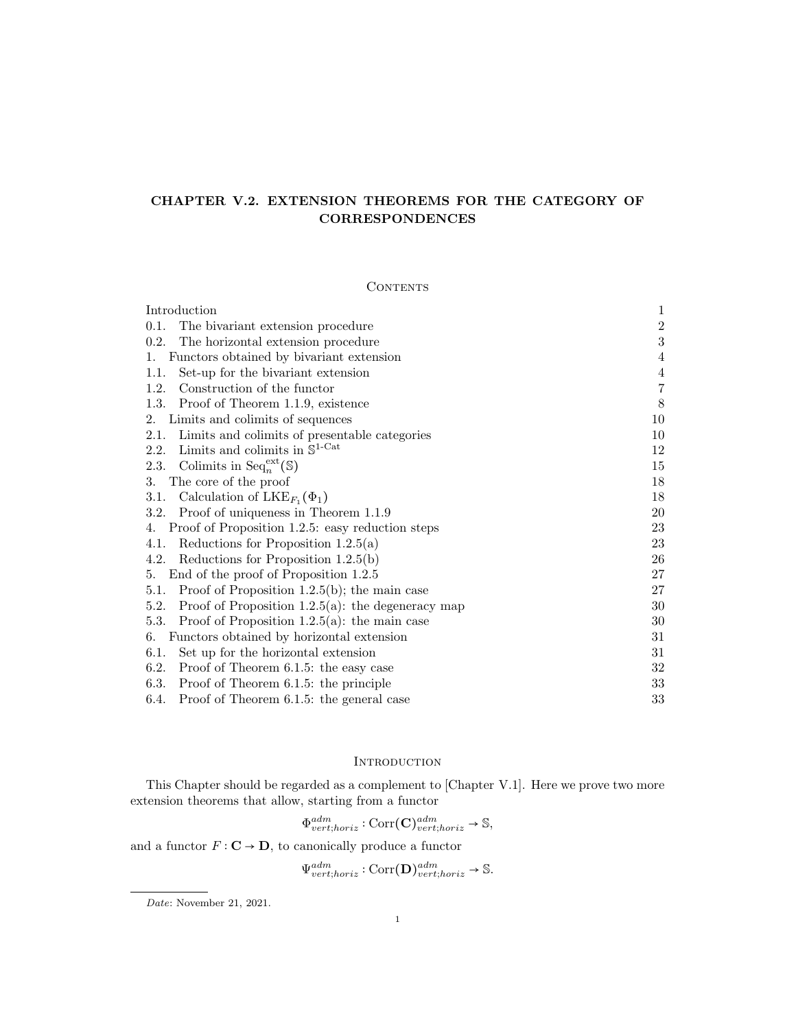# CHAPTER V.2. EXTENSION THEOREMS FOR THE CATEGORY OF CORRESPONDENCES

### **CONTENTS**

| Introduction                                            | 1              |
|---------------------------------------------------------|----------------|
| 0.1. The bivariant extension procedure                  | $\,2$          |
| 0.2. The horizontal extension procedure                 | $\sqrt{3}$     |
| 1. Functors obtained by bivariant extension             | $\overline{4}$ |
| Set-up for the bivariant extension<br>1.1.              | $\overline{4}$ |
| 1.2. Construction of the functor                        | $\bf 7$        |
| 1.3. Proof of Theorem 1.1.9, existence                  | $8\,$          |
| 2. Limits and colimits of sequences                     | 10             |
| 2.1. Limits and colimits of presentable categories      | 10             |
| 2.2. Limits and colimits in $\mathbb{S}^{1-\text{Cat}}$ | 12             |
| 2.3. Colimits in $Seq_n^{\text{ext}}(\mathbb{S})$       | 15             |
| 3.<br>The core of the proof                             | 18             |
| 3.1. Calculation of $LKE_{F_1}(\Phi_1)$                 | 18             |
| 3.2. Proof of uniqueness in Theorem 1.1.9               | 20             |
| 4. Proof of Proposition 1.2.5: easy reduction steps     | 23             |
| 4.1. Reductions for Proposition $1.2.5(a)$              | 23             |
| 4.2. Reductions for Proposition 1.2.5(b)                | 26             |
| 5. End of the proof of Proposition 1.2.5                | 27             |
| 5.1. Proof of Proposition 1.2.5(b); the main case       | 27             |
| 5.2. Proof of Proposition 1.2.5(a): the degeneracy map  | 30             |
| 5.3. Proof of Proposition 1.2.5(a): the main case       | 30             |
| 6. Functors obtained by horizontal extension            | 31             |
| 6.1. Set up for the horizontal extension                | 31             |
| 6.2. Proof of Theorem 6.1.5: the easy case              | $32\,$         |
| 6.3. Proof of Theorem 6.1.5: the principle              | 33             |
| 6.4. Proof of Theorem 6.1.5: the general case           | 33             |

# **INTRODUCTION**

This Chapter should be regarded as a complement to [Chapter V.1]. Here we prove two more extension theorems that allow, starting from a functor

$$
\Phi^{adm}_{vert;horiz} : \text{Corr}(\mathbf{C})^{adm}_{vert;horiz} \to \mathbb{S},
$$

and a functor  $F: \mathbf{C} \to \mathbf{D}$ , to canonically produce a functor

 $\Psi^{adm}_{vert;horiz} : \text{Corr}(\mathbf{D})^{adm}_{vert;horiz} \to \mathbb{S}.$ 

Date: November 21, 2021.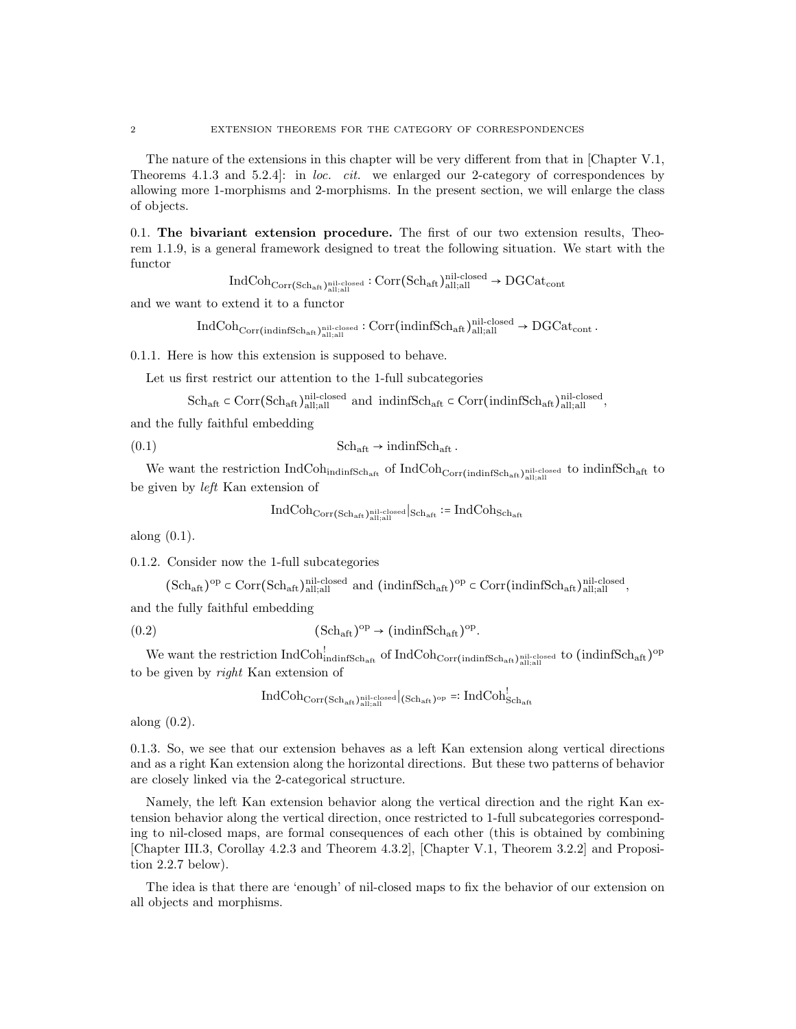The nature of the extensions in this chapter will be very different from that in [Chapter V.1, Theorems 4.1.3 and 5.2.4]: in loc. cit. we enlarged our 2-category of correspondences by allowing more 1-morphisms and 2-morphisms. In the present section, we will enlarge the class of objects.

0.1. The bivariant extension procedure. The first of our two extension results, Theorem 1.1.9, is a general framework designed to treat the following situation. We start with the functor

 $\mathrm{IndCoh}_{\mathrm{Corr}(\mathrm{Sch}_{\mathrm{aft}},\mathrm{l}_{\mathrm{all},\mathrm{all}}^{\mathrm{nil-closed}})}:\mathrm{Corr}(\mathrm{Sch}_{\mathrm{aft}},\mathrm{l}_{\mathrm{all},\mathrm{all}}^{\mathrm{nil-closed}}\to \mathrm{DGCat}_{\mathrm{cont}}$ 

and we want to extend it to a functor

$$
\operatorname{IndCoh}_{\operatorname{Corr}(\operatorname{indinfSch}_{\operatorname{alt},\operatorname{all}})_{\operatorname{all},\operatorname{all}}}:\operatorname{Corr}(\operatorname{indinfSch}_{\operatorname{alt}})_{\operatorname{all},\operatorname{all}}^{\operatorname{nil-closed}}\to \operatorname{DGCat}_{\operatorname{cont}}.
$$

nila di contro

.

0.1.1. Here is how this extension is supposed to behave.

Let us first restrict our attention to the 1-full subcategories

 $\text{Sch}_{\text{aff}} \subset \text{Corr}(\text{Sch}_{\text{aff}})_{\text{all};\text{all}}^{\text{nil-closed}}$  and indinfSch<sub>aft</sub>  $\subset \text{Corr}(\text{indinfSch}_{\text{aff}},^{\text{nil-closed}})$ 

and the fully faithful embedding

(1)  $\text{Sch}_{\text{aft}} \to \text{indinfSch}_{\text{aft}}$ .

We want the restriction  $IndCoh_{indinfSch_{att}}$  of  $IndCoh_{Corr(indinfSch_{att})}$ <sup>nil-closed</sup> to indinfSch<sub>aft</sub> to be given by left Kan extension of

$$
\rm IndCoh_{Corr(Sch_{aft})^{\rm nil-closed}_{all;all}}|_{Sch_{aft}}\coloneqq \rm IndCoh_{Sch_{aft}}
$$

along (0.1).

0.1.2. Consider now the 1-full subcategories

$$
(\mathrm{Sch}_{\mathrm{aff}})^{\mathrm{op}} \subset \mathrm{Corr}(\mathrm{Sch}_{\mathrm{aff}})_{\mathrm{all;all}}^{\mathrm{nil-closed}} \ \mathrm{and} \ (\mathrm{indinfSch}_{\mathrm{aff}})^{\mathrm{op}} \subset \mathrm{Corr}(\mathrm{indinfSch}_{\mathrm{aff}})_{\mathrm{all;all}}^{\mathrm{nil-closed}},
$$

and the fully faithful embedding

(0.2) 
$$
(\text{Sch}_{\text{aft}})^{\text{op}} \to (\text{indinfSch}_{\text{aft}})^{\text{op}}
$$

We want the restriction  $\mathrm{IndCoh}_{\mathrm{indinfSch}_{\mathrm{aft}}}^!$  of  $\mathrm{IndCoh}_{\mathrm{Corr}(\mathrm{indinfSch}_{\mathrm{aft}})_{\mathrm{all;all}}}^{\mathrm{nil}\text{-closed}}$  to  $(\mathrm{indinfSch}_{\mathrm{aft}})^{\mathrm{op}}$ to be given by right Kan extension of

$$
\rm IndCoh_{Corr(Sch_{aft})^{\rm nil-closed}_{all;all}}|_{(Sch_{aft})^{\rm op}}\eqqcolon \rm IndCoh_{Sch_{aft}}^{!}
$$

along (0.2).

0.1.3. So, we see that our extension behaves as a left Kan extension along vertical directions and as a right Kan extension along the horizontal directions. But these two patterns of behavior are closely linked via the 2-categorical structure.

Namely, the left Kan extension behavior along the vertical direction and the right Kan extension behavior along the vertical direction, once restricted to 1-full subcategories corresponding to nil-closed maps, are formal consequences of each other (this is obtained by combining [Chapter III.3, Corollay 4.2.3 and Theorem 4.3.2], [Chapter V.1, Theorem 3.2.2] and Proposition 2.2.7 below).

The idea is that there are 'enough' of nil-closed maps to fix the behavior of our extension on all objects and morphisms.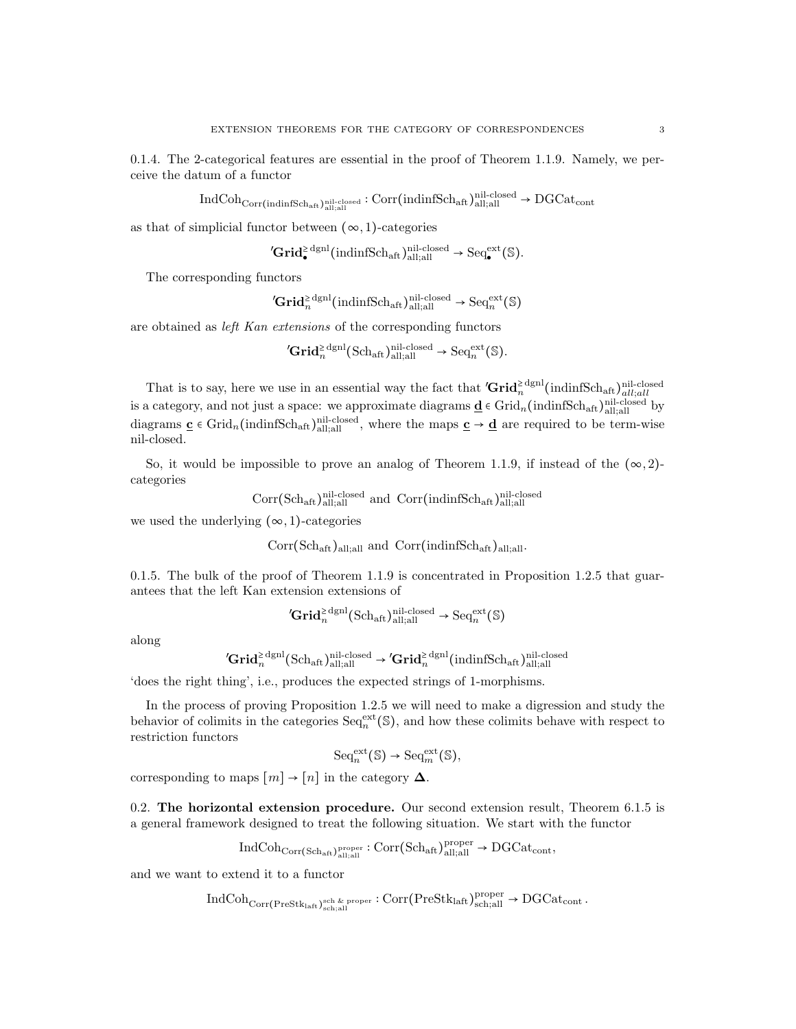0.1.4. The 2-categorical features are essential in the proof of Theorem 1.1.9. Namely, we perceive the datum of a functor

$$
\mathrm{IndCoh}_{\mathrm{Corr}(\mathrm{indinfSch}_{\mathrm{aff}})_{\mathrm{all};\mathrm{all}}^{\mathrm{nil}\text{-}\mathrm{closed}}}:\mathrm{Corr}(\mathrm{indinfSch}_{\mathrm{aff}})_{\mathrm{all};\mathrm{all}}^{\mathrm{nil}\text{-}\mathrm{closed}}\to \mathrm{DGCat}_{\mathrm{cont}}
$$

as that of simplicial functor between  $(\infty, 1)$ -categories

$$
{}'{\bf Grid}_\bullet^{\ge {\rm dgnl}}({\rm indinfSch}_{\rm aff})_{\rm all;all}^{\rm nil-closed}\to {\rm Seq}_\bullet^{\rm ext}(\mathbb{S}).
$$

The corresponding functors

$$
'\mathbf{Grid}_{n}^{\geq \text{dgnl}}(\text{indinfSch}_{\text{aft}})^{\text{nil-closed}}_{\text{all,all}} \to \text{Seq}_{n}^{\text{ext}}(\mathbb{S})
$$

are obtained as left Kan extensions of the corresponding functors

$$
'\mathbf{Grid}_{n}^{\geq \mathrm{dgnl}}(\mathrm{Sch}_{\mathrm{aff}})_{\mathrm{all};\mathrm{all}}^{\mathrm{nil-closed}} \to \mathrm{Seq}_{n}^{\mathrm{ext}}(\mathbb{S}).
$$

That is to say, here we use in an essential way the fact that  $'Grid_n^{\geq \text{dgnl}}(\text{indinfSch}_{\text{aff}})_{all;all}^{\text{nil-closed}}$ is a category, and not just a space: we approximate diagrams  $\underline{\mathbf{d}} \in \text{Grid}_n(\text{indinfSch}_{\text{aft}})^{\text{nil-closed}}$  by diagrams  $\underline{\mathbf{c}} \in \text{Grid}_n(\text{indinfSch}_{\text{aff}})_{\text{all;all}}^{\text{nil-closed}}$ , where the maps  $\underline{\mathbf{c}} \to \underline{\mathbf{d}}$  are required to be term-wise nil-closed.

So, it would be impossible to prove an analog of Theorem 1.1.9, if instead of the  $(\infty, 2)$ categories

$$
\rm Corr(Sch_{aft})_{all;all}^{nil-closed}
$$
 and  $\rm Corr (indinfSch_{aft})_{all;all}^{nil-closed}$ 

we used the underlying  $(\infty, 1)$ -categories

$$
Corr(Sch_{aft})all;all and  $Corr(indinfSch_{aft})all;all.$
$$

0.1.5. The bulk of the proof of Theorem 1.1.9 is concentrated in Proposition 1.2.5 that guarantees that the left Kan extension extensions of

$$
{}'{\bf Grid}_n^{\geq {\rm dgnl}}({\rm Sch}_{\rm aff})_{\rm all;all}^{\rm nil-closed}\to {\rm Seq}_n^{\rm ext}(\mathbb S)
$$

along

$$
{}'{\bf Grid}_n^{\geq {\rm dgnl}}({\rm Sch}_{\rm aff})_{\rm all;all}^{\rm nil-closed} \rightarrow {}'{\bf Grid}_n^{\geq {\rm dgnl}}({\rm indinfSch}_{\rm aff})_{\rm all;all}^{\rm nil-closed}
$$

'does the right thing', i.e., produces the expected strings of 1-morphisms.

In the process of proving Proposition 1.2.5 we will need to make a digression and study the behavior of colimits in the categories  $Seq_n^{\text{ext}}(\mathbb{S})$ , and how these colimits behave with respect to restriction functors

$$
\mathrm{Seq}_n^{\mathrm{ext}}(\mathbb{S}) \to \mathrm{Seq}_m^{\mathrm{ext}}(\mathbb{S}),
$$

corresponding to maps  $[m] \rightarrow [n]$  in the category  $\Delta$ .

0.2. The horizontal extension procedure. Our second extension result, Theorem 6.1.5 is a general framework designed to treat the following situation. We start with the functor

$$
\mathrm{IndCoh}_{\mathrm{Corr}(\mathrm{Sch}_{\mathrm{aff}},\mathrm{l}_{\mathrm{all};\mathrm{all}}^{\mathrm{proper}})} : \mathrm{Corr}(\mathrm{Sch}_{\mathrm{aff}},\mathrm{l}_{\mathrm{all};\mathrm{all}}^{\mathrm{proper}} \rightarrow \mathrm{DGCat}_{\mathrm{cont}},
$$

and we want to extend it to a functor

$$
\mathrm{IndCoh}_{\mathrm{Corr}(\mathrm{PreStk}_{\mathrm{laft}})_{\mathrm{sch} ; \mathrm{all}}^{\mathrm{sch} \ \& \ \mathrm{proper}}}: \mathrm{Corr}(\mathrm{PreStk}_{\mathrm{laft}})_{\mathrm{sch} ; \mathrm{all}}^{\mathrm{proper}} \rightarrow \mathrm{DGCat}_{\mathrm{cont}}\,.
$$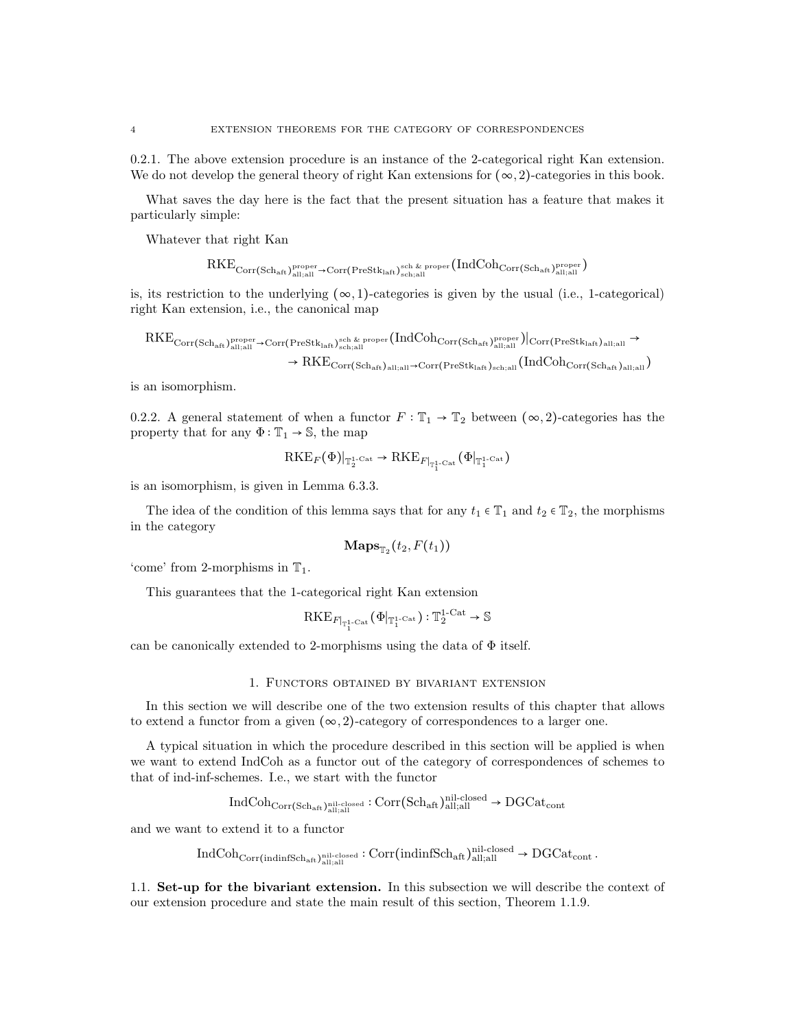0.2.1. The above extension procedure is an instance of the 2-categorical right Kan extension. We do not develop the general theory of right Kan extensions for  $(\infty, 2)$ -categories in this book.

What saves the day here is the fact that the present situation has a feature that makes it particularly simple:

Whatever that right Kan

$$
RKE_{Corr(Sch_{aft})_{all;all}^{proper}\rightarrow Corr(PreStk_{laff}})_{sch,all}^{sch, \&\ proper}\left(IndCoh_{Corr(Sch_{aft})_{all;all}^{proper}}\right)
$$

is, its restriction to the underlying  $(\infty, 1)$ -categories is given by the usual (i.e., 1-categorical) right Kan extension, i.e., the canonical map

$$
\begin{array}{c}\n\mathrm{RKE}_{\mathrm{Corr}(\mathrm{Sch}_{\mathrm{aff}})\mathrm{all};\mathrm{all}}\rightarrow\!\!\operatorname{Corr}(\mathrm{PreStk}_{\mathrm{laff}})_{\mathrm{sch},\mathrm{all}}^{\mathrm{sch}}\times\mathrm{proper}(\mathrm{IndCoh}_{\mathrm{Corr}(\mathrm{Sch}_{\mathrm{aff}})\mathrm{all};\mathrm{all}})\vert_{\mathrm{Corr}(\mathrm{PreStk}_{\mathrm{laff}})_{\mathrm{all};\mathrm{all}}}\rightarrow\\ \quad\quad\rightarrow\mathrm{RKE}_{\mathrm{Corr}(\mathrm{Sch}_{\mathrm{aff}})_{\mathrm{all};\mathrm{all}}}\rightarrow\!\mathrm{Corr}(\mathrm{PreStk}_{\mathrm{laff}})_{\mathrm{sch},\mathrm{all}}(\mathrm{IndCoh}_{\mathrm{Corr}(\mathrm{Sch}_{\mathrm{aff}})_{\mathrm{all};\mathrm{all}}})\nonumber\end{array}
$$

is an isomorphism.

0.2.2. A general statement of when a functor  $F : \mathbb{T}_1 \to \mathbb{T}_2$  between  $(\infty, 2)$ -categories has the property that for any  $\Phi : \mathbb{T}_1 \to \mathbb{S}$ , the map

$$
\mathrm{RKE}_F(\Phi)|_{\mathbb{T}_2^{1\textrm{-}\mathrm{Cat}}}\rightarrow \mathrm{RKE}_{F|_{\mathbb{T}_1^{1\textrm{-}\mathrm{Cat}}}}(\Phi|_{\mathbb{T}_1^{1\textrm{-}\mathrm{Cat}}})
$$

is an isomorphism, is given in Lemma 6.3.3.

The idea of the condition of this lemma says that for any  $t_1 \in \mathbb{T}_1$  and  $t_2 \in \mathbb{T}_2$ , the morphisms in the category

$$
\mathbf{Maps}_{\mathbb{T}_2}(t_2, F(t_1))
$$

'come' from 2-morphisms in  $\mathbb{T}_1$ .

This guarantees that the 1-categorical right Kan extension

$$
\mathrm{RKE}_{F|_{\mathbb{T}_1^{1-\mathrm{Cat}}}}(\Phi|_{\mathbb{T}_1^{1-\mathrm{Cat}}}) : \mathbb{T}_2^{1-\mathrm{Cat}} \to \mathbb{S}
$$

can be canonically extended to 2-morphisms using the data of  $\Phi$  itself.

### 1. Functors obtained by bivariant extension

In this section we will describe one of the two extension results of this chapter that allows to extend a functor from a given  $(\infty, 2)$ -category of correspondences to a larger one.

A typical situation in which the procedure described in this section will be applied is when we want to extend IndCoh as a functor out of the category of correspondences of schemes to that of ind-inf-schemes. I.e., we start with the functor

$$
\mathrm{IndCoh}_{\mathrm{Corr}(\mathrm{Sch}_{\mathrm{aff}},\mathrm{h}^{\mathrm{nil}\text{-}\mathrm{closed}}_{\mathrm{all},\mathrm{all}})}:\mathrm{Corr}(\mathrm{Sch}_{\mathrm{aff}})^{\mathrm{nil}\text{-}\mathrm{closed}}_{\mathrm{all},\mathrm{all}}\rightarrow \mathrm{DGCat}_{\mathrm{cont}}
$$

and we want to extend it to a functor

$$
\operatorname{IndCoh}_{\operatorname{Corr}(\operatorname{indinfSch}_{\operatorname{aft}},\mathcal{V}^{\operatorname{nil-closed}}_{\operatorname{all};\operatorname{all}})}:\operatorname{Corr}(\operatorname{indinfSch}_{\operatorname{aft}},\mathcal{V}^{\operatorname{nil-closed}}_{\operatorname{all};\operatorname{all}}\to \operatorname{DGCat}_{\operatorname{cont}}.
$$

1.1. Set-up for the bivariant extension. In this subsection we will describe the context of our extension procedure and state the main result of this section, Theorem 1.1.9.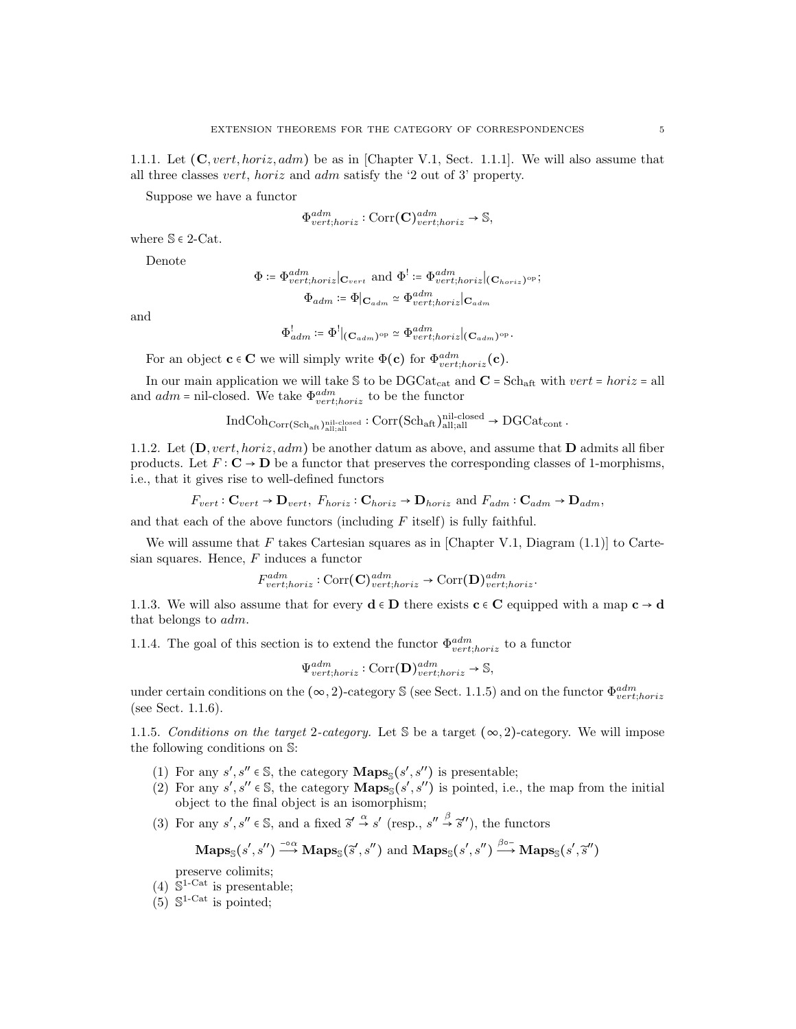1.1.1. Let  $(C, vert, horiz, adm)$  be as in [Chapter V.1, Sect. 1.1.1]. We will also assume that all three classes vert, horiz and adm satisfy the '2 out of 3' property.

Suppose we have a functor

$$
\Phi^{adm}_{vert;horiz} : \text{Corr}(\mathbf{C})^{adm}_{vert;horiz} \to \mathbb{S},
$$

where  $\mathcal{S} \in 2$ -Cat.

Denote

$$
\begin{aligned} \Phi \coloneqq \Phi^{adm}_{vert,horiz}|_{\mathbf{C}_{vert}} \text{ and } \Phi^! \coloneqq \Phi^{adm}_{vert;horiz}|_{(\mathbf{C}_{horiz})^{\mathrm{op}}};\\ \Phi_{adm} \coloneqq \Phi|_{\mathbf{C}_{adm}} \simeq \Phi^{adm}_{vert;horiz}|_{\mathbf{C}_{adm}} \end{aligned}
$$

and

$$
\Phi_{adm}^! := \Phi^!|_{(\mathbf{C}_{adm})^{\mathrm{op}}} \simeq \Phi_{vert;horiz}^{adm}|_{(\mathbf{C}_{adm})^{\mathrm{op}}}.
$$

For an object  $\mathbf{c} \in \mathbf{C}$  we will simply write  $\Phi(\mathbf{c})$  for  $\Phi_{vert;horiz}^{adm}(\mathbf{c})$ .

In our main application we will take  $\mathbb S$  to be  $\mathrm{DGCat}_{\mathrm{cat}}$  and  $\mathbf C$  =  $\mathrm{Sch}_{\mathrm{aff}}$  with  $vert$  =  $horiz$  = all and  $adm = \text{nil-closed}$ . We take  $\Phi_{vert,horiz}^{adm}$  to be the functor

$$
\operatorname{IndCoh}_{\operatorname{Corr}(\operatorname{Sch}_{\operatorname{aff}})_{\operatorname{all} ; \operatorname{all}}^{\operatorname{nil-closed}}}:\operatorname{Corr}(\operatorname{Sch}_{\operatorname{aff}})_{\operatorname{all} ; \operatorname{all}}^{\operatorname{nil-closed}}\to \operatorname{DGCat}_{\operatorname{cont}}.
$$

1.1.2. Let  $(D, vert, horiz, adm)$  be another datum as above, and assume that  $D$  admits all fiber products. Let  $F: \mathbf{C} \to \mathbf{D}$  be a functor that preserves the corresponding classes of 1-morphisms, i.e., that it gives rise to well-defined functors

$$
F_{vert}: \mathbf{C}_{vert} \to \mathbf{D}_{vert}, F_{horiz}: \mathbf{C}_{horiz} \to \mathbf{D}_{horiz}
$$
 and  $F_{adm}: \mathbf{C}_{adm} \to \mathbf{D}_{adm}$ ,

and that each of the above functors (including  $F$  itself) is fully faithful.

We will assume that F takes Cartesian squares as in [Chapter V.1, Diagram  $(1.1)$ ] to Cartesian squares. Hence,  $F$  induces a functor

$$
F_{vert;horiz}^{adm} : \text{Corr}(\mathbf{C})_{vert;horiz}^{adm} \to \text{Corr}(\mathbf{D})_{vert;horiz}^{adm}.
$$

1.1.3. We will also assume that for every  $\mathbf{d} \in \mathbf{D}$  there exists  $\mathbf{c} \in \mathbf{C}$  equipped with a map  $\mathbf{c} \to \mathbf{d}$ that belongs to adm.

1.1.4. The goal of this section is to extend the functor  $\Phi_{vert;horiz}^{adm}$  to a functor

$$
\Psi^{adm}_{vert;horiz} : \text{Corr}(\mathbf{D})^{adm}_{vert;horiz} \to \mathbb{S},
$$

under certain conditions on the  $(\infty, 2)$ -category S (see Sect. 1.1.5) and on the functor  $\Phi_{vert;horiz}^{adm}$ (see Sect. 1.1.6).

1.1.5. Conditions on the target 2-category. Let S be a target  $(\infty, 2)$ -category. We will impose the following conditions on S:

- (1) For any  $s', s'' \in \mathbb{S}$ , the category  $\mathbf{Maps}_{\mathbb{S}}(s', s'')$  is presentable;
- (2) For any  $s', s'' \in \mathbb{S}$ , the category  $\mathbf{Maps}_{\mathbb{S}}(s', s'')$  is pointed, i.e., the map from the initial object to the final object is an isomorphism;
- (3) For any  $s', s'' \in \mathbb{S}$ , and a fixed  $\tilde{s}' \stackrel{\alpha}{\rightarrow} s'$  (resp.,  $s'' \stackrel{\beta}{\rightarrow} \tilde{s}'$ ), the functors

$$
\mathbf{Maps}_{\mathbb{S}}(s', s'') \stackrel{\neg \alpha}{\longrightarrow} \mathbf{Maps}_{\mathbb{S}}(\tilde{s}', s'') \text{ and } \mathbf{Maps}_{\mathbb{S}}(s', s'') \stackrel{\beta \circ \neg}{\longrightarrow} \mathbf{Maps}_{\mathbb{S}}(s', \tilde{s}'')
$$

preserve colimits;

(4)  $\mathbb{S}^{1-\text{Cat}}$  is presentable;

 $(5)$   $\mathbb{S}^{1-\text{Cat}}$  is pointed;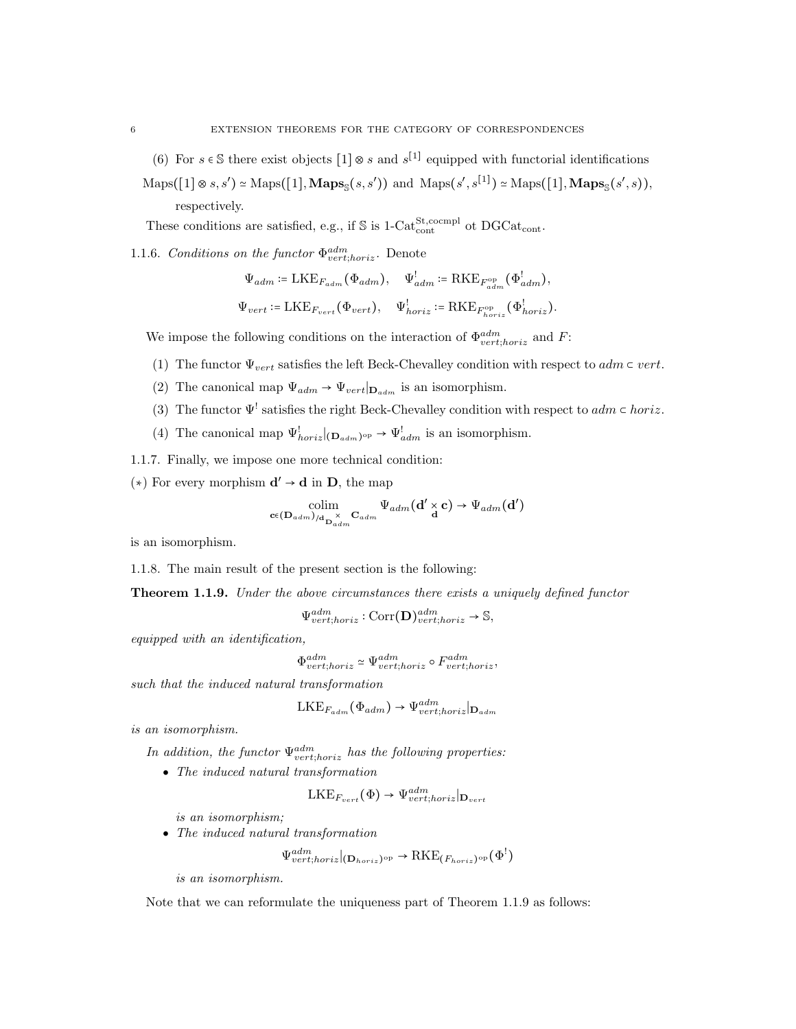- (6) For  $s \in \mathbb{S}$  there exist objects  $[1] \otimes s$  and  $s^{[1]}$  equipped with functorial identifications
- $\text{Maps}([1] \otimes s, s') \simeq \text{Maps}([1], \text{Maps}_\mathbb{S}(s, s'))$  and  $\text{Maps}(s', s^{[1]}) \simeq \text{Maps}([1], \text{Maps}_{\mathbb{S}}(s', s)),$ respectively.

These conditions are satisfied, e.g., if  $\mathbb S$  is 1-Cat<sup>St</sup>,<sup>cocmpl</sup> ot DGCat<sub>cont</sub>.

1.1.6. Conditions on the functor  $\Phi_{vert;horiz}^{adm}$ . Denote

$$
\begin{aligned}\n\Psi_{adm} &:= \text{LKE}_{F_{adm}}(\Phi_{adm}), \quad \Psi_{adm}^! := \text{RKE}_{F_{adm}^{op}}(\Phi_{adm}^!), \\
\Psi_{vert} &:= \text{LKE}_{F_{vert}}(\Phi_{vert}), \quad \Psi_{horiz}^! := \text{RKE}_{F_{horiz}^{op}}(\Phi_{horiz}^!).\n\end{aligned}
$$

We impose the following conditions on the interaction of  $\Phi_{vert,horiz}^{adm}$  and F:

- (1) The functor  $\Psi_{vert}$  satisfies the left Beck-Chevalley condition with respect to  $adm \subset vert$ .
- (2) The canonical map  $\Psi_{adm} \to \Psi_{vert} |_{\mathbf{D}_{adm}}$  is an isomorphism.
- (3) The functor  $\Psi^!$  satisfies the right Beck-Chevalley condition with respect to  $adm \subset horiz$ .
- (4) The canonical map  $\Psi_{horiz}^{\perp}|_{(\mathbf{D}_{adm})^{\text{op}}} \to \Psi_{adm}^{\perp}$  is an isomorphism.

1.1.7. Finally, we impose one more technical condition:

(\*) For every morphism  $\mathbf{d}' \rightarrow \mathbf{d}$  in **D**, the map

$$
\operatornamewithlimits{colim}_{\mathbf{c}\in(\mathbf{D}_{adm})/\mathbf{d}_{\mathbf{D}_{adm}}\times\mathbf{C}_{adm}}\Psi_{adm}(\mathbf{d}'\times\mathbf{c})\to\Psi_{adm}(\mathbf{d}')
$$

is an isomorphism.

1.1.8. The main result of the present section is the following:

Theorem 1.1.9. Under the above circumstances there exists a uniquely defined functor

$$
\Psi^{adm}_{vert;horiz} : \text{Corr}(\mathbf{D})^{adm}_{vert;horiz} \to \mathbb{S},
$$

equipped with an identification,

$$
\Phi^{adm}_{vert;horiz} \simeq \Psi^{adm}_{vert;horiz} \circ F^{adm}_{vert;horiz},
$$

such that the induced natural transformation

$$
\text{LKE}_{F_{adm}}(\Phi_{adm}) \rightarrow \Psi^{adm}_{vert;horiz}|_{\mathbf{D}_{adm}}
$$

is an isomorphism.

In addition, the functor  $\Psi^{adm}_{vert;horiz}$  has the following properties:

• The induced natural transformation

$$
\text{LKE}_{F_{vert}}(\Phi) \rightarrow \Psi^{adm}_{vert;horiz}|_{\mathbf{D}_{vert}}
$$

is an isomorphism;

• The induced natural transformation

$$
\Psi^{adm}_{vert;horiz}|_{(\mathbf{D}_{horiz})^{\mathrm{op}}} \to \mathrm{RKE}_{(F_{horiz})^{\mathrm{op}}}(\Phi^!)
$$

is an isomorphism.

Note that we can reformulate the uniqueness part of Theorem 1.1.9 as follows: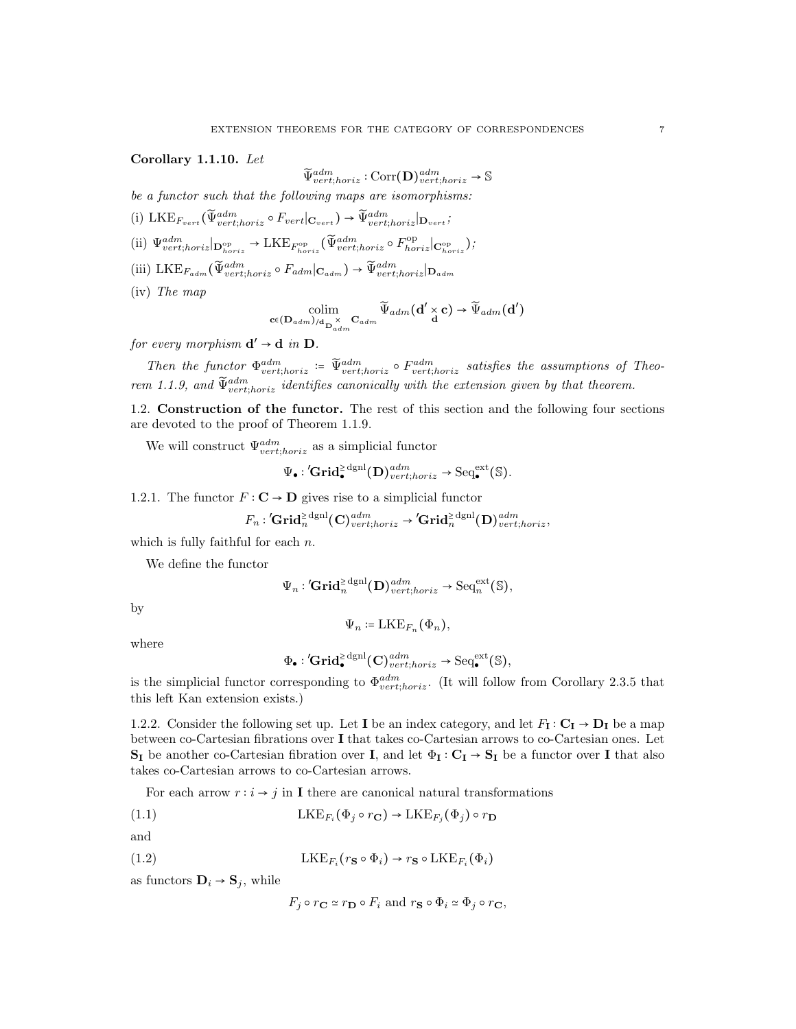Corollary 1.1.10. Let

$$
\widetilde{\Psi}^{adm}_{vert;horiz}: \mathrm{Corr}(\mathbf{D})^{adm}_{vert;horiz} \to \mathbb{S}
$$

be a functor such that the following maps are isomorphisms:

(i) 
$$
LKE_{F_{vert}}(\widetilde{\Psi}_{vert;horiz}^{adm} \circ F_{vert}|_{\mathbf{C}_{vert}}) \rightarrow \widetilde{\Psi}_{vert;horiz}^{adm}|_{\mathbf{D}_{vert}}
$$

- (ii)  $\Psi^{adm}_{vert;horiz}|_{\mathbf{D}^{\rm op}_{horiz}} \to \mathrm{LKE}_{F^{\rm op}_{horiz}}(\widetilde{\Psi}^{adm}_{vert;horiz} \circ F^{\rm op}_{horiz}|_{\mathbf{C}^{\rm op}_{horiz}});$
- (iii)  $\text{LKE}_{F_{adm}}(\tilde{\Psi}^{adm}_{vert;horiz} \circ F_{adm} | \mathbf{C}_{adm}) \rightarrow \tilde{\Psi}^{adm}_{vert;horiz} | \mathbf{D}_{adm}$
- (iv) The map

$$
\underset{\mathbf{c}\in(\mathbf{D}_{adm})_{/\mathbf{d}_{\mathbf{D}}}^{\times}}{\operatorname{colim}}\underset{\mathbf{D}_{adm}}{\widetilde{\Psi}_{adm}}(\mathbf{d}'\times\mathbf{c})\rightarrow\widetilde{\Psi}_{adm}(\mathbf{d}')
$$

for every morphism  $\mathbf{d}' \to \mathbf{d}$  in  $\mathbf{D}$ .

Then the functor  $\Phi_{vert;horiz}^{adm} := \widetilde{\Psi}_{vert;horiz}^{adm} \circ F_{vert;horiz}^{adm}$  satisfies the assumptions of Theorem 1.1.9, and  $\widetilde{\Psi}_{vert,horiz}^{adm}$  identifies canonically with the extension given by that theorem.

1.2. Construction of the functor. The rest of this section and the following four sections are devoted to the proof of Theorem 1.1.9.

We will construct  $\Psi^{adm}_{vert;horiz}$  as a simplicial functor

$$
\Psi_{\bullet}: 'Grid_{\bullet}^{\geq \mathrm{dgnl}}(\mathbf{D})^{adm}_{vert;horiz} \to \mathrm{Seq}_{\bullet}^{\mathrm{ext}}(\mathbb{S}).
$$

1.2.1. The functor  $F: \mathbf{C} \to \mathbf{D}$  gives rise to a simplicial functor

$$
F_n: 'Grid_n^{\geq \text{dgnl}}(\mathbf{C})^{adm}_{vert;horiz} \rightarrow 'Grid_n^{\geq \text{dgnl}}(\mathbf{D})^{adm}_{vert;horiz},
$$

which is fully faithful for each  $n$ .

We define the functor

$$
\Psi_n: 'Grid_n^{\geq \text{dgnl}}(\mathbf{D})^{adm}_{vert;horiz} \to \text{Seq}_n^{\text{ext}}(\mathbb{S}),
$$

by

$$
\Psi_n \coloneqq \mathrm{LKE}_{F_n}(\Phi_n),
$$

where

$$
\Phi_{\bullet}: {'}\mathbf{Grid}_{\bullet}^{\geq \mathrm{dgnl}}(\mathbf{C})^{adm}_{vert;horiz} \to \mathrm{Seq}_{\bullet}^{\mathrm{ext}}(\mathbb{S}),
$$

is the simplicial functor corresponding to  $\Phi_{vert, horiz}^{adm}$ . (It will follow from Corollary 2.3.5 that this left Kan extension exists.)

1.2.2. Consider the following set up. Let **I** be an index category, and let  $F_I : C_I \to D_I$  be a map between co-Cartesian fibrations over I that takes co-Cartesian arrows to co-Cartesian ones. Let  $S_I$  be another co-Cartesian fibration over I, and let  $\Phi_I : C_I \to S_I$  be a functor over I that also takes co-Cartesian arrows to co-Cartesian arrows.

For each arrow  $r : i \rightarrow j$  in **I** there are canonical natural transformations

(1.1) 
$$
LKE_{F_i}(\Phi_j \circ r_{\mathbf{C}}) \to LKE_{F_j}(\Phi_j) \circ r_{\mathbf{D}}
$$

and

(1.2) 
$$
LKE_{F_i}(r_S \circ \Phi_i) \to r_S \circ LKE_{F_i}(\Phi_i)
$$

as functors  $\mathbf{D}_i \rightarrow \mathbf{S}_j$ , while

$$
F_j \circ r_{\mathbf{C}} \simeq r_{\mathbf{D}} \circ F_i
$$
 and  $r_{\mathbf{S}} \circ \Phi_i \simeq \Phi_j \circ r_{\mathbf{C}}$ ,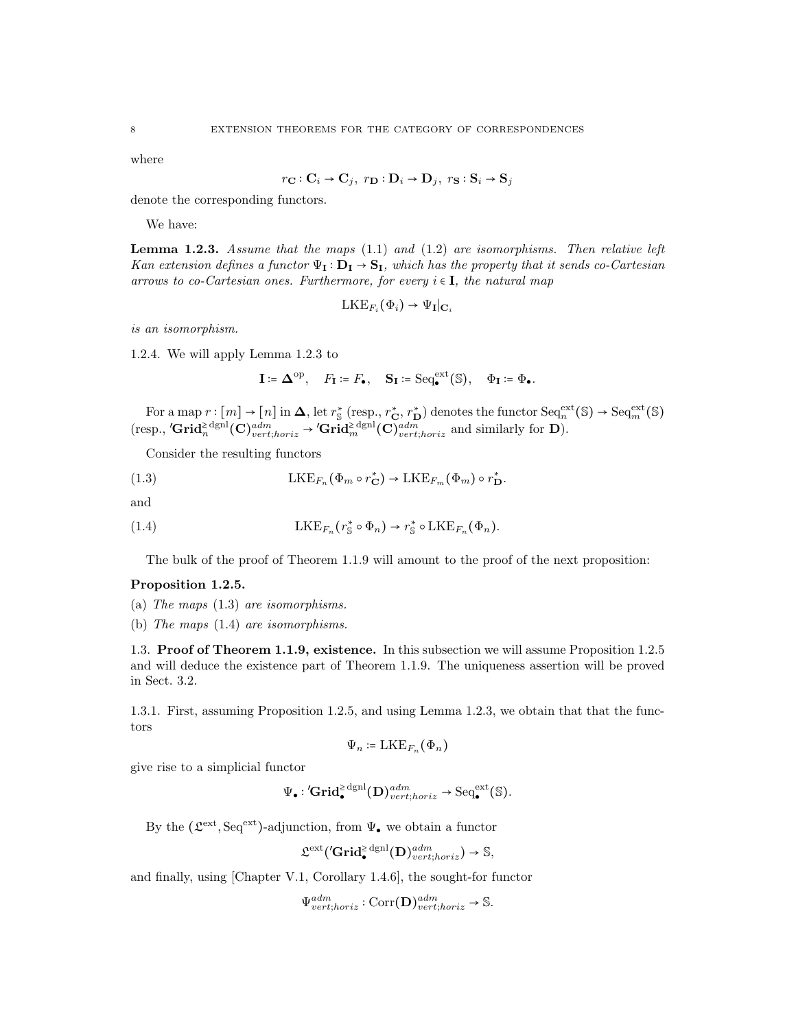where

$$
r_{\mathbf{C}}:\mathbf{C}_i \to \mathbf{C}_j, \ r_{\mathbf{D}}:\mathbf{D}_i \to \mathbf{D}_j, \ r_{\mathbf{S}}:\mathbf{S}_i \to \mathbf{S}_j
$$

denote the corresponding functors.

We have:

**Lemma 1.2.3.** Assume that the maps  $(1.1)$  and  $(1.2)$  are isomorphisms. Then relative left Kan extension defines a functor  $\Psi_I : D_I \to S_I$ , which has the property that it sends co-Cartesian arrows to co-Cartesian ones. Furthermore, for every  $i \in I$ , the natural map

$$
\mathrm{LKE}_{F_i}(\Phi_i) \to \Psi_\mathbf{I}|_{\mathbf{C}_i}
$$

is an isomorphism.

1.2.4. We will apply Lemma 1.2.3 to

$$
\mathbf{I}\coloneqq \boldsymbol{\Delta}^{\mathrm{op}}, \quad F_\mathbf{I}\coloneqq F_\bullet, \quad \mathbf{S}_\mathbf{I}\coloneqq \mathrm{Seq}_\bullet^{\mathrm{ext}}(\mathbb{S}), \quad \Phi_\mathbf{I}\coloneqq \Phi_\bullet.
$$

For a map  $r: [m] \to [n]$  in  $\Delta$ , let  $r_{\mathcal{S}}^*$  (resp.,  $r_{\mathbf{C}}^*$ ,  $r_{\mathbf{D}}^*$ ) denotes the functor  $\text{Seq}_n^{\text{ext}}(\mathcal{S}) \to \text{Seq}_m^{\text{ext}}(\mathcal{S})$ (resp.,  $'\mathbf{Grid}_n^{\geq \text{dgnl}}(\mathbf{C})_{vert;loriz}^{adm} \rightarrow \mathbf{Grid}_m^{\geq \text{dgnl}}(\mathbf{C})_{vert;loriz}^{adm}$  and similarly for **D**).

Consider the resulting functors

(1.3) 
$$
LKE_{F_n}(\Phi_m \circ r^*_{\mathbf{C}}) \to LKE_{F_m}(\Phi_m) \circ r^*_{\mathbf{D}}.
$$

$$
\quad\text{and}\quad
$$

(1.4) 
$$
LKE_{F_n}(r_{\mathbb{S}}^* \circ \Phi_n) \to r_{\mathbb{S}}^* \circ LKE_{F_n}(\Phi_n).
$$

The bulk of the proof of Theorem 1.1.9 will amount to the proof of the next proposition:

### Proposition 1.2.5.

- (a) The maps (1.3) are isomorphisms.
- (b) The maps (1.4) are isomorphisms.

1.3. Proof of Theorem 1.1.9, existence. In this subsection we will assume Proposition 1.2.5 and will deduce the existence part of Theorem 1.1.9. The uniqueness assertion will be proved in Sect. 3.2.

1.3.1. First, assuming Proposition 1.2.5, and using Lemma 1.2.3, we obtain that that the functors

$$
\Psi_n \coloneqq \mathrm{LKE}_{F_n}(\Phi_n)
$$

give rise to a simplicial functor

$$
\Psi_{\bullet}: 'Grid_{\bullet}^{\geq \mathrm{dgnl}}(\mathbf{D})^{adm}_{vert;horiz} \to \mathrm{Seq}_{\bullet}^{\mathrm{ext}}(\mathbb{S}).
$$

By the  $(\mathfrak{L}^{\text{ext}}, \text{Seq}^{\text{ext}})$ -adjunction, from  $\Psi_{\bullet}$  we obtain a functor

$$
\mathfrak{L}^{\text{ext}}(\text{Grid}_{\bullet}^{\geq \text{dgnl}}(\mathbf{D})_{vert;horiz}^{adm}) \to \mathbb{S},
$$

and finally, using [Chapter V.1, Corollary 1.4.6], the sought-for functor

 $\Psi^{adm}_{vert;horiz} : \text{Corr}(\mathbf{D})^{adm}_{vert;horiz} \to \mathbb{S}.$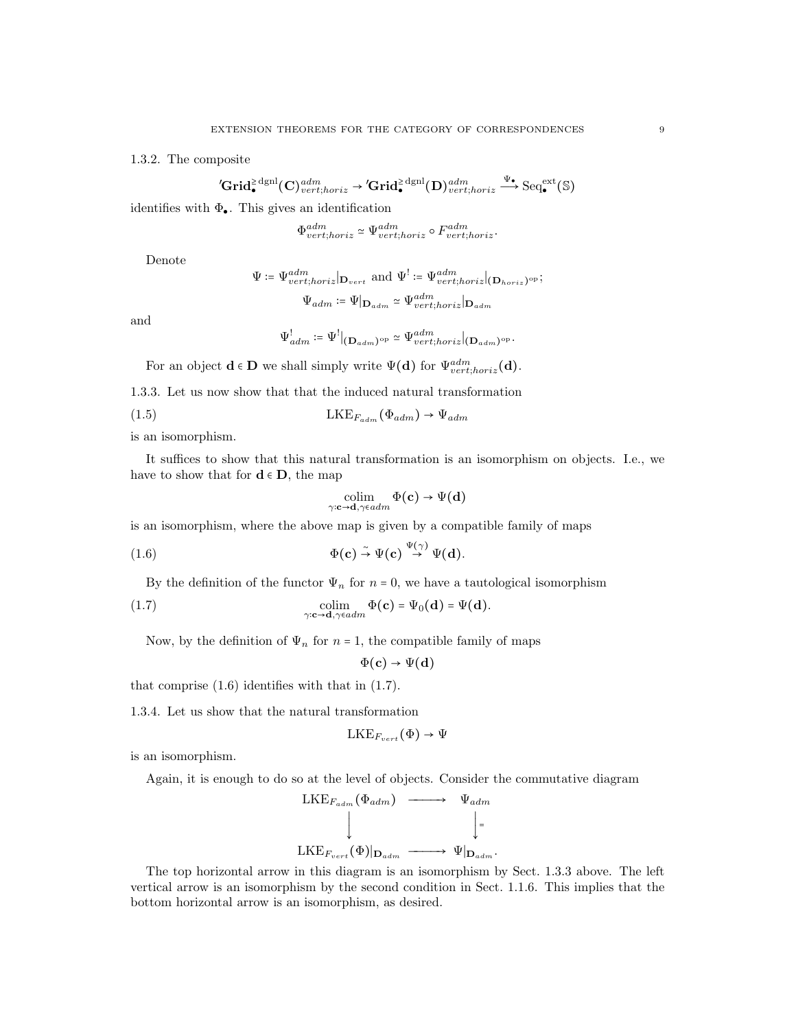1.3.2. The composite

$$
'\mathbf{Grid}_{\bullet}^{\geq \mathrm{dgnl}}(\mathbf{C})^{adm}_{vert;horiz} \rightarrow '\mathbf{Grid}_{\bullet}^{\geq \mathrm{dgnl}}(\mathbf{D})^{adm}_{vert;horiz} \xrightarrow{\Psi_{\bullet}} \mathrm{Seq}_{\bullet}^{\mathrm{ext}}(\mathbb{S})
$$

identifies with  $\Phi_{\bullet}$ . This gives an identification

$$
\Phi^{adm}_{vert;horiz} \simeq \Psi^{adm}_{vert;horiz} \circ F^{adm}_{vert;horiz}.
$$

Denote

$$
\Psi \coloneqq \Psi^{adm}_{vert;horiz}|_{\mathbf{D}_{vert}} \text{ and } \Psi^! \coloneqq \Psi^{adm}_{vert;horiz}|_{(\mathbf{D}_{horiz})^{\mathrm{op}}};
$$
  

$$
\Psi_{adm} \coloneqq \Psi|_{\mathbf{D}_{adm}} \simeq \Psi^{adm}_{vert;horiz}|_{\mathbf{D}_{adm}}
$$

and

$$
\Psi_{adm}^! := \Psi^!|_{(\mathbf{D}_{adm})^{\mathrm{op}}} \simeq \Psi_{vert;horiz}^{adm}|_{(\mathbf{D}_{adm})^{\mathrm{op}}}.
$$

For an object  $\mathbf{d} \in \mathbf{D}$  we shall simply write  $\Psi(\mathbf{d})$  for  $\Psi^{adm}_{vert, horiz}(\mathbf{d})$ .

1.3.3. Let us now show that that the induced natural transformation

$$
LKE_{F_{adm}}(\Phi_{adm}) \to \Psi_{adm}
$$

is an isomorphism.

It suffices to show that this natural transformation is an isomorphism on objects. I.e., we have to show that for  $\mathbf{d} \in \mathbf{D}$ , the map

$$
\underset{\gamma: \mathbf{c} \to \mathbf{d}, \gamma \in adm}{\text{colim}} \Phi(\mathbf{c}) \to \Psi(\mathbf{d})
$$

is an isomorphism, where the above map is given by a compatible family of maps

(1.6) 
$$
\Phi(\mathbf{c}) \stackrel{\sim}{\rightarrow} \Psi(\mathbf{c}) \stackrel{\Psi(\gamma)}{\rightarrow} \Psi(\mathbf{d}).
$$

By the definition of the functor  $\Psi_n$  for  $n = 0$ , we have a tautological isomorphism

(1.7) 
$$
\underset{\gamma: \mathbf{c} \to \mathbf{d}, \gamma \in adm}{\text{colim}} \Phi(\mathbf{c}) = \Psi_0(\mathbf{d}) = \Psi(\mathbf{d}).
$$

Now, by the definition of  $\Psi_n$  for  $n = 1$ , the compatible family of maps

 $\Phi(c) \rightarrow \Psi(d)$ 

that comprise (1.6) identifies with that in (1.7).

1.3.4. Let us show that the natural transformation

$$
\mathrm{LKE}_{F_{vert}}(\Phi) \to \Psi
$$

is an isomorphism.

Again, it is enough to do so at the level of objects. Consider the commutative diagram

$$
\begin{array}{ccc}\n\text{LKE}_{F_{adm}}(\Phi_{adm}) & \longrightarrow & \Psi_{adm} \\
\downarrow & & \downarrow \\
\text{LKE}_{F_{vert}}(\Phi)|_{\mathbf{D}_{adm}} & \longrightarrow & \Psi|_{\mathbf{D}_{adm}}.\n\end{array}
$$

The top horizontal arrow in this diagram is an isomorphism by Sect. 1.3.3 above. The left vertical arrow is an isomorphism by the second condition in Sect. 1.1.6. This implies that the bottom horizontal arrow is an isomorphism, as desired.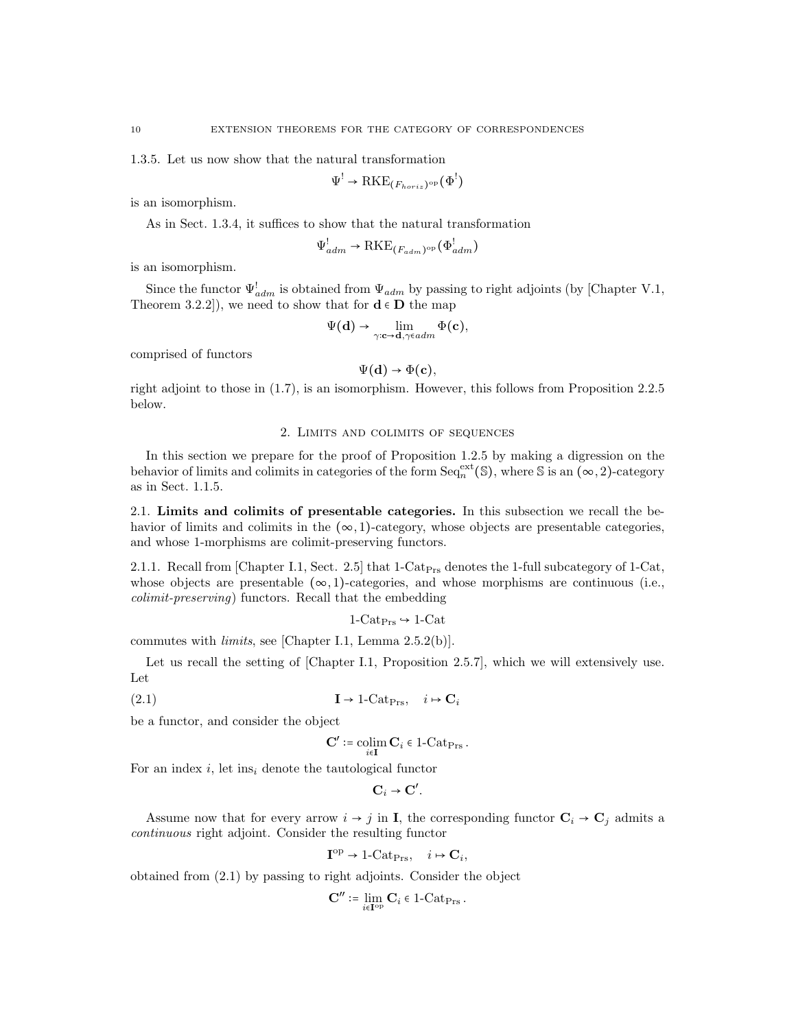1.3.5. Let us now show that the natural transformation

$$
\Psi^! \to \textnormal{RKE}_{(F_{horiz})^{\text{op}}}(\Phi^!)
$$

is an isomorphism.

As in Sect. 1.3.4, it suffices to show that the natural transformation

$$
\Psi_{adm}^! \to \text{RKE}_{(F_{adm})^{\text{op}}}(\Phi_{adm}^!)
$$

is an isomorphism.

Since the functor  $\Psi_{adm}^!$  is obtained from  $\Psi_{adm}$  by passing to right adjoints (by [Chapter V.1, Theorem 3.2.2]), we need to show that for  $\mathbf{d} \in \mathbf{D}$  the map

$$
\Psi(\mathbf{d}) \to \lim_{\gamma:\mathbf{c}\to\mathbf{d},\gamma\in\mathit{adm}} \Phi(\mathbf{c}),
$$

comprised of functors

$$
\Psi(\mathbf{d}) \to \Phi(\mathbf{c}),
$$

right adjoint to those in (1.7), is an isomorphism. However, this follows from Proposition 2.2.5 below.

### 2. Limits and colimits of sequences

In this section we prepare for the proof of Proposition 1.2.5 by making a digression on the behavior of limits and colimits in categories of the form  $\text{Seq}_n^{\text{ext}}(\mathbb{S})$ , where  $\mathbb S$  is an  $(\infty, 2)$ -category as in Sect. 1.1.5.

2.1. Limits and colimits of presentable categories. In this subsection we recall the behavior of limits and colimits in the  $(\infty, 1)$ -category, whose objects are presentable categories, and whose 1-morphisms are colimit-preserving functors.

2.1.1. Recall from [Chapter I.1, Sect. 2.5] that  $1$ -Cat<sub>Prs</sub> denotes the 1-full subcategory of 1-Cat, whose objects are presentable  $(\infty, 1)$ -categories, and whose morphisms are continuous (i.e., colimit-preserving) functors. Recall that the embedding

 $1$ -Cat<sub>Prs</sub>  $\rightarrow$  1-Cat

commutes with limits, see [Chapter I.1, Lemma 2.5.2(b)].

Let us recall the setting of [Chapter I.1, Proposition 2.5.7], which we will extensively use. Let

(2.1)  $\mathbf{I} \to 1\text{-}\mathrm{Cat}_{\mathrm{Prs}}, \quad i \mapsto \mathbf{C}_i$ 

be a functor, and consider the object

$$
\mathbf{C}' \coloneqq \underset{i \in \mathbf{I}}{\operatorname{colim}} \, \mathbf{C}_i \in 1\text{-}\mathrm{Cat}_{\mathrm{Prs}} \, .
$$

For an index  $i$ , let ins<sub>i</sub> denote the tautological functor

 $\mathbf{C}_i \rightarrow \mathbf{C}'$ .

Assume now that for every arrow  $i \to j$  in I, the corresponding functor  $C_i \to C_j$  admits a continuous right adjoint. Consider the resulting functor

$$
\mathbf{I}^{\mathrm{op}} \to 1\text{-}\mathrm{Cat}_{\mathrm{Prs}}, \quad i \mapsto \mathbf{C}_i,
$$

obtained from (2.1) by passing to right adjoints. Consider the object

$$
\mathbf{C}'' \coloneqq \lim_{i \in \mathbf{I}^{\mathrm{op}}} \mathbf{C}_i \in 1\text{-}\mathrm{Cat}_{\mathrm{Prs}}\,.
$$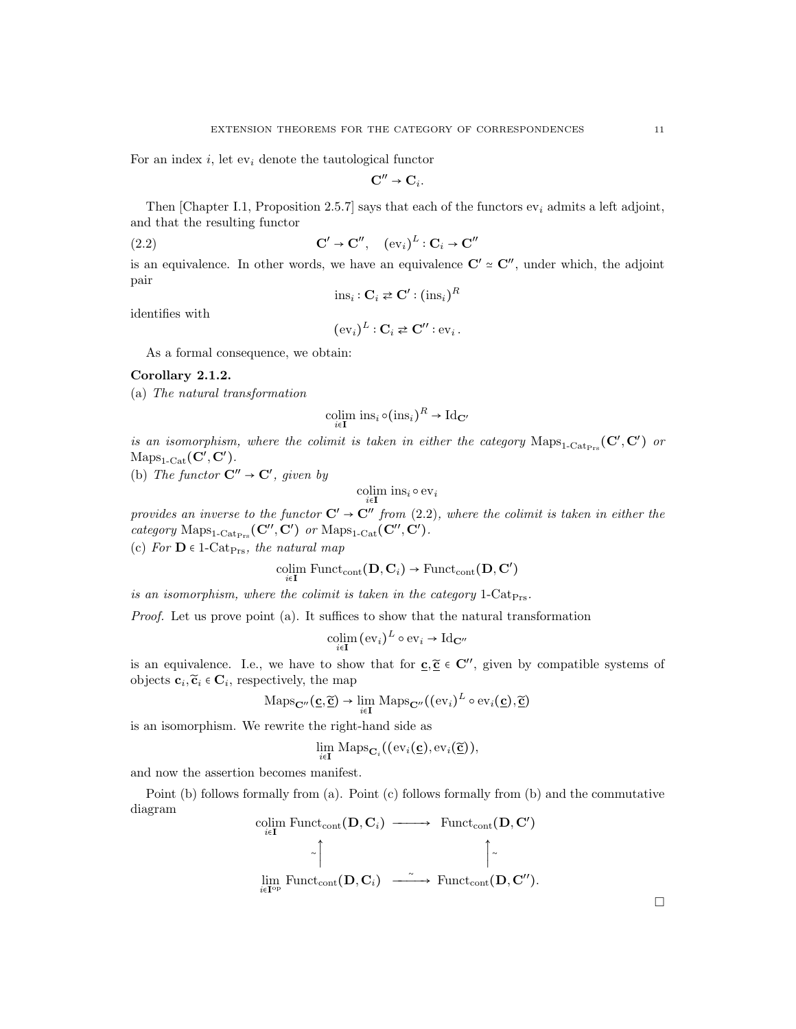For an index i, let  $ev_i$  denote the tautological functor

 $\mathbf{C}'' \to \mathbf{C}_i.$ 

Then [Chapter I.1, Proposition 2.5.7] says that each of the functors  $ev_i$  admits a left adjoint, and that the resulting functor

 $(2.2)$  $'\rightarrow \mathbf{C}'', \quad (\text{ev}_i)^L: \mathbf{C}_i \rightarrow \mathbf{C}''$ 

is an equivalence. In other words, we have an equivalence  $\mathbf{C}' \simeq \mathbf{C}''$ , under which, the adjoint pair

$$
\text{ins}_i : \mathbf{C}_i \rightleftarrows \mathbf{C}' : (\text{ins}_i)^R
$$

identifies with

$$
(ev_i)^L : C_i \rightleftarrows C'': ev_i.
$$

As a formal consequence, we obtain:

## Corollary 2.1.2.

(a) The natural transformation

$$
\underset{i \in \mathbf{I}}{\text{colim}} \text{ ins}_i \circ (\text{ins}_i)^R \to \text{Id}_{\mathbf{C}'}
$$

is an isomorphism, where the colimit is taken in either the category  $\text{Maps}_{1\text{-}\text{Cat}_{\text{Prs}}}(\textbf{C}', \textbf{C}')$  or  $\mathrm{Maps}_{1\text{-}\mathrm{Cat}}(\mathbf{C}', \mathbf{C}')$ .

(b) The functor  $\mathbf{C}'' \to \mathbf{C}'$ , given by

 $\operatornamewithlimits{colim}_{i\in\mathbf{I}}\,\operatornamewithlimits{ins}_i\circ \operatorname{ev}_i$ 

provides an inverse to the functor  $\mathbf{C}' \to \mathbf{C}''$  from (2.2), where the colimit is taken in either the category  $\mathrm{Maps}_{1\text{-}\mathrm{Cat}_{\mathrm{Prs}}}(\mathbf{C}'', \mathbf{C}')$  or  $\mathrm{Maps}_{1\text{-}\mathrm{Cat}}(\mathbf{C}'', \mathbf{C}')$ .

(c) For  $\mathbf{D} \in \text{1-Cat}_{\text{Prs}}$ , the natural map

$$
\underset{i \in \mathbf{I}}{\text{colim}} \; \text{Funct}_{\text{cont}}(\mathbf{D}, \mathbf{C}_i) \to \text{Funct}_{\text{cont}}(\mathbf{D}, \mathbf{C}')
$$

is an isomorphism, where the colimit is taken in the category  $1$ -Cat<sub>Prs</sub>.

Proof. Let us prove point (a). It suffices to show that the natural transformation

$$
\operatornamewithlimits{colim}_{i \in \mathbf{I}} (\operatorname{ev}_i)^L \circ \operatorname{ev}_i \to \operatorname{Id}_{\mathbf{C}''}
$$

is an equivalence. I.e., we have to show that for  $\underline{c}, \underline{\tilde{c}} \in \mathbb{C}''$ , given by compatible systems of objects  $\mathbf{c}_i, \widetilde{\mathbf{c}}_i \in \mathbf{C}_i$ , respectively, the map

$$
\mathrm{Maps}_{\mathbf{C}''}(\underline{\mathbf{c}}, \underline{\widetilde{\mathbf{c}}}) \to \lim_{i \in \mathbf{I}} \mathrm{Maps}_{\mathbf{C}''}((\mathrm{ev}_i)^L \circ \mathrm{ev}_i(\underline{\mathbf{c}}), \underline{\widetilde{\mathbf{c}}})
$$

is an isomorphism. We rewrite the right-hand side as

$$
\lim_{i \in \mathbf{I}} \mathrm{Maps}_{\mathbf{C}_i}((\mathrm{ev}_i(\mathbf{\underline{c}}), \mathrm{ev}_i(\mathbf{\underline{\widetilde{c}}})),
$$

and now the assertion becomes manifest.

Point (b) follows formally from (a). Point (c) follows formally from (b) and the commutative diagram

$$
\begin{array}{ccc}\n\text{colim Function}_{\text{\'et}}(\mathbf{D}, \mathbf{C}_{i}) & \longrightarrow & \text{Funct}_{\text{cont}}(\mathbf{D}, \mathbf{C}') \\
\downarrow^{\mathbf{C}^{\text{def}}}_{\text{\'et}^{\text{op}}} & \uparrow^{\mathbf{C}^{\text{def}}}_{\text{cont}}(\mathbf{D}, \mathbf{C}_{i}) & \longrightarrow & \text{Funct}_{\text{cont}}(\mathbf{D}, \mathbf{C}'').\n\end{array}
$$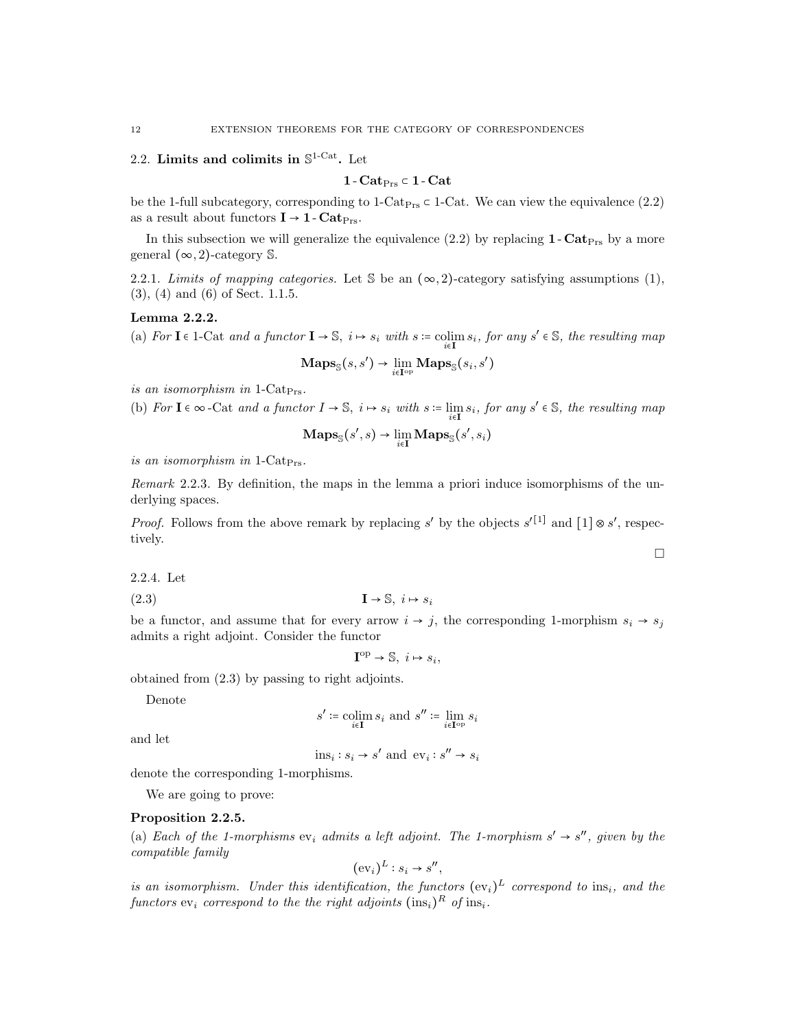# 2.2. Limits and colimits in  $\mathbb{S}^{1-\text{Cat}}$ . Let

$$
1\text{-}\mathrm{Cat}_{\mathrm{Prs}}\in 1\text{-}\mathrm{Cat}
$$

be the 1-full subcategory, corresponding to 1-Cat<sub>Prs</sub>  $\subset$  1-Cat. We can view the equivalence (2.2) as a result about functors  $I \rightarrow 1$  -  $Cat_{Prs}$ .

In this subsection we will generalize the equivalence  $(2.2)$  by replacing **1** -  $Cat_{\text{Prs}}$  by a more general  $(\infty, 2)$ -category S.

2.2.1. Limits of mapping categories. Let S be an  $(\infty, 2)$ -category satisfying assumptions (1), (3), (4) and (6) of Sect. 1.1.5.

#### Lemma 2.2.2.

(a) For  $I \in I$ -Cat and a functor  $I \to \mathbb{S}$ ,  $i \mapsto s_i$  with  $s := \operatornamewithlimits{colim}_{i \in I} s_i$ , for any  $s' \in \mathbb{S}$ , the resulting map

$$
\mathbf{Maps}_{\mathbb{S}}(s,s') \rightarrow \lim_{i \in \mathbf{I}^{\mathrm{op}}} \mathbf{Maps}_{\mathbb{S}}(s_i,s')
$$

is an isomorphism in  $1$ -Cat<sub>Prs</sub>.

(b) For  $I \in \infty$ -Cat and a functor  $I \to \mathbb{S}$ ,  $i \mapsto s_i$  with  $s := \lim_{i \in I} s_i$ , for any  $s' \in \mathbb{S}$ , the resulting map

$$
\mathbf{Maps}_{\mathbb{S}}(s', s) \to \lim_{i \in \mathbf{I}} \mathbf{Maps}_{\mathbb{S}}(s', s_i)
$$

is an isomorphism in  $1$ -Cat<sub>Prs</sub>.

Remark 2.2.3. By definition, the maps in the lemma a priori induce isomorphisms of the underlying spaces.

*Proof.* Follows from the above remark by replacing s' by the objects  $s^{\prime}[1]$  and  $[1] \otimes s'$ , respectively.

 $\Box$ 

2.2.4. Let

(2.3)  $\mathbf{I} \to \mathbb{S}, i \mapsto s_i$ 

be a functor, and assume that for every arrow  $i \rightarrow j$ , the corresponding 1-morphism  $s_i \rightarrow s_j$ admits a right adjoint. Consider the functor

$$
\mathbf{I}^{\mathrm{op}} \to \mathbb{S}, \ i \mapsto s_i,
$$

obtained from (2.3) by passing to right adjoints.

Denote

$$
s' \coloneqq \mathop{\text{\rm colim}}_{i \in \mathbf{I}} s_i \text{ and } s'' \coloneqq \lim_{i \in \mathbf{I}^{\text{op}}} s_i
$$

and let

$$
\text{ins}_i : s_i \to s' \text{ and } \text{ev}_i : s'' \to s_i
$$

denote the corresponding 1-morphisms.

We are going to prove:

#### Proposition 2.2.5.

(a) Each of the 1-morphisms  $ev_i$  admits a left adjoint. The 1-morphism  $s' \rightarrow s''$ , given by the compatible family

$$
(\mathrm{ev}_i)^L : s_i \to s'',
$$

is an isomorphism. Under this identification, the functors  $(ev_i)^L$  correspond to ins<sub>i</sub>, and the functors  $ev_i$  correspond to the the right adjoints  $(\text{ins}_i)^R$  of  $\text{ins}_i$ .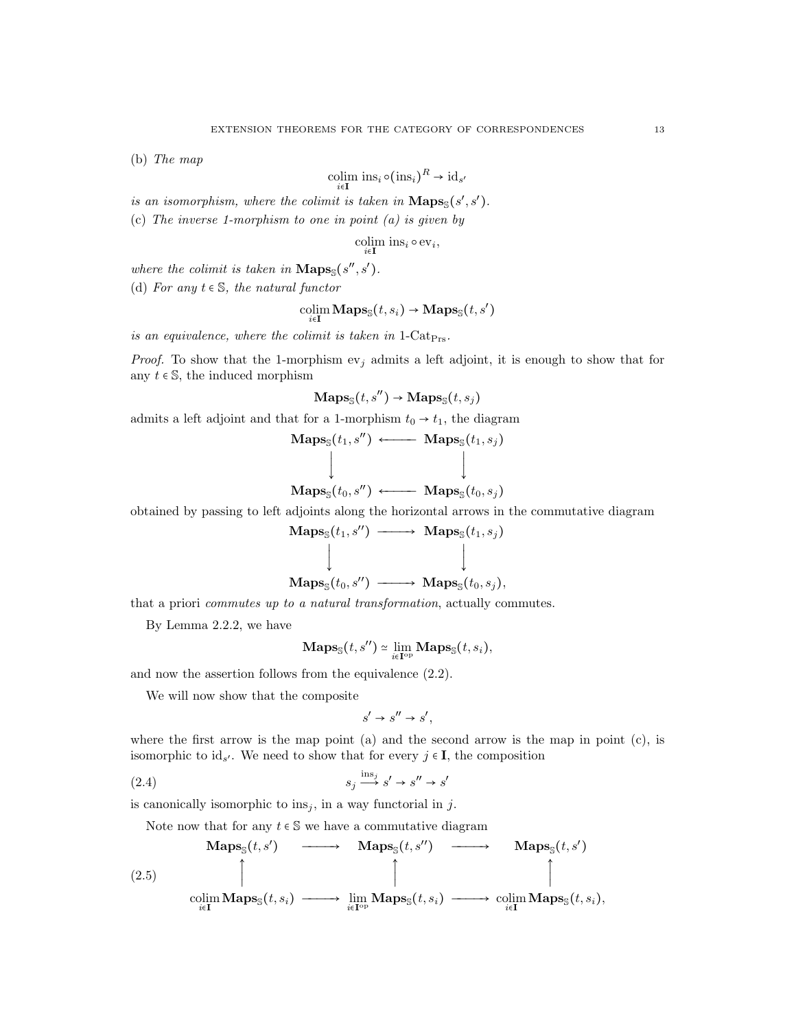(b) The map

$$
\underset{i \in \mathbf{I}}{\text{colim}} \text{ ins}_i \circ (\text{ins}_i)^R \to \text{id}_{s'}
$$

is an isomorphism, where the colimit is taken in  $\mathbf{Maps}_{\mathbb{S}}(s', s')$ .

(c) The inverse 1-morphism to one in point (a) is given by

$$
\underset{i\in \mathbf{I}}{\operatorname{colim}}\ \text{ins}_i \circ \text{ev}_i,
$$

where the colimit is taken in  $\mathbf{Maps}_{\mathbb{S}}(s'', s')$ .

(d) For any  $t \in \mathbb{S}$ , the natural functor

$$
\operatornamewithlimits{colim}_{i \in \mathbf{I}} \mathbf{Maps}_{\mathbb S}(t,s_i) \to \mathbf{Maps}_{\mathbb S}(t,s')
$$

is an equivalence, where the colimit is taken in  $1$ -Cat<sub>Prs</sub>.

*Proof.* To show that the 1-morphism  $ev_j$  admits a left adjoint, it is enough to show that for any  $t \in \mathbb{S}$ , the induced morphism

$$
\mathbf{Maps}_{\mathbb{S}}(t, s'') \to \mathbf{Maps}_{\mathbb{S}}(t, s_j)
$$

admits a left adjoint and that for a 1-morphism  $t_0 \rightarrow t_1$ , the diagram

$$
\begin{array}{ccc}\n\text{Maps}_{\mathbb{S}}(t_1, s'') & \longleftarrow & \text{Maps}_{\mathbb{S}}(t_1, s_j) \\
\downarrow & & \downarrow \\
\text{Maps}_{\mathbb{S}}(t_0, s'') & \longleftarrow & \text{Maps}_{\mathbb{S}}(t_0, s_j)\n\end{array}
$$

obtained by passing to left adjoints along the horizontal arrows in the commutative diagram

$$
\begin{array}{ccc}\n\text{Maps}_{\mathbb{S}}(t_1, s'') & \longrightarrow & \text{Maps}_{\mathbb{S}}(t_1, s_j) \\
\downarrow & & \downarrow \\
\text{Maps}_{\mathbb{S}}(t_0, s'') & \longrightarrow & \text{Maps}_{\mathbb{S}}(t_0, s_j),\n\end{array}
$$

that a priori commutes up to a natural transformation, actually commutes.

By Lemma 2.2.2, we have

$$
\mathbf{Maps}_{\mathbb{S}}(t, s'') \simeq \lim_{i \in \mathbf{Top}} \mathbf{Maps}_{\mathbb{S}}(t, s_i),
$$

and now the assertion follows from the equivalence (2.2).

We will now show that the composite

$$
s' \to s'' \to s',
$$

where the first arrow is the map point  $(a)$  and the second arrow is the map in point  $(c)$ , is isomorphic to  $id_{s'}$ . We need to show that for every  $j \in I$ , the composition

$$
(2.4) \quad s_j \xrightarrow{\text{ins}_j} s' \to s'' \to s'
$$

is canonically isomorphic to ins<sub>i</sub>, in a way functorial in j.

Note now that for any  $t \in \mathbb{S}$  we have a commutative diagram

$$
\begin{array}{ccc}\n\text{Maps}_{\mathbb{S}}(t, s') & \longrightarrow & \text{Maps}_{\mathbb{S}}(t, s'') & \longrightarrow & \text{Maps}_{\mathbb{S}}(t, s') \\
\uparrow & & \uparrow & & \uparrow \\
\text{colim Maps}_{\mathbb{S}}(t, s_i) & \longrightarrow & \lim_{i \in I} \text{Maps}_{\mathbb{S}}(t, s_i) & \longrightarrow & \text{colim Maps}_{\mathbb{S}}(t, s_i),\n\end{array}
$$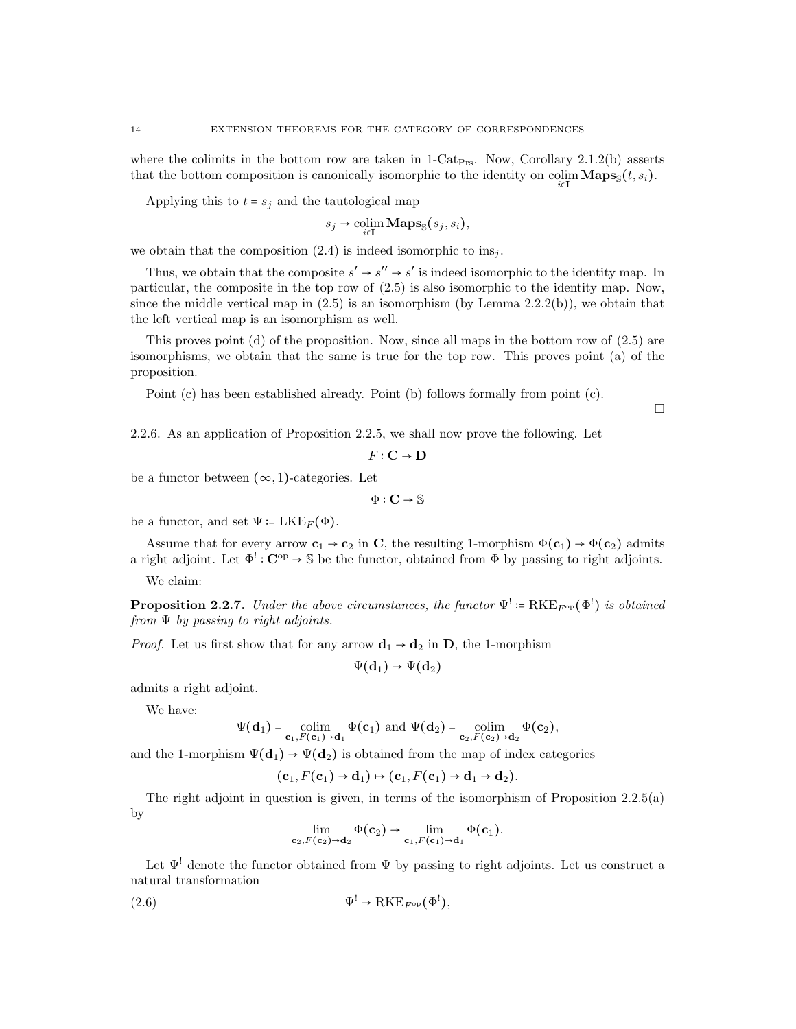where the colimits in the bottom row are taken in  $1$ -Cat<sub>Prs</sub>. Now, Corollary 2.1.2(b) asserts that the bottom composition is canonically isomorphic to the identity on colim  $\text{Maps}_{\mathbb{S}}(t, s_i)$ . i∈I

Applying this to  $t = s_j$  and the tautological map

 $s_j \rightarrow \operatorname*{colim}_{i \in \mathbf{I}} \mathbf{Maps}_{\mathbb{S}}(s_j, s_i),$ 

we obtain that the composition  $(2.4)$  is indeed isomorphic to ins<sub>j</sub>.

Thus, we obtain that the composite  $s' \rightarrow s'' \rightarrow s'$  is indeed isomorphic to the identity map. In particular, the composite in the top row of (2.5) is also isomorphic to the identity map. Now, since the middle vertical map in  $(2.5)$  is an isomorphism (by Lemma 2.2.2(b)), we obtain that the left vertical map is an isomorphism as well.

This proves point (d) of the proposition. Now, since all maps in the bottom row of (2.5) are isomorphisms, we obtain that the same is true for the top row. This proves point (a) of the proposition.

Point (c) has been established already. Point (b) follows formally from point (c).

2.2.6. As an application of Proposition 2.2.5, we shall now prove the following. Let

 $F: \mathbf{C} \to \mathbf{D}$ 

 $\Box$ 

be a functor between  $(\infty, 1)$ -categories. Let

 $\Phi : \mathbf{C} \to \mathbb{S}$ 

be a functor, and set  $\Psi \coloneqq \text{LKE}_F(\Phi)$ .

Assume that for every arrow  $c_1 \rightarrow c_2$  in C, the resulting 1-morphism  $\Phi(c_1) \rightarrow \Phi(c_2)$  admits a right adjoint. Let  $\Phi^!: \mathbf{C}^{op} \to \mathbb{S}$  be the functor, obtained from  $\Phi$  by passing to right adjoints.

We claim:

**Proposition 2.2.7.** Under the above circumstances, the functor  $\Psi^! = RKE_{F^{op}}(\Phi^!)$  is obtained  $from \Psi$  by passing to right adjoints.

*Proof.* Let us first show that for any arrow  $\mathbf{d}_1 \rightarrow \mathbf{d}_2$  in **D**, the 1-morphism

$$
\Psi(\mathbf{d}_1)\rightarrow \Psi(\mathbf{d}_2)
$$

admits a right adjoint.

We have:

$$
\Psi(\mathbf{d}_1) = \operatornamewithlimits{colim}_{\mathbf{c}_1, F(\mathbf{c}_1) \to \mathbf{d}_1} \Phi(\mathbf{c}_1) \text{ and } \Psi(\mathbf{d}_2) = \operatornamewithlimits{colim}_{\mathbf{c}_2, F(\mathbf{c}_2) \to \mathbf{d}_2} \Phi(\mathbf{c}_2),
$$

and the 1-morphism  $\Psi(\mathbf{d}_1) \to \Psi(\mathbf{d}_2)$  is obtained from the map of index categories

$$
(\mathbf{c}_1,F(\mathbf{c}_1)\rightarrow \mathbf{d}_1)\mapsto (\mathbf{c}_1,F(\mathbf{c}_1)\rightarrow \mathbf{d}_1\rightarrow \mathbf{d}_2).
$$

The right adjoint in question is given, in terms of the isomorphism of Proposition 2.2.5(a) by

$$
\lim_{\mathbf{c}_2,F(\mathbf{c}_2)\to\mathbf{d}_2}\Phi(\mathbf{c}_2)\to\lim_{\mathbf{c}_1,F(\mathbf{c}_1)\to\mathbf{d}_1}\Phi(\mathbf{c}_1).
$$

Let  $\Psi^!$  denote the functor obtained from  $\Psi$  by passing to right adjoints. Let us construct a natural transformation

$$
\Psi^! \to \text{RKE}_{F^{\text{op}}}(\Phi^!),
$$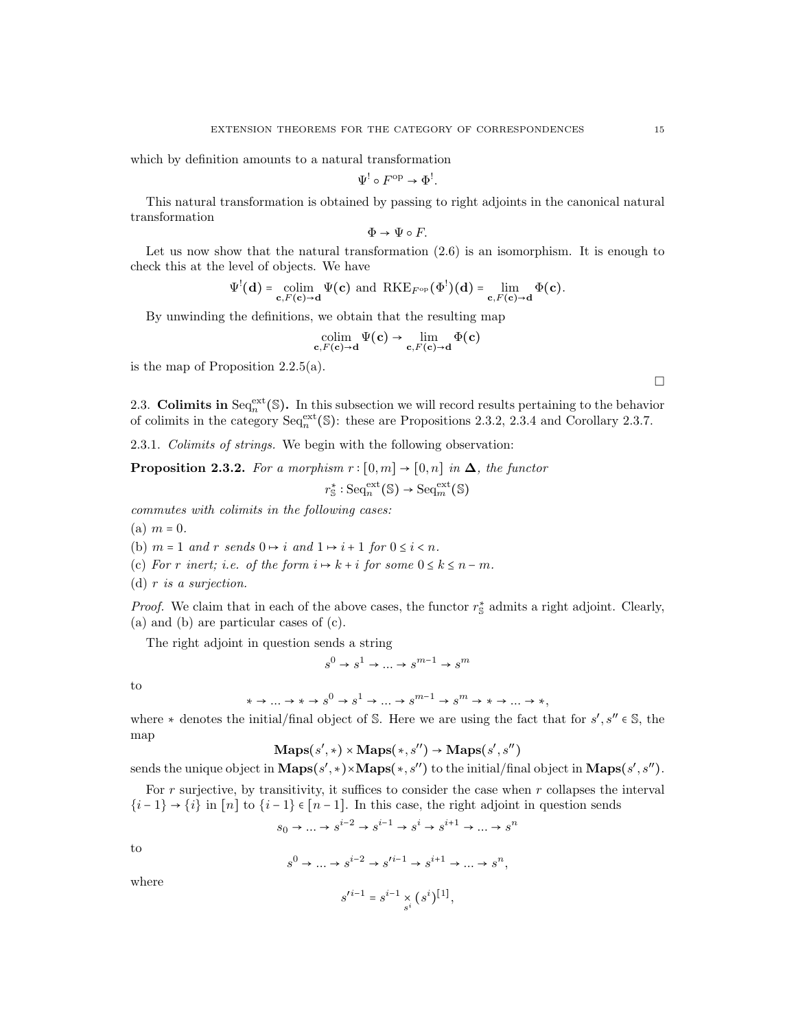which by definition amounts to a natural transformation

$$
\Psi^! \circ F^{\rm op} \to \Phi^!.
$$

This natural transformation is obtained by passing to right adjoints in the canonical natural transformation

$$
\Phi \rightarrow \Psi \circ F.
$$

Let us now show that the natural transformation 
$$
(2.6)
$$
 is an isomorphism. It is to check this at the level of objects. We have

$$
\Psi^!(\mathbf{d}) = \operatorname*{colim}_{\mathbf{c},F(\mathbf{c})\to\mathbf{d}} \Psi(\mathbf{c}) \text{ and } RKE_{F^{\mathrm{op}}}(\Phi^!) (\mathbf{d}) = \lim_{\mathbf{c},F(\mathbf{c})\to\mathbf{d}} \Phi(\mathbf{c}).
$$

By unwinding the definitions, we obtain that the resulting map

$$
\operatornamewithlimits{colim}_{\mathbf{c}, F(\mathbf{c}) \to \mathbf{d}} \Psi(\mathbf{c}) \to \lim_{\mathbf{c}, F(\mathbf{c}) \to \mathbf{d}} \Phi(\mathbf{c})
$$

is the map of Proposition  $2.2.5(a)$ .

2.3. Colimits in Seq<sup>ext</sup>(S). In this subsection we will record results pertaining to the behavior of colimits in the category  $\text{Seq}_n^{\text{ext}}(\mathbb{S})$ : these are Propositions 2.3.2, 2.3.4 and Corollary 2.3.7.

2.3.1. Colimits of strings. We begin with the following observation:

**Proposition 2.3.2.** For a morphism 
$$
r : [0, m] \rightarrow [0, n]
$$
 in  $\Delta$ , the functor

$$
r^*_\mathbb{S} : \mathrm{Seq}_n^{\mathrm{ext}}(\mathbb{S}) \to \mathrm{Seq}_m^{\mathrm{ext}}(\mathbb{S})
$$

commutes with colimits in the following cases:

(a)  $m = 0$ .

- (b)  $m = 1$  and r sends  $0 \mapsto i$  and  $1 \mapsto i + 1$  for  $0 \le i \le n$ .
- (c) For r inert; i.e. of the form  $i \mapsto k + i$  for some  $0 \le k \le n m$ .
- (d) r is a surjection.

*Proof.* We claim that in each of the above cases, the functor  $r_s^*$  admits a right adjoint. Clearly, (a) and (b) are particular cases of (c).

The right adjoint in question sends a string

$$
s^0 \to s^1 \to \dots \to s^{m-1} \to s^m
$$

to

$$
* \to \dots \to * \to s^0 \to s^1 \to \dots \to s^{m-1} \to s^m \to * \to \dots \to *,
$$

where \* denotes the initial/final object of S. Here we are using the fact that for  $s', s'' \in \mathbb{S}$ , the map

$$
\mathbf{Maps}(s',\ast) \times \mathbf{Maps}(\ast, s'') \to \mathbf{Maps}(s', s'')
$$

sends the unique object in  $\mathbf{Maps}(s',\ast)\times\mathbf{Maps}(\ast,s'')$  to the initial/final object in  $\mathbf{Maps}(s',s'')$ .

For  $r$  surjective, by transitivity, it suffices to consider the case when  $r$  collapses the interval  $\{i-1\} \rightarrow \{i\}$  in  $[n]$  to  $\{i-1\} \in [n-1]$ . In this case, the right adjoint in question sends

$$
s_0 \to \dots \to s^{i-2} \to s^{i-1} \to s^i \to s^{i+1} \to \dots \to s^n
$$

to

$$
s^{0} \to \dots \to s^{i-2} \to s'^{i-1} \to s^{i+1} \to \dots \to s^{n},
$$

where

$$
{s'}^{i-1} = s^{i-1} \underset{s^i}{\times} (s^i)^{[1]},
$$

s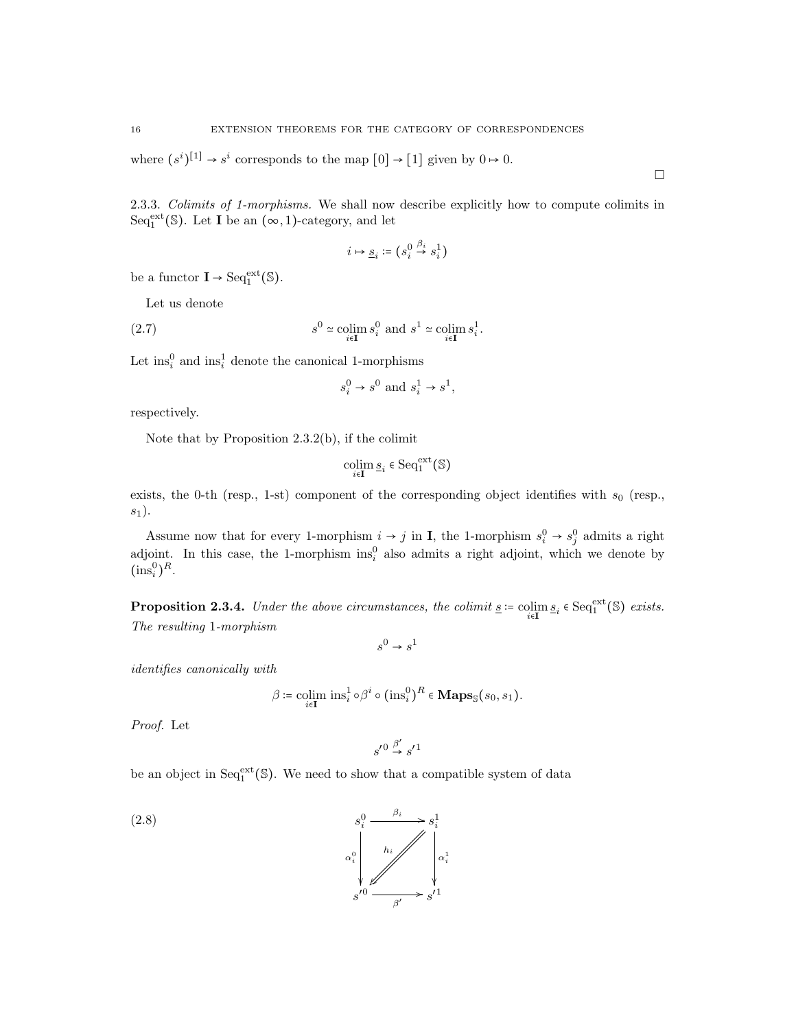where  $(s^{i})^{[1]} \rightarrow s^{i}$  corresponds to the map  $[0] \rightarrow [1]$  given by  $0 \rightarrow 0$ .

2.3.3. Colimits of 1-morphisms. We shall now describe explicitly how to compute colimits in Seq<sup>ext</sup>( $\mathbb{S}$ ). Let **I** be an  $(\infty, 1)$ -category, and let

$$
i\mapsto \underline{s}_i\coloneqq \big(s_i^0\stackrel{\beta_i}{\to} s_i^1\big)
$$

be a functor  $I \rightarrow \text{Seq}_1^{\text{ext}}(\mathbb{S})$ .

Let us denote

(2.7) 
$$
s^{0} \simeq \operatorname*{colim}_{i \in \mathbf{I}} s_{i}^{0} \text{ and } s^{1} \simeq \operatorname*{colim}_{i \in \mathbf{I}} s_{i}^{1}.
$$

Let  $\text{ins}_i^0$  and  $\text{ins}_i^1$  denote the canonical 1-morphisms

$$
s_i^0 \to s^0 \text{ and } s_i^1 \to s^1,
$$

respectively.

Note that by Proposition 2.3.2(b), if the colimit

$$
\underset{i\in\mathbf{I}}{\operatorname{colim}}\,\underline{s}_{i}\in\mathrm{Seq}_{1}^{\operatorname{ext}}(\mathbb{S})
$$

exists, the 0-th (resp., 1-st) component of the corresponding object identifies with  $s_0$  (resp.,  $s_1$ ).

Assume now that for every 1-morphism  $i \to j$  in **I**, the 1-morphism  $s_i^0 \to s_j^0$  admits a right adjoint. In this case, the 1-morphism  $ins_i^0$  also admits a right adjoint, which we denote by  $(\text{ins}_i^0)^R$ .

**Proposition 2.3.4.** Under the above circumstances, the colimit  $\underline{s} := \operatornamewithlimits{colim}_{i \in \mathbf{I}} \underline{s}_i \in \operatornamewithlimits{Seq}_1^{\text{ext}}(\mathbb{S})$  exists. The resulting 1-morphism

 $s^0 \rightarrow s^1$ 

identifies canonically with

$$
\beta \coloneqq \mathop{\text{\rm colim}}\limits_{i \in \mathbf{I}} \, \mathop{\text{\rm ins}}\nolimits_i^1 \circ \beta^i \circ (\mathop{\text{\rm ins}}\nolimits_i^0)^R \in \mathbf{Maps}_{\mathbb{S}}(s_0,s_1).
$$

Proof. Let

$$
s^{\prime 0}\stackrel{\beta'}{\rightarrow}s^{\prime 1}
$$

be an object in  $Seq_1^{\text{ext}}(\mathbb{S})$ . We need to show that a compatible system of data

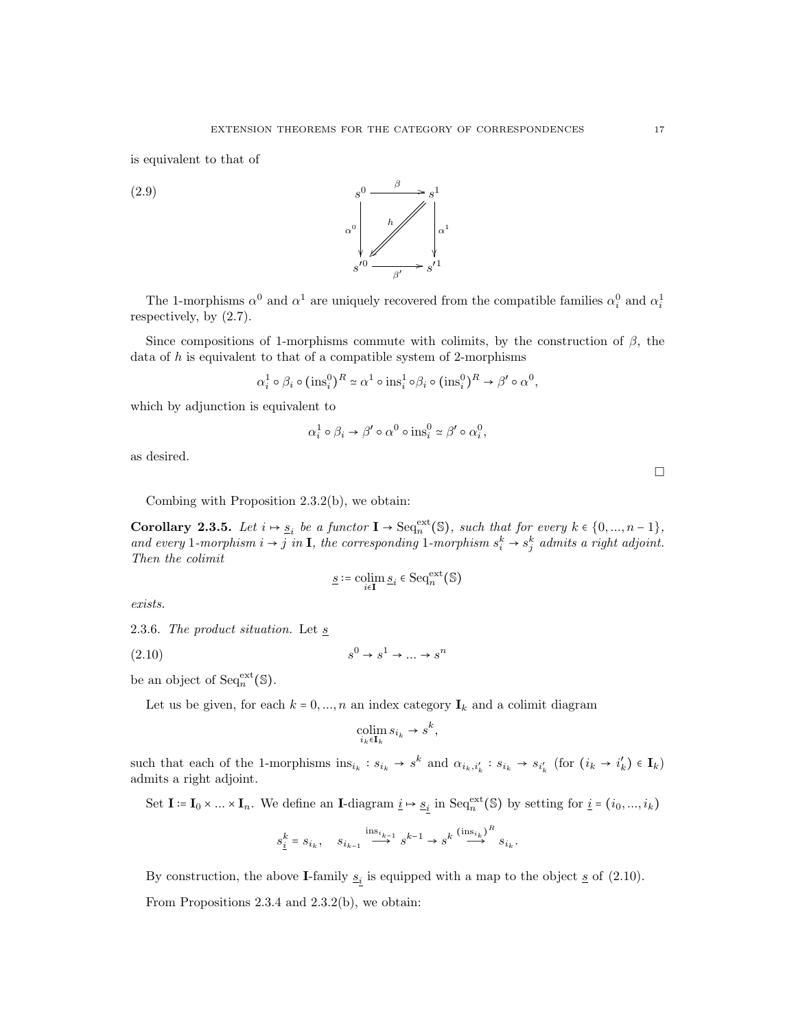is equivalent to that of



The 1-morphisms  $\alpha^0$  and  $\alpha^1$  are uniquely recovered from the compatible families  $\alpha_i^0$  and  $\alpha_i^1$ respectively, by (2.7).

Since compositions of 1-morphisms commute with colimits, by the construction of  $\beta$ , the data of  $h$  is equivalent to that of a compatible system of 2-morphisms

$$
\alpha_i^1 \circ \beta_i \circ (\text{ins}_i^0)^R \simeq \alpha^1 \circ \text{ins}_i^1 \circ \beta_i \circ (\text{ins}_i^0)^R \to \beta' \circ \alpha^0,
$$

which by adjunction is equivalent to

$$
\alpha_i^1 \circ \beta_i \to \beta' \circ \alpha^0 \circ \text{ins}_i^0 \simeq \beta' \circ \alpha_i^0,
$$

as desired.

Combing with Proposition 2.3.2(b), we obtain:

**Corollary 2.3.5.** Let  $i \mapsto \underline{s}_i$  be a functor  $I \to \text{Seq}_n^{\text{ext}}(\mathbb{S})$ , such that for every  $k \in \{0, ..., n-1\}$ , and every 1-morphism  $i \to j$  in **I**, the corresponding 1-morphism  $s_i^k \to s_j^k$  admits a right adjoint. Then the colimit

$$
\underline{s}\coloneqq \underset{i\in\mathbf{I}}{\operatorname{colim}}\,\underline{s}_i\in\mathrm{Seq}_n^{\operatorname{ext}}(\mathbb{S})
$$

exists.

2.3.6. The product situation. Let s

$$
(2.10) \t\t s0 \to s1 \to \dots \to sn
$$

be an object of  $Seq_n^{\text{ext}}(\mathbb{S})$ .

Let us be given, for each  $k = 0, ..., n$  an index category  $\mathbf{I}_k$  and a colimit diagram

$$
\operatorname*{colim}_{i_k \in \mathbf{I}_k} s_{i_k} \to s^k,
$$

such that each of the 1-morphisms  $ins_{i_k} : s_{i_k} \to s^k$  and  $\alpha_{i_k, i'_k} : s_{i_k} \to s_{i'_k}$  (for  $(i_k \to i'_k) \in I_k$ ) admits a right adjoint.

Set  $I := I_0 \times ... \times I_n$ . We define an I-diagram  $\underline{i} \mapsto \underline{s_i}$  in Seq<sub>n</sub><sup>ext</sup>(S) by setting for  $\underline{i} = (i_0, ..., i_k)$ 

$$
s_{\underline{i}}^k = s_{i_k}, \quad s_{i_{k-1}} \stackrel{\operatorname{ins}_{i_{k-1}}}{\longrightarrow} s^{k-1} \to s^k \stackrel{(\operatorname{ins}_{i_k})^R}{\longrightarrow} s_{i_k}
$$

.

By construction, the above **I**-family  $\underline{s}_i$  is equipped with a map to the object  $\underline{s}$  of (2.10).

From Propositions 2.3.4 and 2.3.2(b), we obtain: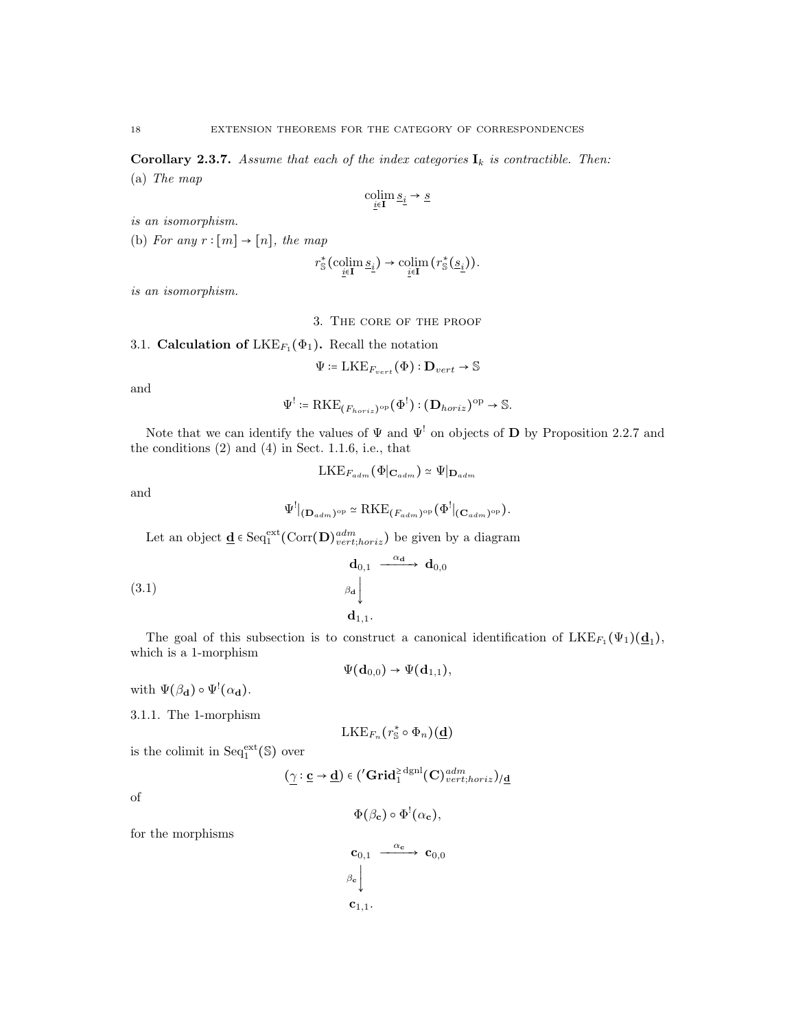Corollary 2.3.7. Assume that each of the index categories  $I_k$  is contractible. Then: (a) The map

$$
\operatornamewithlimits{colim}_{\underline{i}\in\mathbf{I}}\underline{s}_{\underline{i}}\rightarrow\underline{s}
$$

is an isomorphism.

(b) For any  $r : [m] \rightarrow [n]$ , the map

$$
r_{\mathbb{S}}^{*}(\mathop{\operatorname{colim}}_{\underline{i}\in \mathbf{I}} \underline{s}_{\underline{i}}) \to \mathop{\operatorname{colim}}_{\underline{i}\in \mathbf{I}} (r_{\mathbb{S}}^{*}(\underline{s}_{\underline{i}})).
$$

is an isomorphism.

3. The core of the proof

3.1. Calculation of  $LKE_{F_1}(\Phi_1)$ . Recall the notation

$$
\Psi \coloneqq \mathrm{LKE}_{F_{vert}}(\Phi) : \mathbf{D}_{vert} \to \mathbb{S}
$$

and

$$
\Psi^! := \text{RKE}_{(F_{horiz})^{\text{op}}}(\Phi^!) : (\mathbf{D}_{horiz})^{\text{op}} \to \mathbb{S}.
$$

Note that we can identify the values of  $\Psi$  and  $\Psi^!$  on objects of **D** by Proposition 2.2.7 and the conditions  $(2)$  and  $(4)$  in Sect. 1.1.6, i.e., that

$$
\text{LKE}_{F_{adm}}(\Phi|_{\mathbf{C}_{adm}}) \simeq \Psi|_{\mathbf{D}_{adm}}
$$

and

$$
\Psi^!|_{(\mathbf{D}_{adm})^{\mathrm{op}}}\simeq \mathrm{RKE}_{(F_{adm})^{\mathrm{op}}}(\Phi^!|_{(\mathbf{C}_{adm})^{\mathrm{op}}}).
$$

Let an object  $\underline{\mathbf{d}} \in \text{Seq}_1^{\text{ext}}(\text{Corr}(\mathbf{D})_{vert,loriz}^{adm})$  be given by a diagram

(3.1) 
$$
\begin{array}{c}\n \mathbf{d}_{0,1} \xrightarrow{\alpha_{\mathbf{d}}} \mathbf{d}_{0,0} \\
 \beta_{\mathbf{d}} \downarrow \\
 \mathbf{d}_{1,1}.\n \end{array}
$$

The goal of this subsection is to construct a canonical identification of  $LKE_{F_1}(\Psi_1)(\underline{\mathbf{d}}_1)$ , which is a 1-morphism

$$
\Psi(\mathbf{d}_{0,0})\rightarrow \Psi(\mathbf{d}_{1,1}),
$$

with  $\Psi(\beta_{\mathbf{d}}) \circ \Psi^{\mathbf{\dagger}}(\alpha_{\mathbf{d}})$ .

3.1.1. The 1-morphism

$$
\mathrm{LKE}_{F_n}(r^*_\mathbb{S} \circ \Phi_n)(\underline{\mathbf{d}})
$$

is the colimit in  $Seq_1^{ext}(\mathbb{S})$  over

$$
(\underline{\gamma}:\underline{\mathbf{c}}\to \underline{\mathbf{d}})\in ({}'{\bf Grid}_1^{\ge \operatorname{dgnl}}({\bf C})^{adm}_{vert;horiz})_{/\underline{\mathbf{d}}}
$$

of

$$
\Phi(\beta_{\mathbf{c}}) \circ \Phi^! (\alpha_{\mathbf{c}}),
$$

for the morphisms

$$
\begin{array}{ccc}\n\mathbf{c}_{0,1} & \xrightarrow{\alpha_{\mathbf{c}}} & \mathbf{c}_{0,0} \\
\beta_{\mathbf{c}} & & \\
\mathbf{c}_{1,1} & & \n\end{array}
$$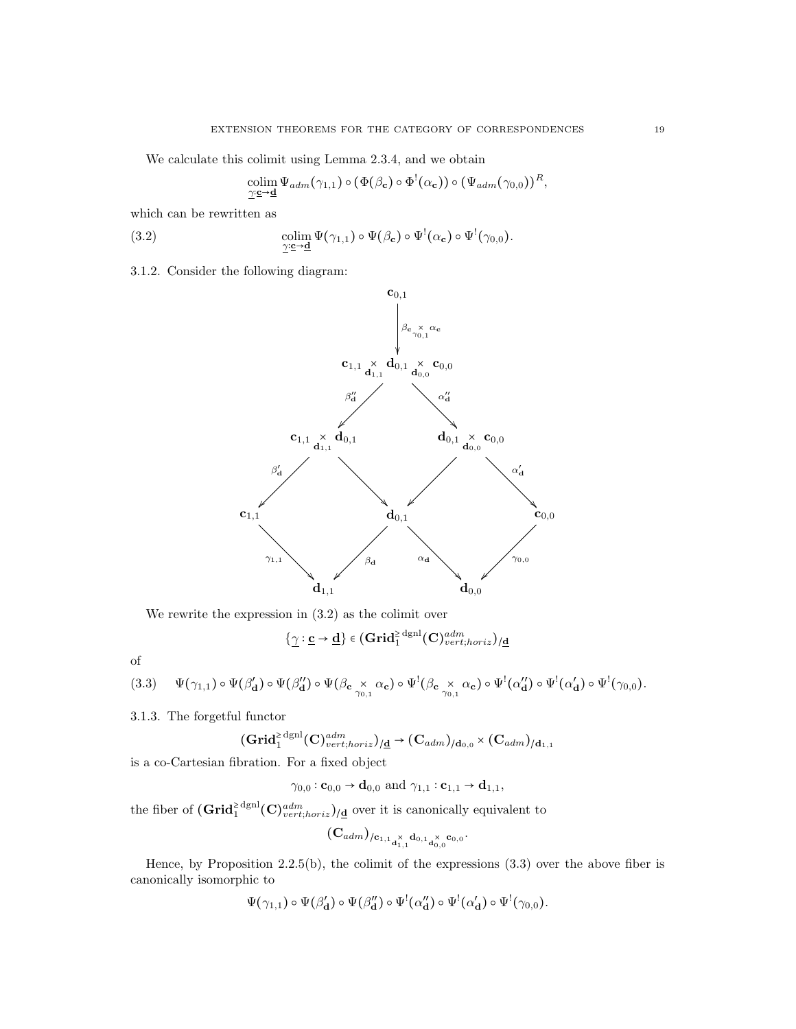We calculate this colimit using Lemma 2.3.4, and we obtain

$$
\underset{\underline{\gamma\cdot\mathbf{c}}\rightarrow\mathbf{d}}{\text{colim}}\Psi_{adm}(\gamma_{1,1})\circ(\Phi(\beta_{\mathbf{c}})\circ\Phi^!(\alpha_{\mathbf{c}}))\circ(\Psi_{adm}(\gamma_{0,0}))^R,
$$

which can be rewritten as

(3.2) 
$$
\underset{\underline{\gamma:} \mathbf{c} \to \underline{\mathbf{d}}}{\text{colim}} \Psi(\gamma_{1,1}) \circ \Psi(\beta_{\mathbf{c}}) \circ \Psi^{!}(\alpha_{\mathbf{c}}) \circ \Psi^{!}(\gamma_{0,0}).
$$

3.1.2. Consider the following diagram:



We rewrite the expression in (3.2) as the colimit over

$$
\{\underline{\gamma} : \underline{\mathbf{c}} \to \underline{\mathbf{d}}\} \in (\mathbf{Grid}_1^{\ge \mathrm{dgnl}}(\mathbf{C})_{vert;horiz})_{/\underline{\mathbf{d}}}
$$

of

$$
(3.3) \qquad \Psi(\gamma_{1,1}) \circ \Psi(\beta'_{\mathbf{d}}) \circ \Psi(\beta''_{\mathbf{d}}) \circ \Psi(\beta_{\mathbf{c}} \underset{\gamma_{0,1}}{\times} \alpha_{\mathbf{c}}) \circ \Psi^{!}(\beta_{\mathbf{c}} \underset{\gamma_{0,1}}{\times} \alpha_{\mathbf{c}}) \circ \Psi^{!}(\alpha'_{\mathbf{d}}) \circ \Psi^{!}(\alpha'_{\mathbf{d}}) \circ \Psi^{!}(\gamma_{0,0}).
$$

3.1.3. The forgetful functor

$$
(\mathbf{Grid}_{1}^{\geq \mathrm{dgnl}}(\mathbf{C})_{vert;horiz}^{adm})_{/\underline{\mathbf{d}}} \rightarrow (\mathbf{C}_{adm})_{/\mathbf{d}_{0,0}} \times (\mathbf{C}_{adm})_{/\mathbf{d}_{1,1}}
$$

is a co-Cartesian fibration. For a fixed object

$$
\gamma_{0,0} : \mathbf{c}_{0,0} \to \mathbf{d}_{0,0}
$$
 and  $\gamma_{1,1} : \mathbf{c}_{1,1} \to \mathbf{d}_{1,1}$ ,

the fiber of  $(\mathbf{Grid}_{1}^{\geq \text{dgnl}}(\mathbf{C})_{vert;horiz})_{/\underline{\mathbf{d}}}$  over it is canonically equivalent to

$$
(\mathbf{C}_{adm})_{/\mathbf{c}_{1,1}}_{\mathbf{d}_{1,1}}{_{\mathbf{d}_{0,1}}_{\mathbf{d}_{0,0}}^{ \times}}_{\mathbf{c}_{0,0}}.
$$

Hence, by Proposition 2.2.5(b), the colimit of the expressions (3.3) over the above fiber is canonically isomorphic to

$$
\Psi(\gamma_{1,1}) \circ \Psi(\beta'_{\mathbf{d}}) \circ \Psi(\beta''_{\mathbf{d}}) \circ \Psi^!(\alpha''_{\mathbf{d}}) \circ \Psi^!(\alpha'_{\mathbf{d}}) \circ \Psi^!(\gamma_{0,0}).
$$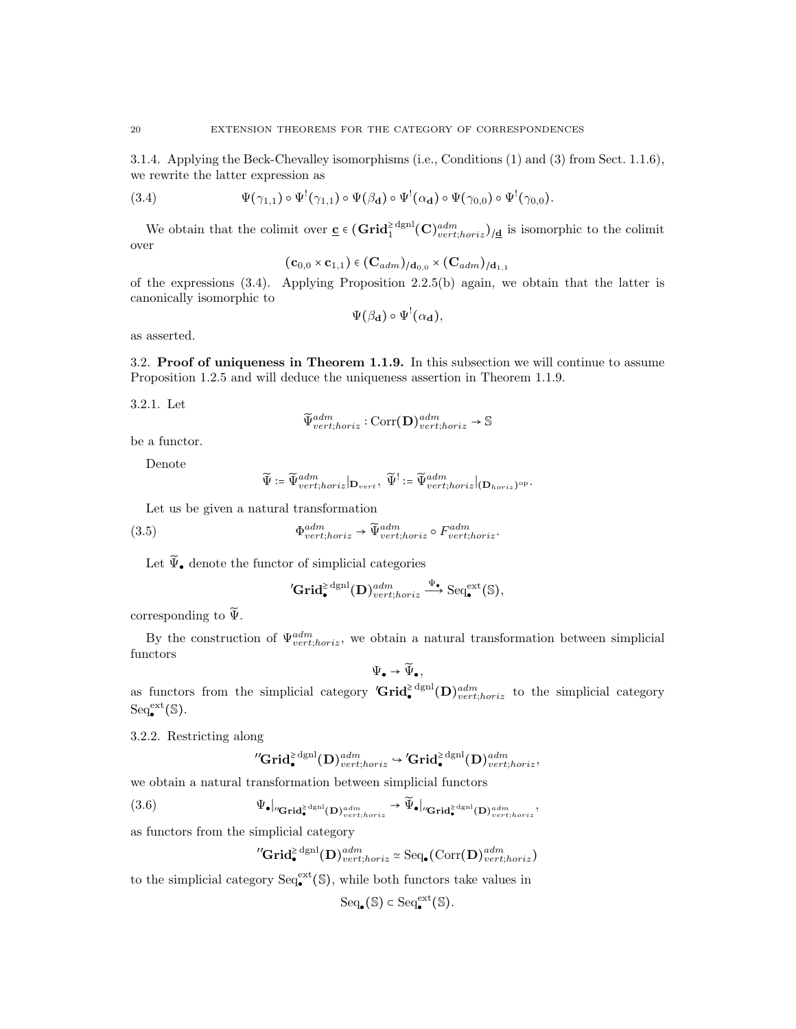3.1.4. Applying the Beck-Chevalley isomorphisms (i.e., Conditions (1) and (3) from Sect. 1.1.6), we rewrite the latter expression as

(3.4) 
$$
\Psi(\gamma_{1,1}) \circ \Psi^{!}(\gamma_{1,1}) \circ \Psi(\beta_{\mathbf{d}}) \circ \Psi^{!}(\alpha_{\mathbf{d}}) \circ \Psi(\gamma_{0,0}) \circ \Psi^{!}(\gamma_{0,0}).
$$

We obtain that the colimit over  $\underline{\mathbf{c}} \in (\mathbf{Grid}_1^{\ge \text{dgnl}}(\mathbf{C})_{vert;loriz})_{/\underline{\mathbf{d}}}$  is isomorphic to the colimit over

$$
(\mathbf{c}_{0,0}\times \mathbf{c}_{1,1})\in (\mathbf{C}_{adm})_{/\mathbf{d}_{0,0}}\times (\mathbf{C}_{adm})_{/\mathbf{d}_{1,1}}
$$

of the expressions  $(3.4)$ . Applying Proposition 2.2.5(b) again, we obtain that the latter is canonically isomorphic to

$$
\Psi(\beta_{\mathbf{d}}) \circ \Psi^! (\alpha_{\mathbf{d}}),
$$

as asserted.

3.2. Proof of uniqueness in Theorem 1.1.9. In this subsection we will continue to assume Proposition 1.2.5 and will deduce the uniqueness assertion in Theorem 1.1.9.

3.2.1. Let

$$
\widetilde{\Psi}^{adm}_{vert;horiz}: \mathrm{Corr}(\mathbf{D})^{adm}_{vert;horiz} \to \mathbb{S}
$$

be a functor.

Denote

$$
\widetilde{\Psi}\coloneqq \widetilde{\Psi}^{adm}_{vert;horiz}\big|_{\mathbf{D}_{vert}},\ \widetilde{\Psi}^! \coloneqq \widetilde{\Psi}^{adm}_{vert;horiz}\big|_{(\mathbf{D}_{horiz})^\mathrm{op}}.
$$

Let us be given a natural transformation

(3.5) 
$$
\Phi^{adm}_{vert;horiz} \to \widetilde{\Psi}^{adm}_{vert;horiz} \circ F^{adm}_{vert;horiz}.
$$

Let  $\widetilde{\Psi}_{\bullet}$  denote the functor of simplicial categories

$$
{}'\mathbf{Grid}_{\bullet}^{\geq \mathrm{dgnl}}(\mathbf{D})^{adm}_{vert;horiz} \xrightarrow{\Psi_{\bullet}} \mathrm{Seq}_{\bullet}^{\mathrm{ext}}(\mathbb{S}),
$$

corresponding to  $\widetilde{\Psi}$ .

By the construction of  $\Psi^{adm}_{vert, horiz}$ , we obtain a natural transformation between simplicial functors

$$
\Psi_\bullet \to \widetilde{\Psi}_\bullet,
$$

as functors from the simplicial category  $'Grid_{\bullet}^{\geq \text{dgm}}(D)_{vert;horiz}^{adm}$  to the simplicial category  $\mathrm{Seq}_{\bullet}^{\mathrm{ext}}(\mathbb{S}).$ 

3.2.2. Restricting along

$$
{}^{\prime\prime}\mathbf{Grid}_{\bullet}^{\geq \mathrm{dgnl}}(\mathbf{D})^{adm}_{vert, horiz} \hookrightarrow {}^{\prime}\mathbf{Grid}_{\bullet}^{\geq \mathrm{dgnl}}(\mathbf{D})^{adm}_{vert, horiz},
$$

we obtain a natural transformation between simplicial functors

$$
(3.6) \t\Psi_{\bullet}|_{''\mathbf{Grid}^{\geq \text{dgm}}_{\bullet}(\mathbf{D})^{adm}_{vert;horiz}} \to \widetilde{\Psi}_{\bullet}|_{''\mathbf{Grid}^{\geq \text{dgm}}_{\bullet}(\mathbf{D})^{adm}_{vert;horiz}}
$$

as functors from the simplicial category

$$
^{\prime\prime}\!\mathbf{Grid}_{\bullet}^{\geq \mathrm{dgnl}}(\mathbf{D})^{adm}_{vert;horiz} \simeq \mathrm{Seq}_{\bullet}(\mathrm{Corr}(\mathbf{D})^{adm}_{vert;horiz})
$$

,

to the simplicial category  $\text{Seq}_{\bullet}^{\text{ext}}(\mathbb{S})$ , while both functors take values in

$$
\mathrm{Seq}_\bullet(\mathbb{S})\subset \mathrm{Seq}_\bullet^{\mathrm{ext}}(\mathbb{S}).
$$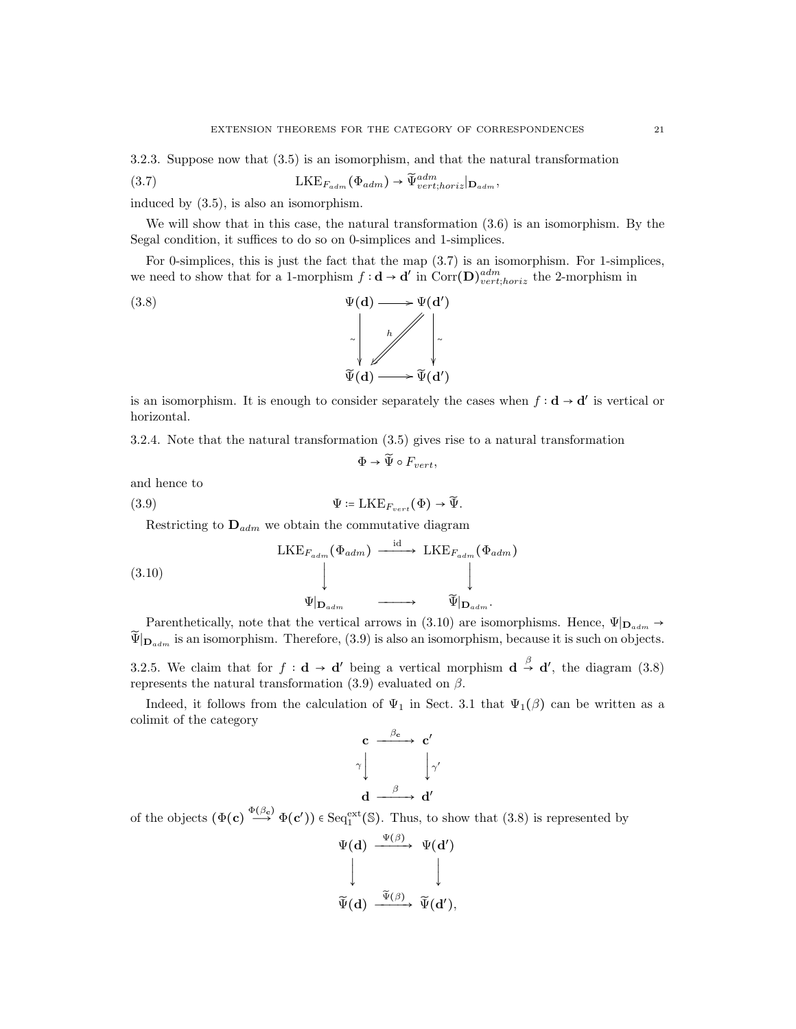3.2.3. Suppose now that (3.5) is an isomorphism, and that the natural transformation

(3.7) 
$$
LKE_{F_{adm}}(\Phi_{adm}) \rightarrow \widetilde{\Psi}^{adm}_{vert;horiz}|_{\mathbf{D}_{adm}},
$$

induced by (3.5), is also an isomorphism.

We will show that in this case, the natural transformation (3.6) is an isomorphism. By the Segal condition, it suffices to do so on 0-simplices and 1-simplices.

For 0-simplices, this is just the fact that the map (3.7) is an isomorphism. For 1-simplices, we need to show that for a 1-morphism  $f: \mathbf{d} \to \mathbf{d}'$  in  $Corr(\mathbf{D})^{adm}_{vert;horiz}$  the 2-morphism in



is an isomorphism. It is enough to consider separately the cases when  $f: \mathbf{d} \to \mathbf{d}'$  is vertical or horizontal.

3.2.4. Note that the natural transformation (3.5) gives rise to a natural transformation

$$
\Phi \rightarrow \widetilde{\Psi} \circ F_{vert},
$$

and hence to

(3.9) 
$$
\Psi \coloneqq \text{LKE}_{F_{vert}}(\Phi) \to \widetilde{\Psi}.
$$

Restricting to  $\mathbf{D}_{adm}$  we obtain the commutative diagram

(3.10)  
\n
$$
\begin{array}{ccc}\n & \text{LKE}_{F_{adm}}(\Phi_{adm}) & \xrightarrow{\text{id}} & \text{LKE}_{F_{adm}}(\Phi_{adm}) \\
 & \downarrow & & \downarrow \\
 & \Psi|_{D_{adm}} & \xrightarrow{\Psi|_{D_{adm}}} & \Psi|_{D_{adm}}.\n\end{array}
$$

Parenthetically, note that the vertical arrows in (3.10) are isomorphisms. Hence,  $\Psi|_{\mathbf{D}_{adm}} \to$  $\widetilde{\Psi}|_{\mathbf{D}_{adm}}$  is an isomorphism. Therefore, (3.9) is also an isomorphism, because it is such on objects.

3.2.5. We claim that for  $f: \mathbf{d} \to \mathbf{d}'$  being a vertical morphism  $\mathbf{d} \stackrel{\beta}{\to} \mathbf{d}'$ , the diagram (3.8) represents the natural transformation (3.9) evaluated on  $\beta$ .

Indeed, it follows from the calculation of  $\Psi_1$  in Sect. 3.1 that  $\Psi_1(\beta)$  can be written as a colimit of the category

$$
\begin{array}{ccc}\n\mathbf{c} & \xrightarrow{\beta_{\mathbf{c}}} & \mathbf{c}' \\
\gamma \downarrow & & \downarrow{\gamma'} \\
\mathbf{d} & \xrightarrow{\beta} & \mathbf{d}'\n\end{array}
$$

of the objects  $(\Phi(c) \stackrel{\Phi(\beta_c)}{\longrightarrow} \Phi(c')) \in \text{Seq}_1^{\text{ext}}(\mathbb{S})$ . Thus, to show that  $(3.8)$  is represented by

$$
\Psi(\mathbf{d}) \xrightarrow{\Psi(\beta)} \Psi(\mathbf{d}')
$$
\n
$$
\downarrow \qquad \qquad \downarrow
$$
\n
$$
\widetilde{\Psi}(\mathbf{d}) \xrightarrow{\widetilde{\Psi}(\beta)} \widetilde{\Psi}(\mathbf{d}'),
$$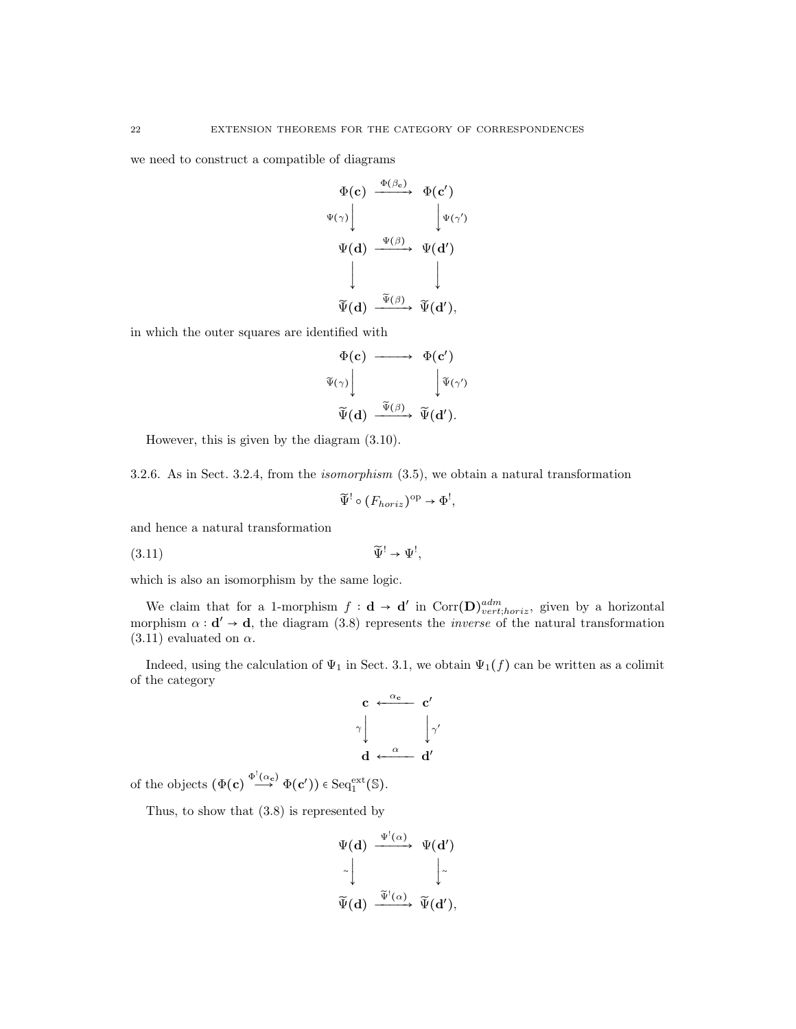we need to construct a compatible of diagrams

$$
\begin{array}{ccc}\n\Phi(\mathbf{c}) & \xrightarrow{\Phi(\beta_{\mathbf{c}})} & \Phi(\mathbf{c}') \\
\downarrow^{\Psi(\gamma)} & & \downarrow^{\Psi(\gamma')} \\
\Psi(\mathbf{d}) & \xrightarrow{\Psi(\beta)} & \Psi(\mathbf{d}') \\
 & & \downarrow & \\
 & & \widetilde{\Psi}(\mathbf{d}) & \xrightarrow{\widetilde{\Psi}(\beta)} & \widetilde{\Psi}(\mathbf{d}'),\n\end{array}
$$

in which the outer squares are identified with

$$
\begin{array}{ccc}\n\Phi(\mathbf{c}) & \longrightarrow & \Phi(\mathbf{c}') \\
\widetilde{\Psi}(\gamma) & & \downarrow \widetilde{\Psi}(\gamma') \\
& & \widetilde{\Psi}(\mathbf{d}) & \longrightarrow & \widetilde{\Psi}(\mathbf{d}').\n\end{array}
$$

However, this is given by the diagram (3.10).

3.2.6. As in Sect. 3.2.4, from the isomorphism (3.5), we obtain a natural transformation

$$
\widetilde{\Psi}^! \circ (F_{horiz})^{\mathrm{op}} \to \Phi^!,
$$

and hence a natural transformation

$$
(3.11) \t\t \widetilde{\Psi}^! \to \Psi^!,
$$

which is also an isomorphism by the same logic.

We claim that for a 1-morphism  $f: \mathbf{d} \to \mathbf{d}'$  in Corr $(D)_{vert;horiz}^{adm}$ , given by a horizontal morphism  $\alpha : \mathbf{d}' \to \mathbf{d}$ , the diagram (3.8) represents the *inverse* of the natural transformation  $(3.11)$  evaluated on  $\alpha$ .

Indeed, using the calculation of  $\Psi_1$  in Sect. 3.1, we obtain  $\Psi_1(f)$  can be written as a colimit of the category

$$
\begin{array}{ccc}\n\mathbf{c} & \xleftarrow{\alpha_{\mathbf{c}}} & \mathbf{c}' \\
\gamma \Big| & & \Big| \gamma' \\
\mathbf{d} & \xleftarrow{\alpha} & \mathbf{d}'\n\end{array}
$$

of the objects  $(\Phi(\mathbf{c}) \stackrel{\Phi^!(\alpha_c)}{\longrightarrow} \Phi(\mathbf{c}')) \in \text{Seq}_1^{\text{ext}}(\mathbb{S}).$ 

Thus, to show that (3.8) is represented by

$$
\begin{array}{ccc}\Psi({\bf d}) & \xrightarrow{\Psi^!(\alpha)} & \Psi({\bf d}') \\
\sim & & \Big\downarrow \\
& & & \Big\downarrow \\
& & & \Big\downarrow \\
\widetilde{\Psi}({\bf d}) & \xrightarrow{\widetilde{\Psi}^!(\alpha)} & \widetilde{\Psi}({\bf d}'),\n\end{array}
$$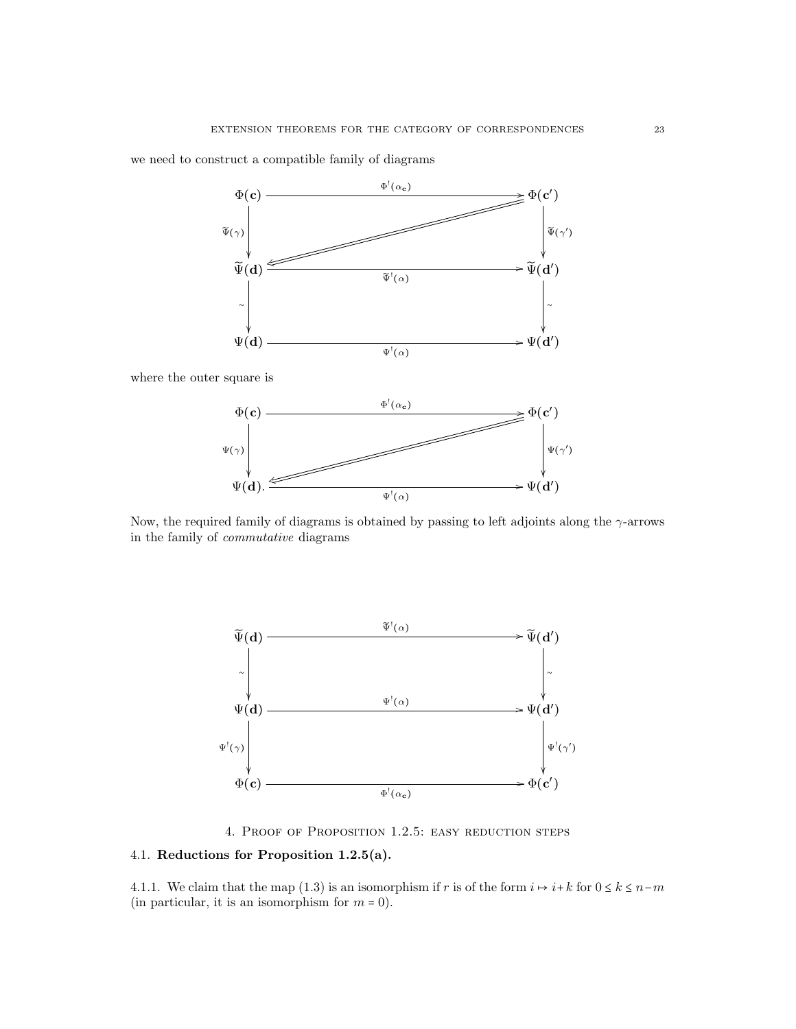$\Psi(\mathbf{d}')$ 



we need to construct a compatible family of diagrams

 $\leq$ 

Now, the required family of diagrams is obtained by passing to left adjoints along the  $\gamma$ -arrows in the family of commutative diagrams

 $\Psi(d)$ .  $\leq$   $\qquad \qquad \longrightarrow \Psi(d)$ 

 $\Psi^!(\alpha)$ 



4. Proof of Proposition 1.2.5: easy reduction steps

## 4.1. Reductions for Proposition 1.2.5(a).

4.1.1. We claim that the map (1.3) is an isomorphism if r is of the form  $i \mapsto i+k$  for  $0 \le k \le n-m$ (in particular, it is an isomorphism for  $m = 0$ ).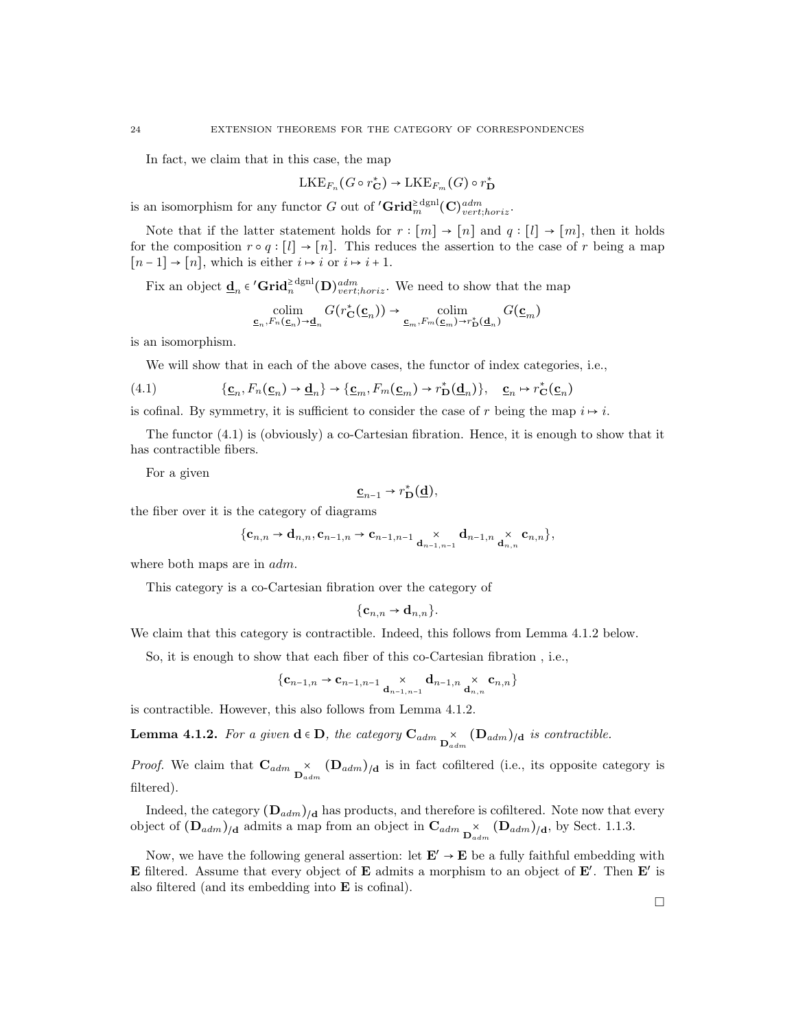In fact, we claim that in this case, the map

$$
\mathrm{LKE}_{F_n}(G \circ r_{\mathbf{C}}^*) \to \mathrm{LKE}_{F_m}(G) \circ r_{\mathbf{D}}^*
$$

is an isomorphism for any functor G out of  $'\mathbf{Grid}_{m}^{\geq \text{dgm}}(\mathbf{C})^{adm}_{vert;horiz}$ .

Note that if the latter statement holds for  $r : [m] \to [n]$  and  $q : [l] \to [m]$ , then it holds for the composition  $r \circ q : [l] \to [n]$ . This reduces the assertion to the case of r being a map  $[n-1] \rightarrow [n]$ , which is either  $i \mapsto i$  or  $i \mapsto i+1$ .

Fix an object  $\underline{\mathbf{d}}_n \in {}'Grid_n^{\geq \text{dgnl}}(\mathbf{D})^{adm}_{vert;horiz}$ . We need to show that the map

$$
\underset{\mathbf{c}_n, F_n(\mathbf{c}_n) \to \mathbf{d}_n}{\text{colim}} G(r^*_{\mathbf{C}}(\mathbf{c}_n)) \to \underset{\mathbf{c}_m, F_m(\mathbf{c}_m) \to r^*_{\mathbf{D}}(\mathbf{d}_n)}{\text{colim}} G(\mathbf{c}_m)
$$

is an isomorphism.

We will show that in each of the above cases, the functor of index categories, i.e.,

(4.1) 
$$
\{\underline{\mathbf{c}}_n, F_n(\underline{\mathbf{c}}_n) \to \underline{\mathbf{d}}_n\} \to \{\underline{\mathbf{c}}_m, F_m(\underline{\mathbf{c}}_m) \to r^*_{\mathbf{D}}(\underline{\mathbf{d}}_n)\}, \quad \underline{\mathbf{c}}_n \mapsto r^*_{\mathbf{C}}(\underline{\mathbf{c}}_n)
$$

is cofinal. By symmetry, it is sufficient to consider the case of r being the map  $i \mapsto i$ .

The functor  $(4.1)$  is (obviously) a co-Cartesian fibration. Hence, it is enough to show that it has contractible fibers.

For a given

$$
\underline{\mathbf{c}}_{n-1} \to r_{\mathbf{D}}^{*}(\underline{\mathbf{d}}),
$$

the fiber over it is the category of diagrams

$$
\{\mathbf c_{n,n}\rightarrow \mathbf d_{n,n}, \mathbf c_{n-1,n}\rightarrow \mathbf c_{n-1,n-1}\underset{\mathbf d_{n-1,n-1}}{\times} \mathbf d_{n-1,n} \underset{\mathbf d_{n,n}}{\times} \mathbf c_{n,n}\},
$$

where both maps are in  $adm$ .

This category is a co-Cartesian fibration over the category of

$$
\{\mathbf c_{n,n}\to \mathbf d_{n,n}\}.
$$

We claim that this category is contractible. Indeed, this follows from Lemma 4.1.2 below.

So, it is enough to show that each fiber of this co-Cartesian fibration , i.e.,

$$
\{\mathbf c_{n-1,n}\to\mathbf c_{n-1,n-1}\underset{\mathbf d_{n-1,n-1}}{\times}\mathbf d_{n-1,n}\underset{\mathbf d_{n,n}}{\times}\mathbf c_{n,n}\}
$$

is contractible. However, this also follows from Lemma 4.1.2.

**Lemma 4.1.2.** For a given  $d \in D$ , the category  $C_{adm} \underset{D_{adm}}{\times} (D_{adm})_{/d}$  is contractible.

*Proof.* We claim that  $\mathbf{C}_{adm}$   $\underset{\mathbf{D}_{adm}}{\times}$   $(\mathbf{D}_{adm})_{/\mathbf{d}}$  is in fact cofiltered (i.e., its opposite category is filtered).

Indeed, the category  $(D_{adm})/d$  has products, and therefore is cofiltered. Note now that every object of  $(D_{adm})_{/d}$  admits a map from an object in  $C_{adm}$   $\underset{D_{adm}}{\times}$   $(D_{adm})_{/d}$ , by Sect. 1.1.3.

Now, we have the following general assertion: let  $E' \rightarrow E$  be a fully faithful embedding with **E** filtered. Assume that every object of **E** admits a morphism to an object of  $E'$ . Then  $E'$  is also filtered (and its embedding into  $E$  is cofinal).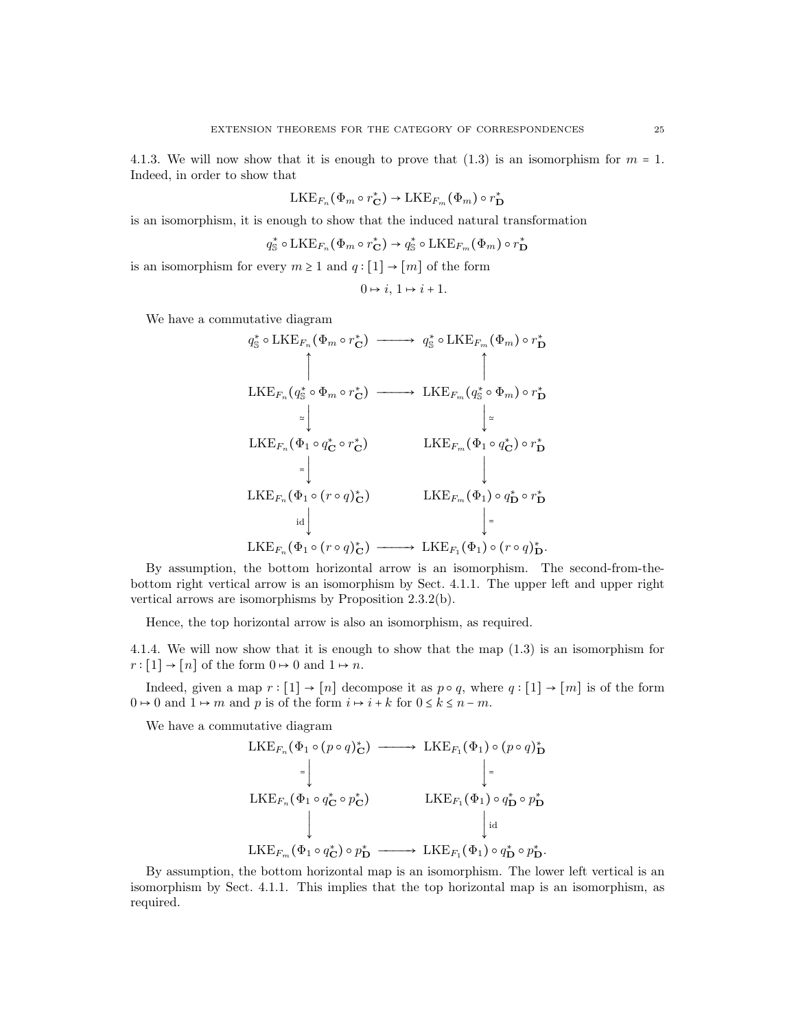$$
\mathrm{LKE}_{F_n}(\Phi_m \circ r_{\mathbf{C}}^*) \to \mathrm{LKE}_{F_m}(\Phi_m) \circ r_{\mathbf{D}}^*
$$

is an isomorphism, it is enough to show that the induced natural transformation

$$
q^*_{\mathbb{S}}\circ\text{LKE}_{F_n}(\Phi_m\circ r^*_{\mathbf{C}})\rightarrow q^*_{\mathbb{S}}\circ\text{LKE}_{F_m}(\Phi_m)\circ r^*_{\mathbf{D}}
$$

is an isomorphism for every  $m \geq 1$  and  $q : [1] \rightarrow [m]$  of the form

$$
0 \mapsto i, 1 \mapsto i + 1.
$$

We have a commutative diagram

$$
q_{\mathbb{S}}^{*} \circ \text{LKE}_{F_{n}}(\Phi_{m} \circ r_{\mathbf{C}}^{*}) \longrightarrow q_{\mathbb{S}}^{*} \circ \text{LKE}_{F_{m}}(\Phi_{m}) \circ r_{\mathbf{D}}^{*}
$$
\n
$$
\downarrow \qquad \qquad \downarrow
$$
\n
$$
\text{LKE}_{F_{n}}(q_{\mathbb{S}}^{*} \circ \Phi_{m} \circ r_{\mathbf{C}}^{*}) \longrightarrow \text{LKE}_{F_{m}}(q_{\mathbb{S}}^{*} \circ \Phi_{m}) \circ r_{\mathbf{D}}^{*}
$$
\n
$$
\downarrow \qquad \qquad \downarrow
$$
\n
$$
\text{LKE}_{F_{n}}(\Phi_{1} \circ q_{\mathbf{C}}^{*} \circ r_{\mathbf{C}}^{*}) \qquad \qquad \text{LKE}_{F_{m}}(\Phi_{1} \circ q_{\mathbf{C}}^{*}) \circ r_{\mathbf{D}}^{*}
$$
\n
$$
= \downarrow \qquad \qquad \downarrow
$$
\n
$$
\text{LKE}_{F_{n}}(\Phi_{1} \circ (r \circ q)_{\mathbf{C}}^{*}) \qquad \qquad \text{LKE}_{F_{m}}(\Phi_{1}) \circ q_{\mathbf{D}}^{*} \circ r_{\mathbf{D}}^{*}
$$
\n
$$
\downarrow \downarrow
$$
\n
$$
\text{LKE}_{F_{n}}(\Phi_{1} \circ (r \circ q)_{\mathbf{C}}^{*}) \longrightarrow \text{LKE}_{F_{1}}(\Phi_{1}) \circ (r \circ q)_{\mathbf{D}}^{*}.
$$

By assumption, the bottom horizontal arrow is an isomorphism. The second-from-thebottom right vertical arrow is an isomorphism by Sect. 4.1.1. The upper left and upper right vertical arrows are isomorphisms by Proposition 2.3.2(b).

Hence, the top horizontal arrow is also an isomorphism, as required.

4.1.4. We will now show that it is enough to show that the map (1.3) is an isomorphism for  $r : \lceil 1 \rceil \to \lceil n \rceil$  of the form  $0 \mapsto 0$  and  $1 \mapsto n.$ 

Indeed, given a map  $r : [1] \rightarrow [n]$  decompose it as  $p \circ q$ , where  $q : [1] \rightarrow [m]$  is of the form  $0 \mapsto 0$  and  $1 \mapsto m$  and p is of the form  $i \mapsto i + k$  for  $0 \le k \le n - m$ .

We have a commutative diagram

$$
\begin{array}{ccc}\n\text{LKE}_{F_n}(\Phi_1 \circ (p \circ q)_\mathbf{C}^*) & \longrightarrow & \text{LKE}_{F_1}(\Phi_1) \circ (p \circ q)_\mathbf{D}^* \\
= & \Big\downarrow & \Big\downarrow = \\
\text{LKE}_{F_n}(\Phi_1 \circ q_\mathbf{C}^* \circ p_\mathbf{C}^*) & \text{LKE}_{F_1}(\Phi_1) \circ q_\mathbf{D}^* \circ p_\mathbf{D}^* \\
\downarrow & & \Big\downarrow_{\text{id}} \\
\text{LKE}_{F_m}(\Phi_1 \circ q_\mathbf{C}^*) \circ p_\mathbf{D}^* & \longrightarrow & \text{LKE}_{F_1}(\Phi_1) \circ q_\mathbf{D}^* \circ p_\mathbf{D}^*.\n\end{array}
$$

By assumption, the bottom horizontal map is an isomorphism. The lower left vertical is an isomorphism by Sect. 4.1.1. This implies that the top horizontal map is an isomorphism, as required.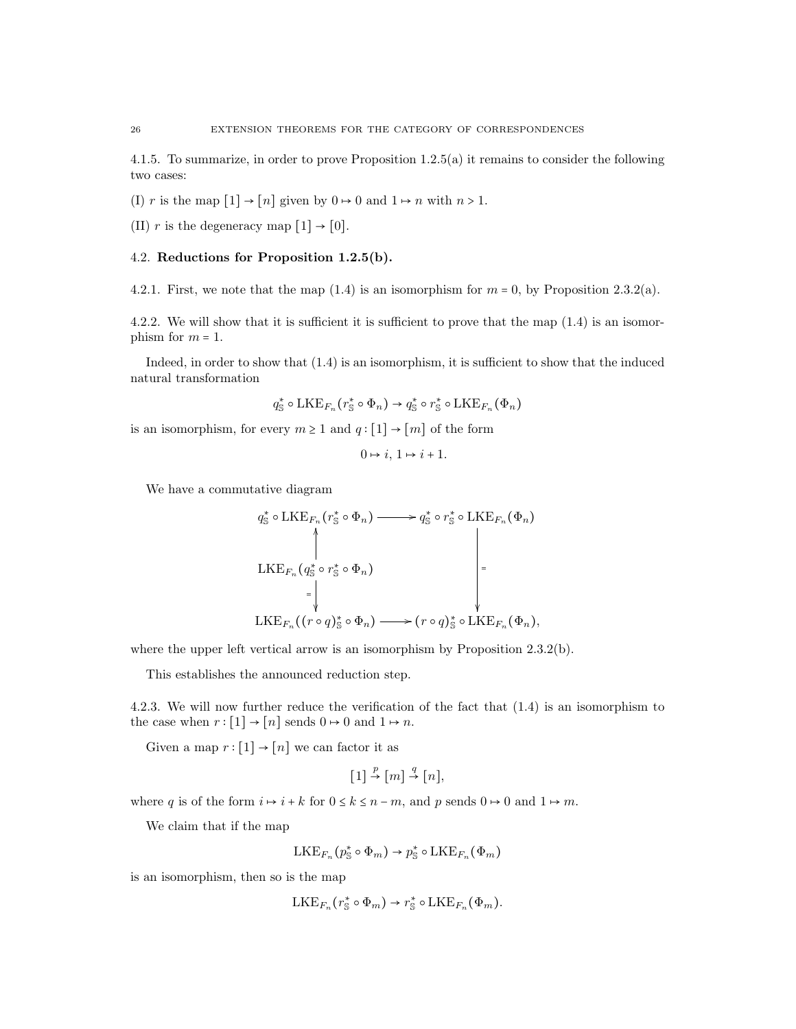4.1.5. To summarize, in order to prove Proposition 1.2.5(a) it remains to consider the following two cases:

(I) r is the map  $[1] \rightarrow [n]$  given by  $0 \mapsto 0$  and  $1 \mapsto n$  with  $n > 1$ .

(II)  $r$  is the degeneracy map  $[1] \to [0].$ 

## 4.2. Reductions for Proposition 1.2.5(b).

4.2.1. First, we note that the map  $(1.4)$  is an isomorphism for  $m = 0$ , by Proposition 2.3.2(a).

4.2.2. We will show that it is sufficient it is sufficient to prove that the map (1.4) is an isomorphism for  $m = 1$ .

Indeed, in order to show that (1.4) is an isomorphism, it is sufficient to show that the induced natural transformation

$$
q_{\mathbb{S}}^* \circ \text{LKE}_{F_n}(r_{\mathbb{S}}^* \circ \Phi_n) \to q_{\mathbb{S}}^* \circ r_{\mathbb{S}}^* \circ \text{LKE}_{F_n}(\Phi_n)
$$

is an isomorphism, for every  $m \geq 1$  and  $q : [1] \rightarrow [m]$  of the form

$$
0 \mapsto i, 1 \mapsto i + 1.
$$

We have a commutative diagram

$$
q_{\mathbb{S}}^* \circ \text{LKE}_{F_n}(r_{\mathbb{S}}^* \circ \Phi_n) \longrightarrow q_{\mathbb{S}}^* \circ r_{\mathbb{S}}^* \circ \text{LKE}_{F_n}(\Phi_n)
$$
\n
$$
\downarrow \qquad \qquad \downarrow \qquad \qquad \downarrow \qquad \qquad \downarrow \qquad \qquad \downarrow \qquad \qquad \downarrow \qquad \qquad \downarrow \qquad \qquad \downarrow \qquad \downarrow \qquad \downarrow \qquad \downarrow \qquad \downarrow \qquad \downarrow \qquad \downarrow \qquad \downarrow \qquad \downarrow \qquad \downarrow \qquad \downarrow \qquad \downarrow \qquad \downarrow \qquad \downarrow \qquad \downarrow \qquad \downarrow \qquad \downarrow \qquad \downarrow \qquad \downarrow \qquad \downarrow \qquad \downarrow \qquad \downarrow \qquad \downarrow \qquad \downarrow \qquad \downarrow \qquad \downarrow \qquad \downarrow \qquad \downarrow \qquad \downarrow \qquad \downarrow \qquad \downarrow \qquad \downarrow \qquad \downarrow \qquad \downarrow \qquad \downarrow \qquad \downarrow \qquad \downarrow \qquad \downarrow \qquad \downarrow \qquad \downarrow \qquad \downarrow \qquad \downarrow \qquad \downarrow \qquad \downarrow \qquad \downarrow \qquad \downarrow \qquad \downarrow \qquad \downarrow \qquad \downarrow \qquad \downarrow \qquad \downarrow \qquad \downarrow \qquad \downarrow \qquad \downarrow \qquad \downarrow \qquad \downarrow \qquad \downarrow \qquad \downarrow \qquad \downarrow \qquad \downarrow \qquad \downarrow \qquad \downarrow \qquad \downarrow \qquad \downarrow \qquad \downarrow \qquad \downarrow \qquad \downarrow \qquad \downarrow \qquad \downarrow \qquad \downarrow \qquad \downarrow \qquad \downarrow \qquad \downarrow \qquad \downarrow \qquad \downarrow \qquad \downarrow \qquad \downarrow \qquad \downarrow \qquad \downarrow \qquad \downarrow \qquad \downarrow \qquad \downarrow \qquad \downarrow \qquad \downarrow \qquad \downarrow \qquad \downarrow \qquad \downarrow \qquad \downarrow \qquad \downarrow \qquad \downarrow \qquad \downarrow \qquad \downarrow \qquad \downarrow \qquad \downarrow \qquad \downarrow \qquad \downarrow \qquad \downarrow \qquad \downarrow \qquad \downarrow \qquad \downarrow \qquad \downarrow \qquad \downarrow \qquad
$$

where the upper left vertical arrow is an isomorphism by Proposition 2.3.2(b).

This establishes the announced reduction step.

4.2.3. We will now further reduce the verification of the fact that (1.4) is an isomorphism to the case when  $r : [1] \rightarrow [n]$  sends  $0 \mapsto 0$  and  $1 \mapsto n$ .

Given a map  $r : [1] \rightarrow [n]$  we can factor it as

$$
[1] \stackrel{p}{\rightarrow} [m] \stackrel{q}{\rightarrow} [n],
$$

where q is of the form  $i \mapsto i + k$  for  $0 \le k \le n - m$ , and p sends  $0 \mapsto 0$  and  $1 \mapsto m$ .

We claim that if the map

$$
\mathrm{LKE}_{F_n}(p^*_{\mathbb{S}} \circ \Phi_m) \to p^*_{\mathbb{S}} \circ \mathrm{LKE}_{F_n}(\Phi_m)
$$

is an isomorphism, then so is the map

$$
\mathrm{LKE}_{F_n}(r^*_{\mathbb{S}} \circ \Phi_m) \to r^*_{\mathbb{S}} \circ \mathrm{LKE}_{F_n}(\Phi_m).
$$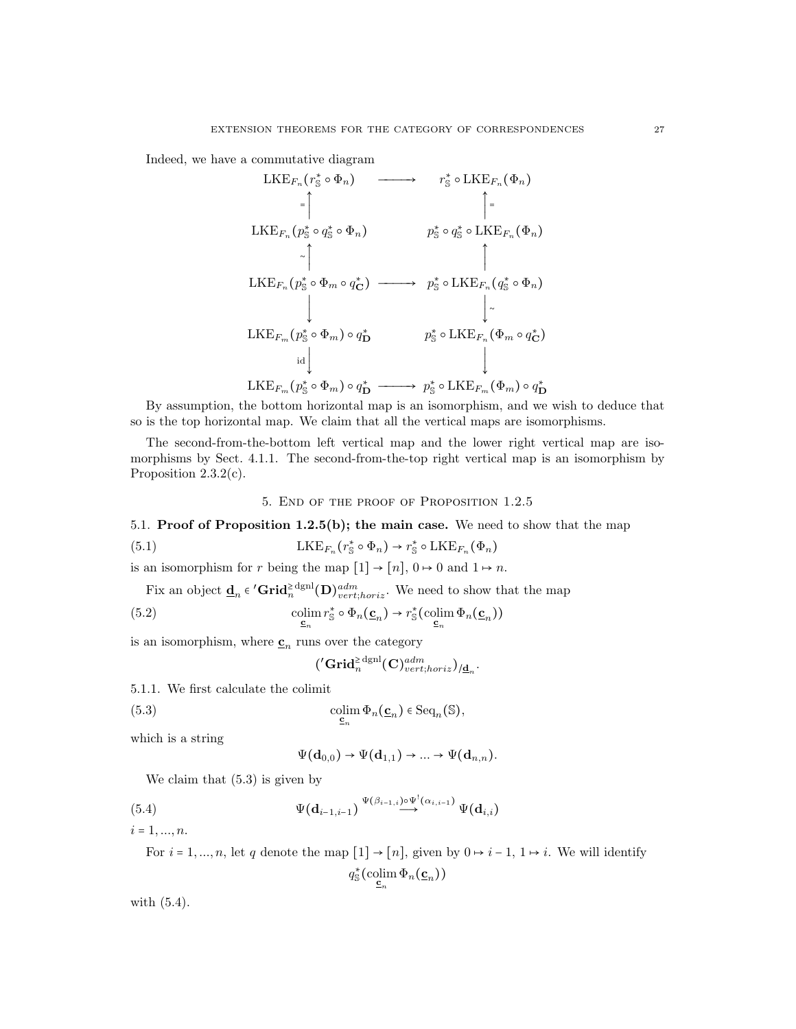Indeed, we have a commutative diagram

$$
LKE_{F_n}(r_s^* \circ \Phi_n) \longrightarrow r_s^* \circ LKE_{F_n}(\Phi_n)
$$
\n
$$
= \uparrow \qquad \qquad \uparrow
$$
\n
$$
LKE_{F_n}(p_s^* \circ q_s^* \circ \Phi_n) \longrightarrow p_s^* \circ q_s^* \circ LKE_{F_n}(\Phi_n)
$$
\n
$$
\downarrow \qquad \qquad \downarrow
$$
\n
$$
LKE_{F_n}(p_s^* \circ \Phi_m \circ q_c^*) \longrightarrow p_s^* \circ LKE_{F_n}(q_s^* \circ \Phi_n)
$$
\n
$$
LKE_{F_m}(p_s^* \circ \Phi_m) \circ q_D^* \longrightarrow p_s^* \circ LKE_{F_n}(\Phi_m \circ q_c^*)
$$
\n
$$
= \downarrow \qquad \qquad \downarrow
$$
\n
$$
LKE_{F_m}(p_s^* \circ \Phi_m) \circ q_D^* \longrightarrow p_s^* \circ LKE_{F_m}(\Phi_m) \circ q_D^*
$$

By assumption, the bottom horizontal map is an isomorphism, and we wish to deduce that so is the top horizontal map. We claim that all the vertical maps are isomorphisms.

The second-from-the-bottom left vertical map and the lower right vertical map are isomorphisms by Sect. 4.1.1. The second-from-the-top right vertical map is an isomorphism by Proposition 2.3.2(c).

5. End of the proof of Proposition 1.2.5

5.1. Proof of Proposition 1.2.5(b); the main case. We need to show that the map

(5.1) 
$$
LKE_{F_n}(r_s^* \circ \Phi_n) \to r_s^* \circ LKE_{F_n}(\Phi_n)
$$

is an isomorphism for r being the map  $[1] \rightarrow [n]$ ,  $0 \mapsto 0$  and  $1 \mapsto n$ .

Fix an object  $\underline{\mathbf{d}}_n \in {}'Grid_n^{\geq \text{dgnl}}(\mathbf{D})^{adm}_{vert;horiz}$ . We need to show that the map

(5.2) 
$$
\underset{\underline{\mathbf{c}}_n}{\text{colim}} r^*_{\mathbb{S}} \circ \Phi_n(\underline{\mathbf{c}}_n) \to r^*_{\mathbb{S}}(\underset{\underline{\mathbf{c}}_n}{\text{colim}} \Phi_n(\underline{\mathbf{c}}_n))
$$

is an isomorphism, where  $\underline{\mathbf{c}}_n$  runs over the category

$$
('Grid_n^{\geq \text{dgnl}}(\mathbf{C})^{adm}_{vert;horiz})_{/\underline{\mathbf{d}}_n}.
$$

5.1.1. We first calculate the colimit

(5.3) 
$$
\underset{\underline{\mathbf{c}}_n}{\text{colim}} \Phi_n(\underline{\mathbf{c}}_n) \in \text{Seq}_n(\mathbb{S}),
$$

which is a string

$$
\Psi(\mathbf{d}_{0,0})\rightarrow \Psi(\mathbf{d}_{1,1})\rightarrow...\rightarrow \Psi(\mathbf{d}_{n,n}).
$$

We claim that (5.3) is given by

(5.4) 
$$
\Psi(\mathbf{d}_{i-1,i-1}) \stackrel{\Psi(\beta_{i-1,i}) \circ \Psi^{\dagger}(\alpha_{i,i-1})}{\longrightarrow} \Psi(\mathbf{d}_{i,i})
$$

 $i = 1, ..., n$ .

For  $i = 1, ..., n$ , let q denote the map  $[1] \rightarrow [n]$ , given by  $0 \rightarrow i - 1, 1 \rightarrow i$ . We will identify  $q_{\mathbb{S}}^*(\operatornamewithlimits{colim}_{\mathbf{S}_n} \Phi_n(\underline{\mathbf{c}}_n))$ 

with (5.4).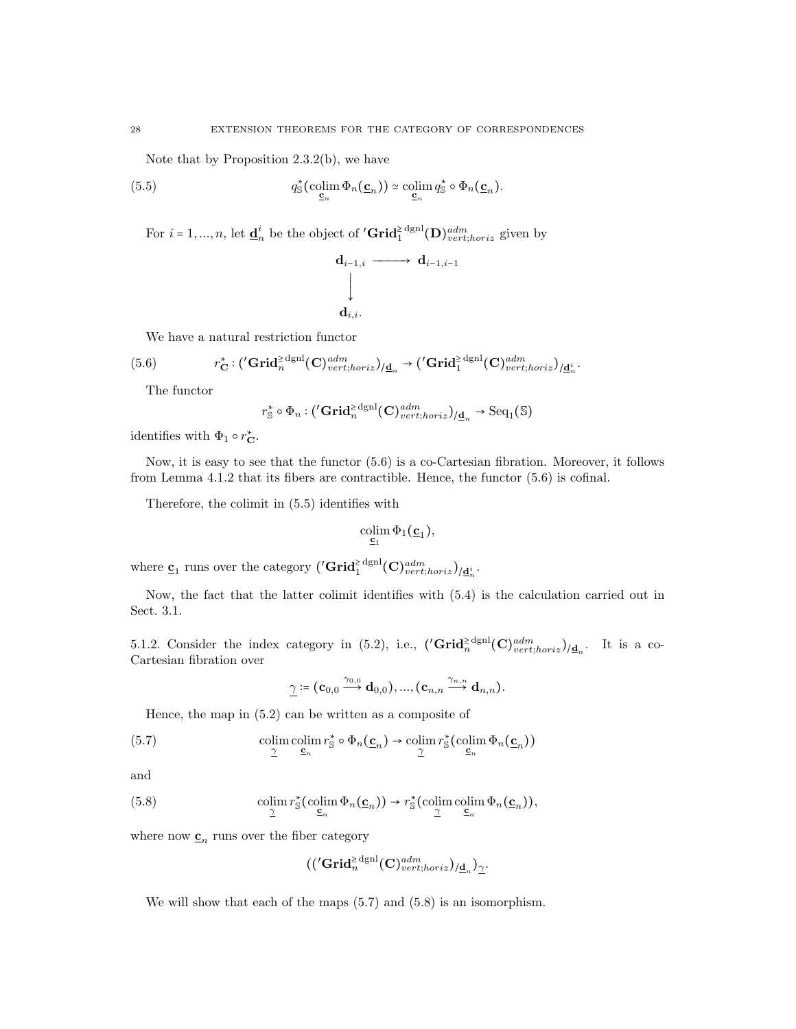Note that by Proposition 2.3.2(b), we have

(5.5) 
$$
q_{\mathbb{S}}^{*}(\operatorname{colim}_{\underline{\mathbf{c}}_{n}} \Phi_{n}(\underline{\mathbf{c}}_{n})) \simeq \operatorname{colim}_{\underline{\mathbf{c}}_{n}} q_{\mathbb{S}}^{*} \circ \Phi_{n}(\underline{\mathbf{c}}_{n}).
$$

For  $i = 1, ..., n$ , let  $\underline{\mathbf{d}}_n^i$  be the object of ' $\mathbf{Grid}_1^{\geq \text{dgm}}(\mathbf{D})_{vert;horiz}^{adm}$  given by

$$
\begin{array}{ccc} \mathbf{d}_{i-1,i} & \xrightarrow{\hspace*{1cm}} & \mathbf{d}_{i-1,i-1} \\ & \downarrow \cr & & \mathbf{d}_{i,i} . \end{array}
$$

We have a natural restriction functor

(5.6) 
$$
r_{\mathbf{C}}^* : ({}^{\prime}\mathbf{Grid}_n^{\geq \text{dgnl}}(\mathbf{C})_{vert;horiz}^{adm})_{/\underline{\mathbf{d}}_n} \rightarrow ({}^{\prime}\mathbf{Grid}_1^{\geq \text{dgnl}}(\mathbf{C})_{vert;horiz}^{adm})_{/\underline{\mathbf{d}}_n^i}
$$

The functor

$$
r_{\mathcal{S}}^* \circ \Phi_n : ({}'\mathbf{Grid}_n^{\geq \text{dgnl}}(\mathbf{C})^{adm}_{vert;horiz})_{/\underline{\mathbf{d}}_n} \to \text{Seq}_1(\mathcal{S})
$$

.

identifies with  $\Phi_1 \circ r_{\mathbf{C}}^*$ .

Now, it is easy to see that the functor (5.6) is a co-Cartesian fibration. Moreover, it follows from Lemma 4.1.2 that its fibers are contractible. Hence, the functor (5.6) is cofinal.

Therefore, the colimit in (5.5) identifies with

$$
\underset{\underline{\mathbf{c}}_1}{\operatorname{colim}}\,\Phi_1(\underline{\mathbf{c}}_1),
$$

where  $\underline{\mathbf{c}}_1$  runs over the category  $({'}\mathbf{Grid}_1^{\geq \text{dgnl}}(\mathbf{C})_{vert;horiz}^{adm})_{/\underline{\mathbf{d}}_n^i}$ .

Now, the fact that the latter colimit identifies with (5.4) is the calculation carried out in Sect. 3.1.

5.1.2. Consider the index category in (5.2), i.e.,  $(\mathbf{Grid}_n^{\geq \mathrm{dgnl}}(\mathbf{C})_{vert,horiz}^{adm})_{\mathbf{d}_n}$ . It is a co-Cartesian fibration over

$$
\underline{\gamma}\coloneqq\big(\mathbf{c}_{0,0}\overset{\gamma_{0,0}}{\longrightarrow}\mathbf{d}_{0,0}\big),...,\big(\mathbf{c}_{n,n}\overset{\gamma_{n,n}}{\longrightarrow}\mathbf{d}_{n,n}\big).
$$

Hence, the map in (5.2) can be written as a composite of

(5.7) colim colim 
$$
r_{\mathbb{S}}^* \circ \Phi_n(\underline{\mathbf{c}}_n) \to \operatorname{colim} r_{\mathbb{S}}^*(\operatorname{colim} \Phi_n(\underline{\mathbf{c}}_n))
$$
  
\n $\underline{\gamma} \quad \underline{\mathbf{c}}_n$ 

and

(5.8) 
$$
\underset{\underline{\gamma}}{\text{colim}} r_{\mathbb{S}}^{*}(\underset{\underline{\mathbf{c}}_{n}}{\text{colim}} \Phi_{n}(\underline{\mathbf{c}}_{n})) \rightarrow r_{\mathbb{S}}^{*}(\underset{\underline{\gamma}}{\text{colim}} \underset{\underline{\mathbf{c}}_{n}}{\text{colim}} \Phi_{n}(\underline{\mathbf{c}}_{n})),
$$

where now  $\underline{\mathbf{c}}_n$  runs over the fiber category

$$
(('Gridn≥n'vert;horiz)/dn)2.
$$

We will show that each of the maps (5.7) and (5.8) is an isomorphism.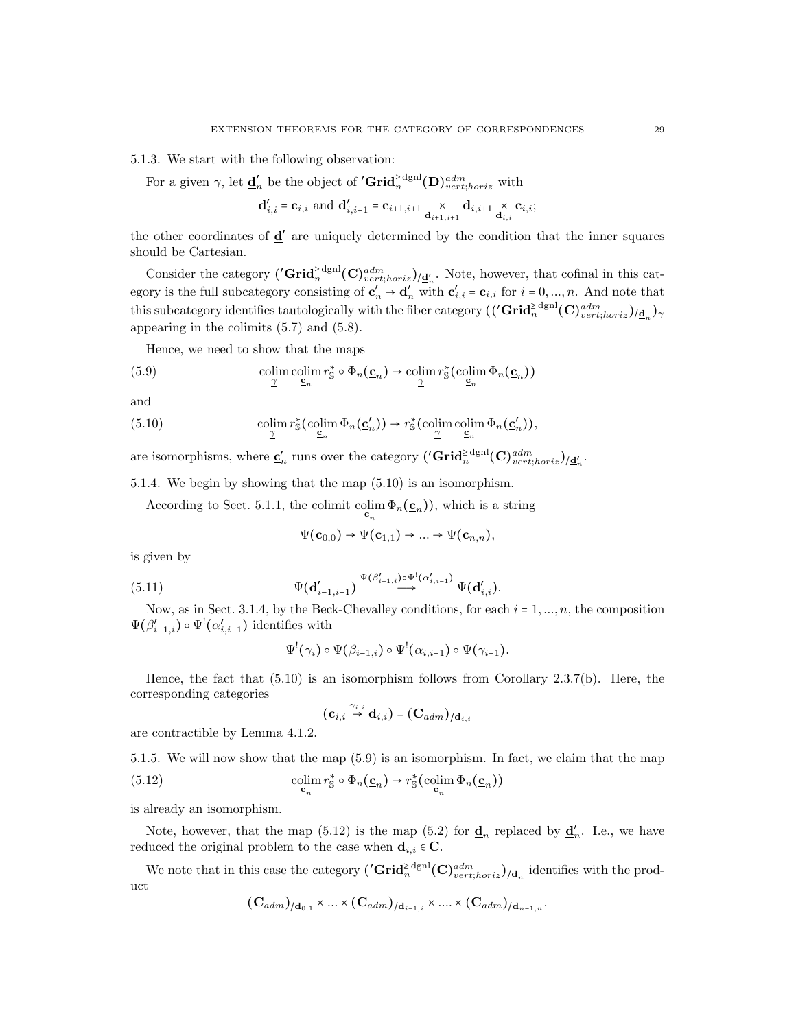5.1.3. We start with the following observation:

For a given  $\gamma$ , let  $\underline{\mathbf{d}}'_n$  be the object of ' $\mathbf{Grid}_n^{\geq \text{dgnl}}(\mathbf{D})_{vert,loriz}^{adm}$  with

$$
\mathbf{d}'_{i,i} = \mathbf{c}_{i,i} \text{ and } \mathbf{d}'_{i,i+1} = \mathbf{c}_{i+1,i+1} \underset{\mathbf{d}_{i+1,i+1}}{\times} \mathbf{d}_{i,i+1} \underset{\mathbf{d}_{i,i}}{\times} \mathbf{c}_{i,i};
$$

the other coordinates of  $\underline{d}'$  are uniquely determined by the condition that the inner squares should be Cartesian.

Consider the category  $(\text{Grid}_n^{\geq \text{dgnl}}(\mathbf{C})_{vert,loriz})_{\mathbf{\underline{d}}'_n}$ . Note, however, that cofinal in this category is the full subcategory consisting of  $\underline{\mathbf{c}}'_n \to \underline{\mathbf{d}}'_n$  with  $\mathbf{c}'_{i,i} = \mathbf{c}_{i,i}$  for  $i = 0, ..., n$ . And note that this subcategory identifies tautologically with the fiber category  $((\prime\textbf{Grid}_n^{\geq\text{dgnl}}(\textbf{C})_{vert;horiz}^{adm})_{\underline{\textbf{d}}_n})_{\underline{\textbf{d}}}$ appearing in the colimits (5.7) and (5.8).

Hence, we need to show that the maps

(5.9) colim colim 
$$
r_{\mathbb{S}}^* \circ \Phi_n(\underline{\mathbf{c}}_n) \to \operatorname{colim} r_{\mathbb{S}}^*(\operatorname{colim} \Phi_n(\underline{\mathbf{c}}_n))
$$
  
\n $\underline{\gamma} \quad \underline{\mathbf{c}}_n$ 

and

(5.10) 
$$
\underset{\underline{\gamma}}{\text{colim}} r_{\mathbb{S}}^{*}(\underset{\underline{\mathbf{c}}_{n}}{\text{colim}} \Phi_{n}(\underline{\mathbf{c}}'_{n})) \rightarrow r_{\mathbb{S}}^{*}(\underset{\underline{\gamma}}{\text{colim}} \underset{\underline{\mathbf{c}}_{n}}{\text{colim}} \Phi_{n}(\underline{\mathbf{c}}'_{n})),
$$

are isomorphisms, where  $\underline{\mathbf{c}}'_n$  runs over the category  $({'}\mathbf{Grid}_n^{\geq \text{dgnl}}(\mathbf{C})_{vert;loriz}^{adm})_{/\underline{\mathbf{d}}'_n}$ .

5.1.4. We begin by showing that the map (5.10) is an isomorphism.

According to Sect. 5.1.1, the colimit  $\text{colim } \Phi_n(\underline{c}_n)$ , which is a string

$$
\Psi(\mathbf{c}_{0,0}) \to \Psi(\mathbf{c}_{1,1}) \to \dots \to \Psi(\mathbf{c}_{n,n}),
$$

is given by

(5.11) 
$$
\Psi(\mathbf{d}'_{i-1,i-1}) \stackrel{\Psi(\beta'_{i-1,i}) \circ \Psi^{\dagger}(\alpha'_{i,i-1})}{\longrightarrow} \Psi(\mathbf{d}'_{i,i}).
$$

Now, as in Sect. 3.1.4, by the Beck-Chevalley conditions, for each  $i = 1, ..., n$ , the composition  $\Psi(\beta'_{i-1,i}) \circ \Psi^!(\alpha'_{i,i-1})$  identifies with

$$
\Psi^!(\gamma_i) \circ \Psi(\beta_{i-1,i}) \circ \Psi^!(\alpha_{i,i-1}) \circ \Psi(\gamma_{i-1}).
$$

Hence, the fact that (5.10) is an isomorphism follows from Corollary 2.3.7(b). Here, the corresponding categories

$$
(\mathbf{c}_{i,i}\overset{\gamma_{i,i}}{\rightarrow}\mathbf{d}_{i,i})=(\mathbf{C}_{adm})_{/\mathbf{d}_{i,i}}
$$

are contractible by Lemma 4.1.2.

5.1.5. We will now show that the map (5.9) is an isomorphism. In fact, we claim that the map  $\lambda$ 

(5.12) 
$$
\underset{\underline{\mathbf{c}}_n}{\text{colim}} r^*_{\mathbb{S}} \circ \Phi_n(\underline{\mathbf{c}}_n) \to r^*_{\mathbb{S}}(\underset{\underline{\mathbf{c}}_n}{\text{colim}} \Phi_n(\underline{\mathbf{c}}_n))
$$

is already an isomorphism.

Note, however, that the map (5.12) is the map (5.2) for  $\underline{\mathbf{d}}_n$  replaced by  $\underline{\mathbf{d}}'_n$ . I.e., we have reduced the original problem to the case when  $\mathbf{d}_{i,i} \in \mathbb{C}$ .

We note that in this case the category  $(\prime \text{Grid}_{n}^{\geq \text{dgnl}}(\mathbf{C})_{vert;horiz}^{adm})_{/\underline{\mathbf{d}}_n}$  identifies with the product

$$
(\mathbf{C}_{adm})_{/ \mathbf{d}_{0,1}} \times ... \times (\mathbf{C}_{adm})_{/ \mathbf{d}_{i-1,i}} \times .... \times (\mathbf{C}_{adm})_{/ \mathbf{d}_{n-1,n}}.
$$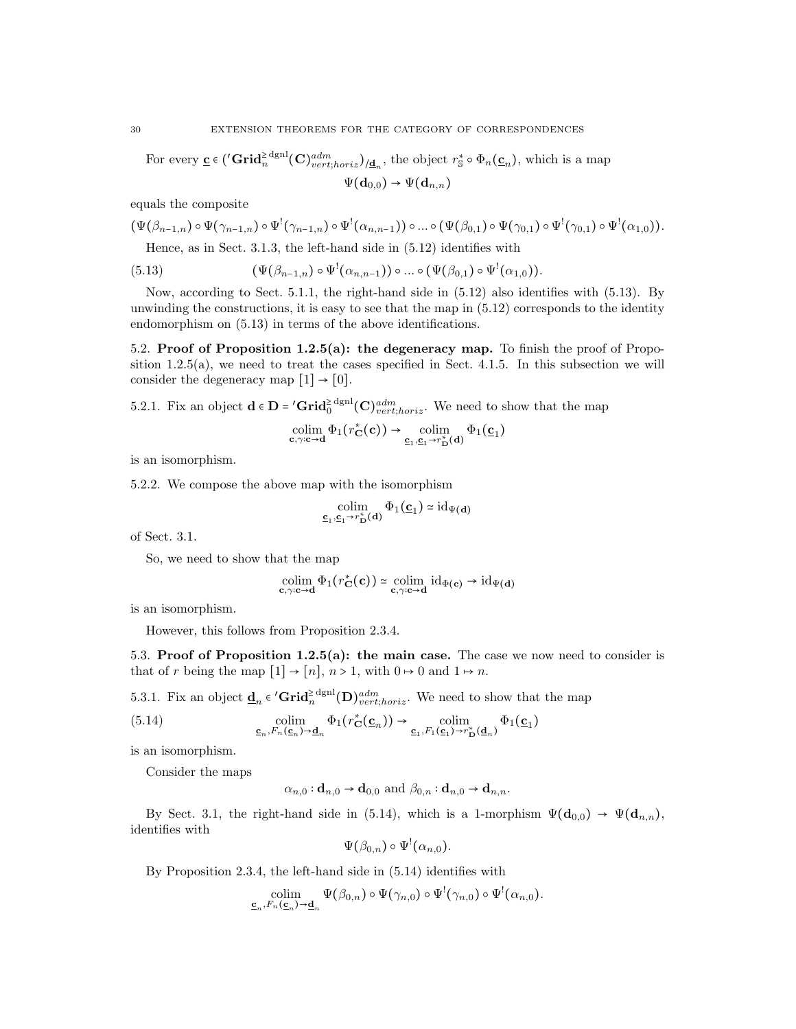For every  $\underline{\mathbf{c}} \in (\mathbf{Crid}_n^{\ge \text{dgnl}}(\mathbf{C})_{vert;horiz})_{/\underline{\mathbf{d}}_n}$ , the object  $r_{\mathbb{S}}^* \circ \Phi_n(\underline{\mathbf{c}}_n)$ , which is a map  $\Psi(\mathbf{d}_{0,0}) \rightarrow \Psi(\mathbf{d}_{n,n})$ 

equals the composite

$$
(\Psi(\beta_{n-1,n})\circ\Psi(\gamma_{n-1,n})\circ\Psi^{!}(\gamma_{n-1,n})\circ\Psi^{!}(\alpha_{n,n-1}))\circ...\circ(\Psi(\beta_{0,1})\circ\Psi(\gamma_{0,1})\circ\Psi^{!}(\gamma_{0,1})\circ\Psi^{!}(\alpha_{1,0})).
$$

Hence, as in Sect. 3.1.3, the left-hand side in (5.12) identifies with

(5.13) 
$$
(\Psi(\beta_{n-1,n}) \circ \Psi^{!}(\alpha_{n,n-1})) \circ ... \circ (\Psi(\beta_{0,1}) \circ \Psi^{!}(\alpha_{1,0})).
$$

Now, according to Sect. 5.1.1, the right-hand side in (5.12) also identifies with (5.13). By unwinding the constructions, it is easy to see that the map in (5.12) corresponds to the identity endomorphism on (5.13) in terms of the above identifications.

5.2. Proof of Proposition 1.2.5(a): the degeneracy map. To finish the proof of Proposition  $1.2.5(a)$ , we need to treat the cases specified in Sect. 4.1.5. In this subsection we will consider the degeneracy map  $[1] \rightarrow [0]$ .

5.2.1. Fix an object  $\mathbf{d} \in \mathbf{D} = \text{'}\mathbf{Grid}_{0}^{\geq \text{dgm}}(\mathbf{C})_{vert;horiz}^{adm}$ . We need to show that the map

$$
\underset{{\mathbf c},\gamma:{\mathbf c}\to{\mathbf d}}{\operatorname{colim}}\, \Phi_1(r_{\mathbf C}^*({\mathbf c}))\to \underset{{\underline{\mathbf c}}_1,{\underline{\mathbf c}}_1\to r_{\mathbf D}^*({\mathbf d})}{\operatorname{colim}}\, \Phi_1({\underline{\mathbf c}}_1)
$$

is an isomorphism.

5.2.2. We compose the above map with the isomorphism

$$
\underset{\underline{\mathbf{c}}_1, \underline{\mathbf{c}}_1 \to r_{\mathbf{D}}^*(\mathbf{d})}{\text{colim}} \Phi_1(\underline{\mathbf{c}}_1) \simeq \mathrm{id}_{\Psi(\mathbf{d})}
$$

of Sect. 3.1.

So, we need to show that the map

$$
\underset{\mathbf{c}, \gamma: \mathbf{c} \to \mathbf{d}}{\text{colim}} \Phi_1(r_{\mathbf{C}}^*(\mathbf{c})) \simeq \underset{\mathbf{c}, \gamma: \mathbf{c} \to \mathbf{d}}{\text{colim}} \text{ id}_{\Phi(\mathbf{c})} \to \text{id}_{\Psi(\mathbf{d})}
$$

is an isomorphism.

However, this follows from Proposition 2.3.4.

5.3. Proof of Proposition 1.2.5(a): the main case. The case we now need to consider is that of r being the map  $[1] \rightarrow [n]$ ,  $n > 1$ , with  $0 \rightarrow 0$  and  $1 \rightarrow n$ .

5.3.1. Fix an object  $\underline{\mathbf{d}}_n \in {}'Grid_n^{\geq \text{dgnl}}(\mathbf{D})_{vert;loriz}^{adm}$ . We need to show that the map

(5.14) 
$$
\underset{\mathbf{c}_n, F_n(\mathbf{c}_n) \to \mathbf{d}_n}{\text{colim}} \Phi_1(r^*_{\mathbf{C}}(\mathbf{c}_n)) \to \underset{\mathbf{c}_1, F_1(\mathbf{c}_1) \to r^*_{\mathbf{D}}(\mathbf{d}_n)}{\text{colim}} \Phi_1(\mathbf{c}_1)
$$

is an isomorphism.

Consider the maps

 $\alpha_{n,0} : \mathbf{d}_{n,0} \to \mathbf{d}_{0,0}$  and  $\beta_{0,n} : \mathbf{d}_{n,0} \to \mathbf{d}_{n,n}$ .

By Sect. 3.1, the right-hand side in (5.14), which is a 1-morphism  $\Psi(\mathbf{d}_{0,0}) \to \Psi(\mathbf{d}_{n,n}),$ identifies with

 $\Psi(\beta_{0,n}) \circ \Psi^! (\alpha_{n,0}).$ 

By Proposition 2.3.4, the left-hand side in (5.14) identifies with

$$
\operatorname*{colim}_{\underline{\mathbf{c}}_n, F_n(\underline{\mathbf{c}}_n) \to \underline{\mathbf{d}}_n} \Psi(\beta_{0,n}) \circ \Psi(\gamma_{n,0}) \circ \Psi^{!}(\gamma_{n,0}) \circ \Psi^{!}(\alpha_{n,0}).
$$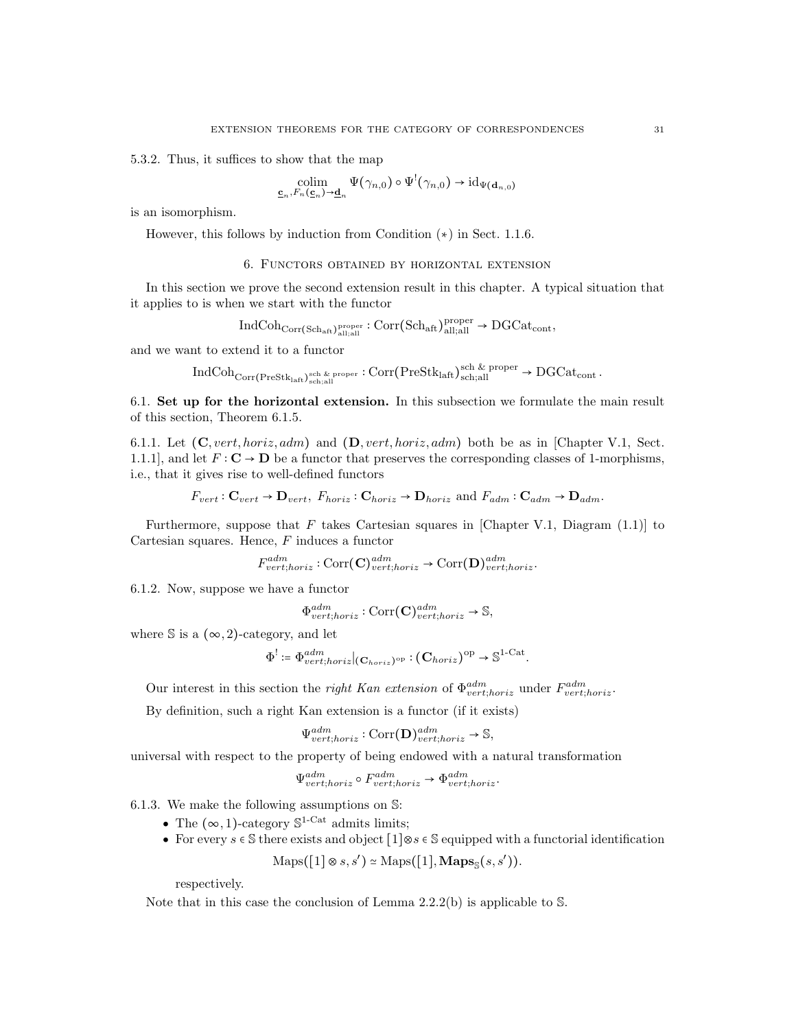5.3.2. Thus, it suffices to show that the map

$$
\operatornamewithlimits{colim}_{\underline{\mathbf{c}}_n, F_n(\underline{\mathbf{c}}_n) \to \underline{\mathbf{d}}_n} \Psi(\gamma_{n,0}) \circ \Psi^! (\gamma_{n,0}) \to \mathrm{id}_{\Psi(\mathbf{d}_{n,0})}
$$

is an isomorphism.

However, this follows by induction from Condition (∗) in Sect. 1.1.6.

### 6. Functors obtained by horizontal extension

In this section we prove the second extension result in this chapter. A typical situation that it applies to is when we start with the functor

$$
\mathrm{IndCoh}_{\mathrm{Corr}(\mathrm{Sch}_{\mathrm{aff}})_{\mathrm{all};\mathrm{all}}^{\mathrm{proper}}}:\mathrm{Corr}(\mathrm{Sch}_{\mathrm{aff}})_{\mathrm{all};\mathrm{all}}^{\mathrm{proper}}\to \mathrm{DGCat}_{\mathrm{cont}},
$$

and we want to extend it to a functor

$$
\operatorname{IndCoh}_{\operatorname{Corr}(\operatorname{PreStk}_{\operatorname{laff}})_{\operatorname{sch}^{\operatorname{al}}_{\operatorname{st}}}}\colon \operatorname{Corr}(\operatorname{PreStk}_{\operatorname{laff}})_{\operatorname{sch}^{\operatorname{al}}}^{\operatorname{sch} \&\operatorname{ proper}}\to \operatorname{DGCat}_{\operatorname{cont}}.
$$

6.1. Set up for the horizontal extension. In this subsection we formulate the main result of this section, Theorem 6.1.5.

6.1.1. Let  $(C, vert, horiz, adm)$  and  $(D, vert, horiz, adm)$  both be as in [Chapter V.1, Sect. 1.1.1], and let  $F: \mathbf{C} \to \mathbf{D}$  be a functor that preserves the corresponding classes of 1-morphisms, i.e., that it gives rise to well-defined functors

$$
F_{vert}: \mathbf{C}_{vert} \to \mathbf{D}_{vert}, F_{horiz}: \mathbf{C}_{horiz} \to \mathbf{D}_{horiz}
$$
 and  $F_{adm}: \mathbf{C}_{adm} \to \mathbf{D}_{adm}$ .

Furthermore, suppose that F takes Cartesian squares in [Chapter V.1, Diagram  $(1.1)$ ] to Cartesian squares. Hence, F induces a functor

$$
F^{adm}_{vert;horiz}: \text{Corr}(\mathbf{C})^{adm}_{vert;horiz} \to \text{Corr}(\mathbf{D})^{adm}_{vert;horiz}.
$$

6.1.2. Now, suppose we have a functor

$$
\Phi^{adm}_{vert;horiz} : \text{Corr}(\mathbf{C})^{adm}_{vert;horiz} \to \mathbb{S},
$$

where  $\mathbb S$  is a  $(\infty, 2)$ -category, and let

$$
\Phi^! := \Phi^{adm}_{vert;horiz}|_{(\mathbf{C}_{horiz})^{\mathrm{op}}} : (\mathbf{C}_{horiz})^{\mathrm{op}} \to \mathbb{S}^{1-\mathrm{Cat}}.
$$

Our interest in this section the *right Kan extension* of  $\Phi_{vert;horiz}^{adm}$  under  $F_{vert;horiz}^{adm}$ .

By definition, such a right Kan extension is a functor (if it exists)

$$
\Psi^{adm}_{vert;horiz} : \text{Corr}(\mathbf{D})^{adm}_{vert;horiz} \to \mathbb{S},
$$

universal with respect to the property of being endowed with a natural transformation

$$
\Psi^{adm}_{vert;horiz} \circ F^{adm}_{vert;horiz} \to \Phi^{adm}_{vert;horiz}.
$$

6.1.3. We make the following assumptions on S:

- The  $(\infty, 1)$ -category  $\mathbb{S}^{1-\text{Cat}}$  admits limits;
- For every  $s \in \mathbb{S}$  there exists and object  $[1] \otimes s \in \mathbb{S}$  equipped with a functorial identification

$$
Maps([1] \otimes s, s') \simeq Maps([1], Maps_{\mathbb{S}}(s, s')).
$$

respectively.

Note that in this case the conclusion of Lemma  $2.2.2(b)$  is applicable to S.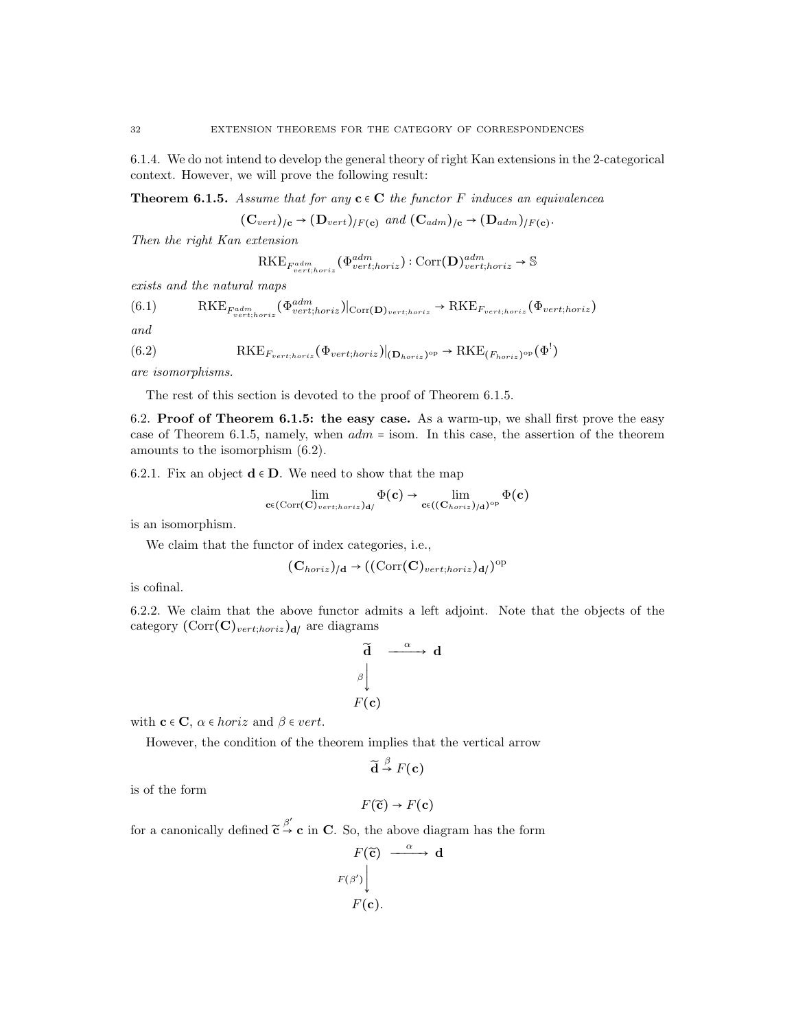6.1.4. We do not intend to develop the general theory of right Kan extensions in the 2-categorical context. However, we will prove the following result:

**Theorem 6.1.5.** Assume that for any  $c \in C$  the functor F induces an equivalencea

$$
(\mathbf{C}_{vert})_{c} \rightarrow (\mathbf{D}_{vert})_{F(\mathbf{c})} \text{ and } (\mathbf{C}_{adm})_{c} \rightarrow (\mathbf{D}_{adm})_{F(\mathbf{c})}.
$$

Then the right Kan extension

$$
\mathrm{RKE}_{F_{vert,horiz}}( \Phi_{vert;horiz}^{adm}) : \mathrm{Corr}(\mathbf{D})_{vert;horiz}^{adm} \rightarrow \mathbb{S}
$$

exists and the natural maps

$$
(6.1) \qquad \text{RKE}_{F_{vert, horiz}}(\Phi_{vert, horiz}^{adm})|_{\text{Corr}(\mathbf{D})_{vert; horiz}} \to \text{RKE}_{F_{vert; horiz}}(\Phi_{vert; horiz})
$$

and

(6.2) 
$$
RKE_{F_{vert, horiz}}(\Phi_{vert, horiz})|_{(\mathbf{D}_{horiz})^{\mathrm{op}}} \to RKE_{(F_{horiz})^{\mathrm{op}}}(\Phi^!)
$$

are isomorphisms.

The rest of this section is devoted to the proof of Theorem 6.1.5.

6.2. Proof of Theorem 6.1.5: the easy case. As a warm-up, we shall first prove the easy case of Theorem 6.1.5, namely, when  $adm =$  isom. In this case, the assertion of the theorem amounts to the isomorphism (6.2).

6.2.1. Fix an object  $\mathbf{d} \in \mathbf{D}$ . We need to show that the map

$$
\lim_{\mathbf{c}\in(\mathrm{Corr}(\mathbf{C})_{vert,horiz})_{\mathbf{d}/}}\Phi(\mathbf{c})\to \lim_{\mathbf{c}\in((\mathbf{C}_{horiz})_{\mathbf{d}})^{\mathrm{op}}}\Phi(\mathbf{c})
$$

is an isomorphism.

We claim that the functor of index categories, i.e.,

$$
(\mathbf{C}_{horiz})_{/d} \rightarrow ((\mathrm{Corr}(\mathbf{C})_{vert;horiz})_{d/})^{\mathrm{op}}
$$

is cofinal.

6.2.2. We claim that the above functor admits a left adjoint. Note that the objects of the category  $(\text{Corr}(\mathbf{C})_{vert,horiz})_{\mathbf{d}}$  are diagrams

$$
\widetilde{\mathbf{d}} \longrightarrow \mathbf{d}
$$
\n
$$
\begin{array}{c}\n\widetilde{\mathbf{d}} \\
\downarrow \\
F(\mathbf{c})\n\end{array}
$$

with  $\mathbf{c} \in \mathbf{C}$ ,  $\alpha \in horiz$  and  $\beta \in vert$ .

However, the condition of the theorem implies that the vertical arrow

$$
\widetilde{\mathbf{d}} \stackrel{\beta}{\to} F(\mathbf{c})
$$

is of the form

$$
F(\widetilde{\mathbf{c}}) \to F(\mathbf{c})
$$

for a canonically defined  $\tilde{\epsilon} \stackrel{\beta'}{\rightarrow} c$  in C. So, the above diagram has the form

$$
F(\widetilde{\mathbf{c}}) \xrightarrow{\alpha} \mathbf{d}
$$

$$
F(\beta') \Big| \qquad \qquad F(\mathbf{c}).
$$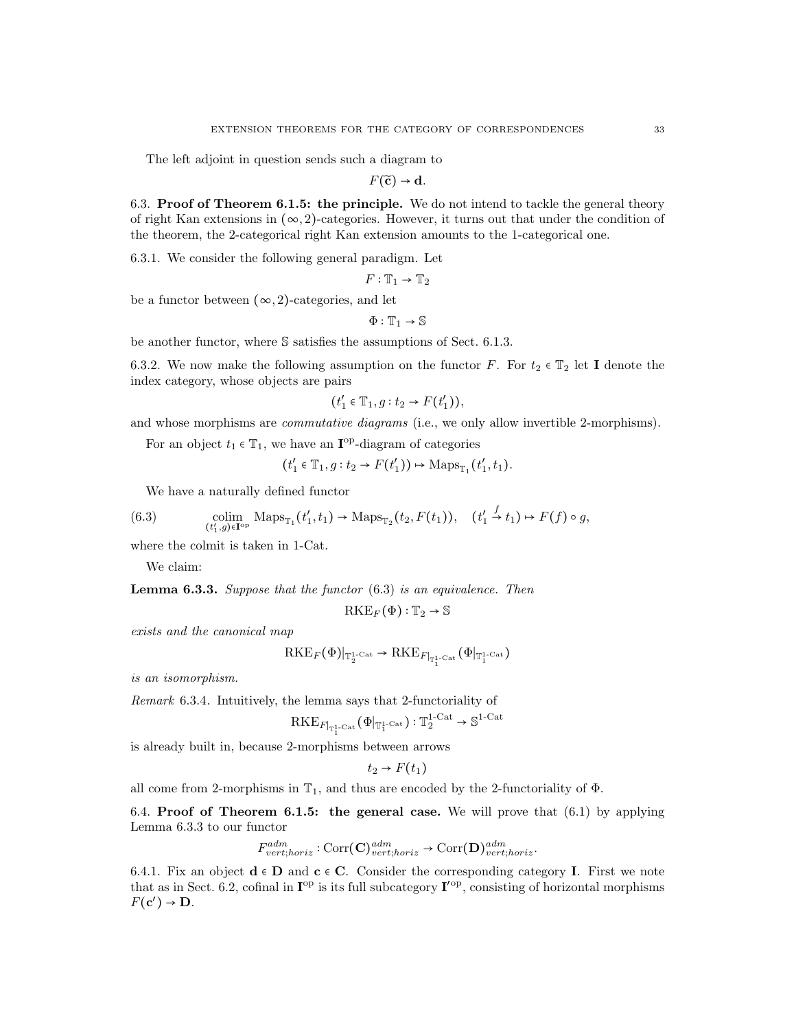The left adjoint in question sends such a diagram to

 $F(\widetilde{\mathbf{c}}) \rightarrow \mathbf{d}.$ 

6.3. Proof of Theorem 6.1.5: the principle. We do not intend to tackle the general theory of right Kan extensions in  $(\infty, 2)$ -categories. However, it turns out that under the condition of the theorem, the 2-categorical right Kan extension amounts to the 1-categorical one.

6.3.1. We consider the following general paradigm. Let

$$
F:\mathbb{T}_1\to \mathbb{T}_2
$$

be a functor between  $(\infty, 2)$ -categories, and let

$$
\Phi:\mathbb{T}_1\to \mathbb{S}
$$

be another functor, where S satisfies the assumptions of Sect. 6.1.3.

6.3.2. We now make the following assumption on the functor F. For  $t_2 \in \mathbb{T}_2$  let I denote the index category, whose objects are pairs

$$
(t'_1 \in \mathbb{T}_1, g: t_2 \to F(t'_1)),
$$

and whose morphisms are commutative diagrams (i.e., we only allow invertible 2-morphisms).

For an object  $t_1 \in \mathbb{T}_1$ , we have an **I**<sup>op</sup>-diagram of categories

$$
(t'_1 \in \mathbb{T}_1, g: t_2 \to F(t'_1)) \mapsto \mathrm{Maps}_{\mathbb{T}_1}(t'_1, t_1).
$$

We have a naturally defined functor

(6.3) 
$$
\underset{(t'_1,g)\in\Gamma^{\text{op}}}{\text{colim}}\ \mathrm{Maps}_{\mathbb{T}_1}(t'_1,t_1)\to\mathrm{Maps}_{\mathbb{T}_2}(t_2,F(t_1)),\quad (t'_1\stackrel{f}{\to}t_1)\mapsto F(f)\circ g,
$$

where the colmit is taken in 1-Cat.

We claim:

Lemma 6.3.3. Suppose that the functor (6.3) is an equivalence. Then

$$
\mathrm{RKE}_F(\Phi): \mathbb{T}_2 \to \mathbb{S}
$$

exists and the canonical map

$$
\mathrm{RKE}_F(\Phi)|_{\mathbb{T}_2^{1\textrm{-}\mathrm{Cat}}}\rightarrow \mathrm{RKE}_{F|_{\mathbb{T}_1^{1\textrm{-}\mathrm{Cat}}}}(\Phi|_{\mathbb{T}_1^{1\textrm{-}\mathrm{Cat}}})
$$

is an isomorphism.

Remark 6.3.4. Intuitively, the lemma says that 2-functoriality of

$$
\mathrm{RKE}_{F|_{\mathbb{T}_1^1\text{-}\mathrm{Cat}}}(\Phi|_{\mathbb{T}_1^1\text{-}\mathrm{Cat}}): \mathbb{T}_2^{1\text{-}\mathrm{Cat}} \to \mathbb{S}^{1\text{-}\mathrm{Cat}}
$$

is already built in, because 2-morphisms between arrows

$$
t_2 \to F(t_1)
$$

all come from 2-morphisms in  $\mathbb{T}_1$ , and thus are encoded by the 2-functoriality of  $\Phi$ .

6.4. Proof of Theorem 6.1.5: the general case. We will prove that  $(6.1)$  by applying Lemma 6.3.3 to our functor

$$
F_{vert;horiz}^{adm} : \text{Corr}(\mathbf{C})_{vert;horiz}^{adm} \rightarrow \text{Corr}(\mathbf{D})_{vert;horiz}^{adm}.
$$

6.4.1. Fix an object  $d \in D$  and  $c \in C$ . Consider the corresponding category I. First we note that as in Sect. 6.2, cofinal in  $I^{op}$  is its full subcategory  $I'^{op}$ , consisting of horizontal morphisms  $F(c') \rightarrow D.$